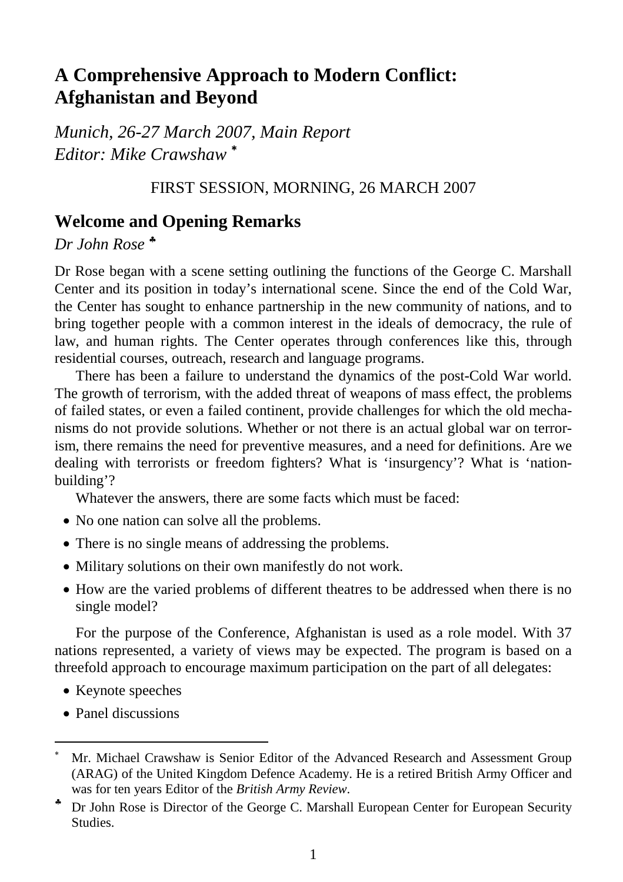# **A Comprehensive Approach to Modern Conflict: Afghanistan and Beyond**

*Munich, 26-27 March 2007, Main Report Editor: Mike Crawshaw* <sup>∗</sup> 

# FIRST SESSION, MORNING, 26 MARCH 2007

# **Welcome and Opening Remarks**

*Dr John Rose* ♣

Dr Rose began with a scene setting outlining the functions of the George C. Marshall Center and its position in today's international scene. Since the end of the Cold War, the Center has sought to enhance partnership in the new community of nations, and to bring together people with a common interest in the ideals of democracy, the rule of law, and human rights. The Center operates through conferences like this, through residential courses, outreach, research and language programs.

There has been a failure to understand the dynamics of the post-Cold War world. The growth of terrorism, with the added threat of weapons of mass effect, the problems of failed states, or even a failed continent, provide challenges for which the old mechanisms do not provide solutions. Whether or not there is an actual global war on terrorism, there remains the need for preventive measures, and a need for definitions. Are we dealing with terrorists or freedom fighters? What is 'insurgency'? What is 'nationbuilding'?

Whatever the answers, there are some facts which must be faced:

- No one nation can solve all the problems.
- There is no single means of addressing the problems.
- Military solutions on their own manifestly do not work.
- How are the varied problems of different theatres to be addressed when there is no single model?

For the purpose of the Conference, Afghanistan is used as a role model. With 37 nations represented, a variety of views may be expected. The program is based on a threefold approach to encourage maximum participation on the part of all delegates:

- Keynote speeches
- Panel discussions

 $\overline{a}$ 

<sup>∗</sup> Mr. Michael Crawshaw is Senior Editor of the Advanced Research and Assessment Group (ARAG) of the United Kingdom Defence Academy. He is a retired British Army Officer and was for ten years Editor of the *British Army Review*.

<sup>♣</sup> Dr John Rose is Director of the George C. Marshall European Center for European Security Studies.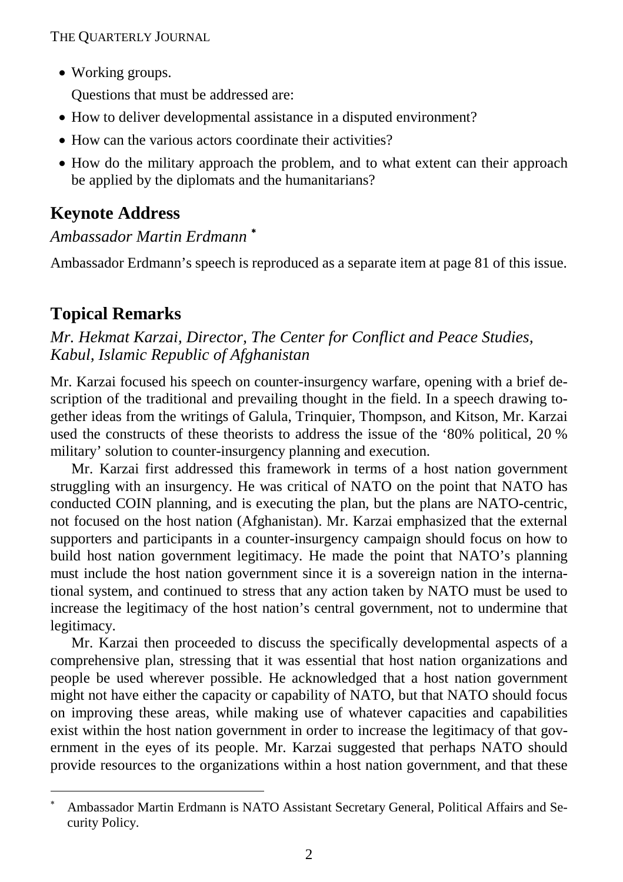• Working groups.

Questions that must be addressed are:

- How to deliver developmental assistance in a disputed environment?
- How can the various actors coordinate their activities?
- How do the military approach the problem, and to what extent can their approach be applied by the diplomats and the humanitarians?

# **Keynote Address**

# *Ambassador Martin Erdmann* <sup>∗</sup>

Ambassador Erdmann's speech is reproduced as a separate item at page 81 of this issue.

# **Topical Remarks**

-

*Mr. Hekmat Karzai, Director, The Center for Conflict and Peace Studies, Kabul, Islamic Republic of Afghanistan* 

Mr. Karzai focused his speech on counter-insurgency warfare, opening with a brief description of the traditional and prevailing thought in the field. In a speech drawing together ideas from the writings of Galula, Trinquier, Thompson, and Kitson, Mr. Karzai used the constructs of these theorists to address the issue of the '80% political, 20 % military' solution to counter-insurgency planning and execution.

Mr. Karzai first addressed this framework in terms of a host nation government struggling with an insurgency. He was critical of NATO on the point that NATO has conducted COIN planning, and is executing the plan, but the plans are NATO-centric, not focused on the host nation (Afghanistan). Mr. Karzai emphasized that the external supporters and participants in a counter-insurgency campaign should focus on how to build host nation government legitimacy. He made the point that NATO's planning must include the host nation government since it is a sovereign nation in the international system, and continued to stress that any action taken by NATO must be used to increase the legitimacy of the host nation's central government, not to undermine that legitimacy.

Mr. Karzai then proceeded to discuss the specifically developmental aspects of a comprehensive plan, stressing that it was essential that host nation organizations and people be used wherever possible. He acknowledged that a host nation government might not have either the capacity or capability of NATO, but that NATO should focus on improving these areas, while making use of whatever capacities and capabilities exist within the host nation government in order to increase the legitimacy of that government in the eyes of its people. Mr. Karzai suggested that perhaps NATO should provide resources to the organizations within a host nation government, and that these

<sup>∗</sup> Ambassador Martin Erdmann is NATO Assistant Secretary General, Political Affairs and Security Policy.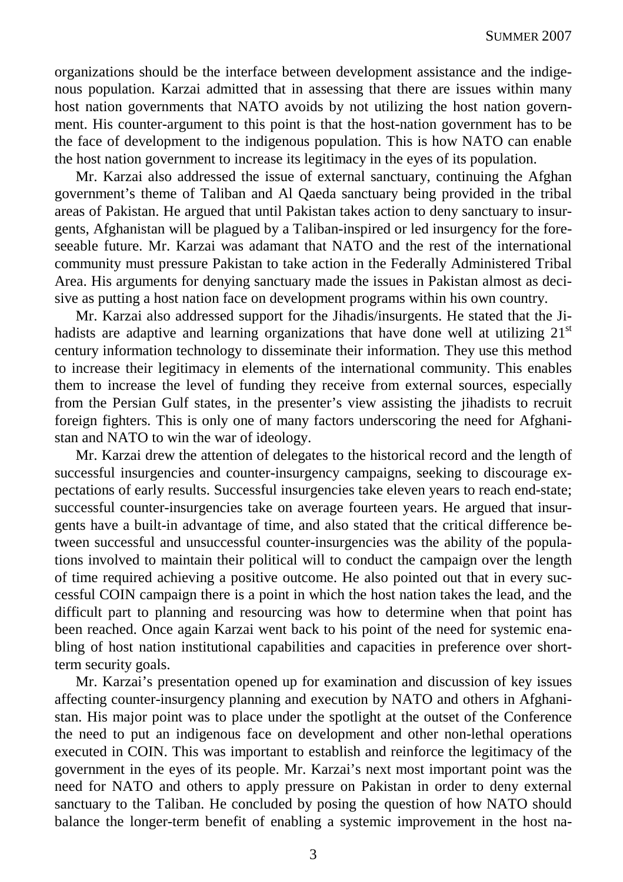organizations should be the interface between development assistance and the indigenous population. Karzai admitted that in assessing that there are issues within many host nation governments that NATO avoids by not utilizing the host nation government. His counter-argument to this point is that the host-nation government has to be the face of development to the indigenous population. This is how NATO can enable the host nation government to increase its legitimacy in the eyes of its population.

Mr. Karzai also addressed the issue of external sanctuary, continuing the Afghan government's theme of Taliban and Al Qaeda sanctuary being provided in the tribal areas of Pakistan. He argued that until Pakistan takes action to deny sanctuary to insurgents, Afghanistan will be plagued by a Taliban-inspired or led insurgency for the foreseeable future. Mr. Karzai was adamant that NATO and the rest of the international community must pressure Pakistan to take action in the Federally Administered Tribal Area. His arguments for denying sanctuary made the issues in Pakistan almost as decisive as putting a host nation face on development programs within his own country.

Mr. Karzai also addressed support for the Jihadis/insurgents. He stated that the Jihadists are adaptive and learning organizations that have done well at utilizing  $21<sup>st</sup>$ century information technology to disseminate their information. They use this method to increase their legitimacy in elements of the international community. This enables them to increase the level of funding they receive from external sources, especially from the Persian Gulf states, in the presenter's view assisting the jihadists to recruit foreign fighters. This is only one of many factors underscoring the need for Afghanistan and NATO to win the war of ideology.

Mr. Karzai drew the attention of delegates to the historical record and the length of successful insurgencies and counter-insurgency campaigns, seeking to discourage expectations of early results. Successful insurgencies take eleven years to reach end-state; successful counter-insurgencies take on average fourteen years. He argued that insurgents have a built-in advantage of time, and also stated that the critical difference between successful and unsuccessful counter-insurgencies was the ability of the populations involved to maintain their political will to conduct the campaign over the length of time required achieving a positive outcome. He also pointed out that in every successful COIN campaign there is a point in which the host nation takes the lead, and the difficult part to planning and resourcing was how to determine when that point has been reached. Once again Karzai went back to his point of the need for systemic enabling of host nation institutional capabilities and capacities in preference over shortterm security goals.

Mr. Karzai's presentation opened up for examination and discussion of key issues affecting counter-insurgency planning and execution by NATO and others in Afghanistan. His major point was to place under the spotlight at the outset of the Conference the need to put an indigenous face on development and other non-lethal operations executed in COIN. This was important to establish and reinforce the legitimacy of the government in the eyes of its people. Mr. Karzai's next most important point was the need for NATO and others to apply pressure on Pakistan in order to deny external sanctuary to the Taliban. He concluded by posing the question of how NATO should balance the longer-term benefit of enabling a systemic improvement in the host na-

3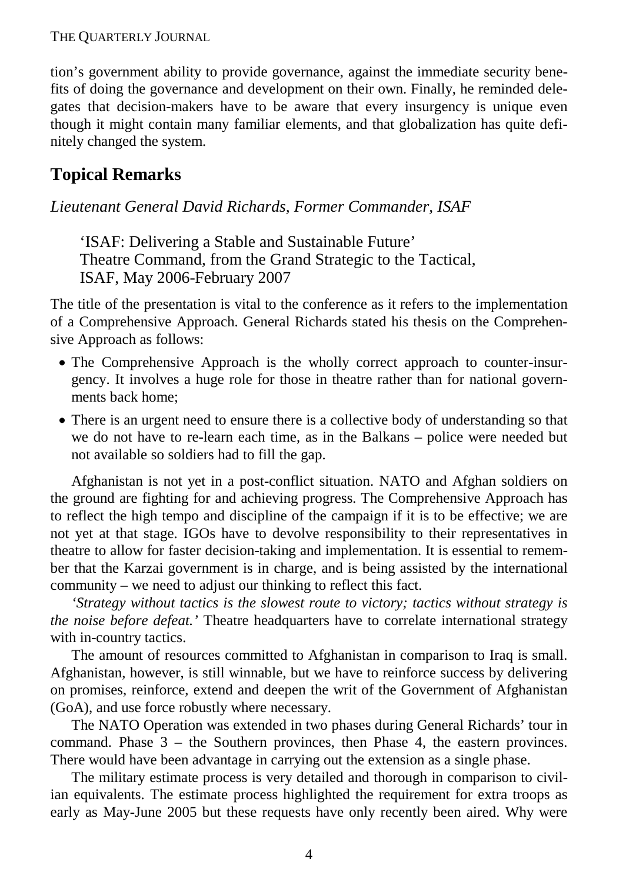tion's government ability to provide governance, against the immediate security benefits of doing the governance and development on their own. Finally, he reminded delegates that decision-makers have to be aware that every insurgency is unique even though it might contain many familiar elements, and that globalization has quite definitely changed the system.

# **Topical Remarks**

## *Lieutenant General David Richards, Former Commander, ISAF*

'ISAF: Delivering a Stable and Sustainable Future' Theatre Command, from the Grand Strategic to the Tactical, ISAF, May 2006-February 2007

The title of the presentation is vital to the conference as it refers to the implementation of a Comprehensive Approach. General Richards stated his thesis on the Comprehensive Approach as follows:

- The Comprehensive Approach is the wholly correct approach to counter-insurgency. It involves a huge role for those in theatre rather than for national governments back home;
- There is an urgent need to ensure there is a collective body of understanding so that we do not have to re-learn each time, as in the Balkans – police were needed but not available so soldiers had to fill the gap.

Afghanistan is not yet in a post-conflict situation. NATO and Afghan soldiers on the ground are fighting for and achieving progress. The Comprehensive Approach has to reflect the high tempo and discipline of the campaign if it is to be effective; we are not yet at that stage. IGOs have to devolve responsibility to their representatives in theatre to allow for faster decision-taking and implementation. It is essential to remember that the Karzai government is in charge, and is being assisted by the international community – we need to adjust our thinking to reflect this fact.

*'Strategy without tactics is the slowest route to victory; tactics without strategy is the noise before defeat.'* Theatre headquarters have to correlate international strategy with in-country tactics.

The amount of resources committed to Afghanistan in comparison to Iraq is small. Afghanistan, however, is still winnable, but we have to reinforce success by delivering on promises, reinforce, extend and deepen the writ of the Government of Afghanistan (GoA), and use force robustly where necessary.

The NATO Operation was extended in two phases during General Richards' tour in command. Phase 3 – the Southern provinces, then Phase 4, the eastern provinces. There would have been advantage in carrying out the extension as a single phase.

The military estimate process is very detailed and thorough in comparison to civilian equivalents. The estimate process highlighted the requirement for extra troops as early as May-June 2005 but these requests have only recently been aired. Why were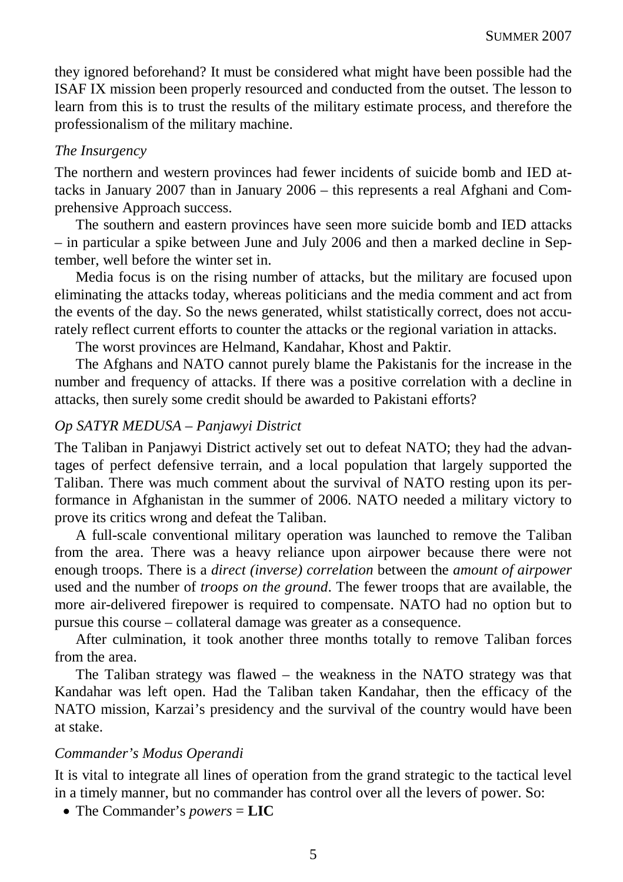they ignored beforehand? It must be considered what might have been possible had the ISAF IX mission been properly resourced and conducted from the outset. The lesson to learn from this is to trust the results of the military estimate process, and therefore the professionalism of the military machine.

#### *The Insurgency*

The northern and western provinces had fewer incidents of suicide bomb and IED attacks in January 2007 than in January 2006 – this represents a real Afghani and Comprehensive Approach success.

The southern and eastern provinces have seen more suicide bomb and IED attacks – in particular a spike between June and July 2006 and then a marked decline in September, well before the winter set in.

Media focus is on the rising number of attacks, but the military are focused upon eliminating the attacks today, whereas politicians and the media comment and act from the events of the day. So the news generated, whilst statistically correct, does not accurately reflect current efforts to counter the attacks or the regional variation in attacks.

The worst provinces are Helmand, Kandahar, Khost and Paktir.

The Afghans and NATO cannot purely blame the Pakistanis for the increase in the number and frequency of attacks. If there was a positive correlation with a decline in attacks, then surely some credit should be awarded to Pakistani efforts?

#### *Op SATYR MEDUSA – Panjawyi District*

The Taliban in Panjawyi District actively set out to defeat NATO; they had the advantages of perfect defensive terrain, and a local population that largely supported the Taliban. There was much comment about the survival of NATO resting upon its performance in Afghanistan in the summer of 2006. NATO needed a military victory to prove its critics wrong and defeat the Taliban.

A full-scale conventional military operation was launched to remove the Taliban from the area. There was a heavy reliance upon airpower because there were not enough troops. There is a *direct (inverse) correlation* between the *amount of airpower* used and the number of *troops on the ground*. The fewer troops that are available, the more air-delivered firepower is required to compensate. NATO had no option but to pursue this course – collateral damage was greater as a consequence.

After culmination, it took another three months totally to remove Taliban forces from the area.

The Taliban strategy was flawed  $-$  the weakness in the NATO strategy was that Kandahar was left open. Had the Taliban taken Kandahar, then the efficacy of the NATO mission, Karzai's presidency and the survival of the country would have been at stake.

#### *Commander's Modus Operandi*

It is vital to integrate all lines of operation from the grand strategic to the tactical level in a timely manner, but no commander has control over all the levers of power. So:

• The Commander's *powers* = **LIC**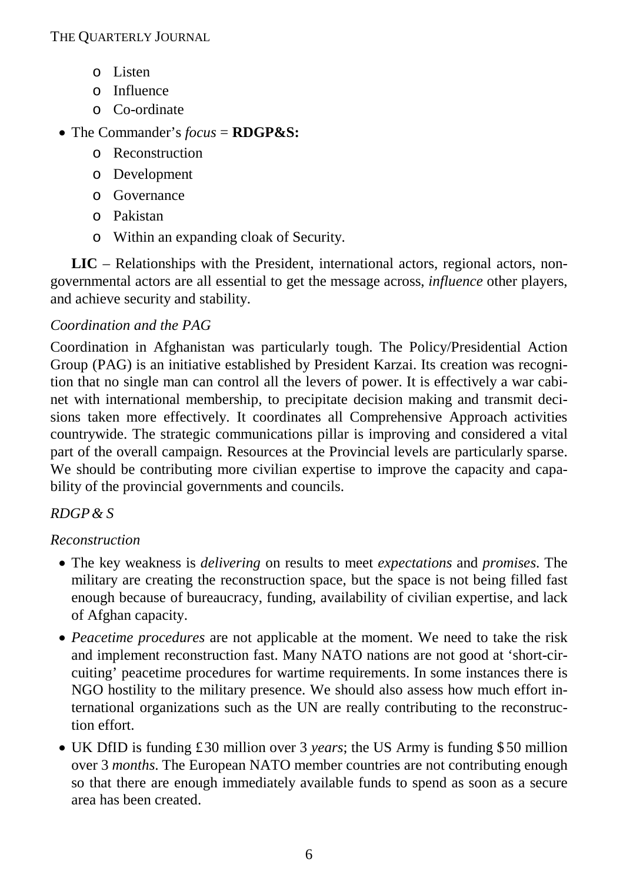- o Listen
- o Influence
- o Co-ordinate

# • The Commander's *focus* = **RDGP&S:**

- o Reconstruction
- o Development
- o Governance
- o Pakistan
- o Within an expanding cloak of Security.

**LIC** – Relationships with the President, international actors, regional actors, nongovernmental actors are all essential to get the message across, *influence* other players, and achieve security and stability.

# *Coordination and the PAG*

Coordination in Afghanistan was particularly tough. The Policy/Presidential Action Group (PAG) is an initiative established by President Karzai. Its creation was recognition that no single man can control all the levers of power. It is effectively a war cabinet with international membership, to precipitate decision making and transmit decisions taken more effectively. It coordinates all Comprehensive Approach activities countrywide. The strategic communications pillar is improving and considered a vital part of the overall campaign. Resources at the Provincial levels are particularly sparse. We should be contributing more civilian expertise to improve the capacity and capability of the provincial governments and councils.

# *RDGP& S*

# *Reconstruction*

- The key weakness is *delivering* on results to meet *expectations* and *promises*. The military are creating the reconstruction space, but the space is not being filled fast enough because of bureaucracy, funding, availability of civilian expertise, and lack of Afghan capacity.
- *Peacetime procedures* are not applicable at the moment. We need to take the risk and implement reconstruction fast. Many NATO nations are not good at 'short-circuiting' peacetime procedures for wartime requirements. In some instances there is NGO hostility to the military presence. We should also assess how much effort international organizations such as the UN are really contributing to the reconstruction effort.
- UK DfID is funding £30 million over 3 *years*; the US Army is funding \$ 50 million over 3 *months*. The European NATO member countries are not contributing enough so that there are enough immediately available funds to spend as soon as a secure area has been created.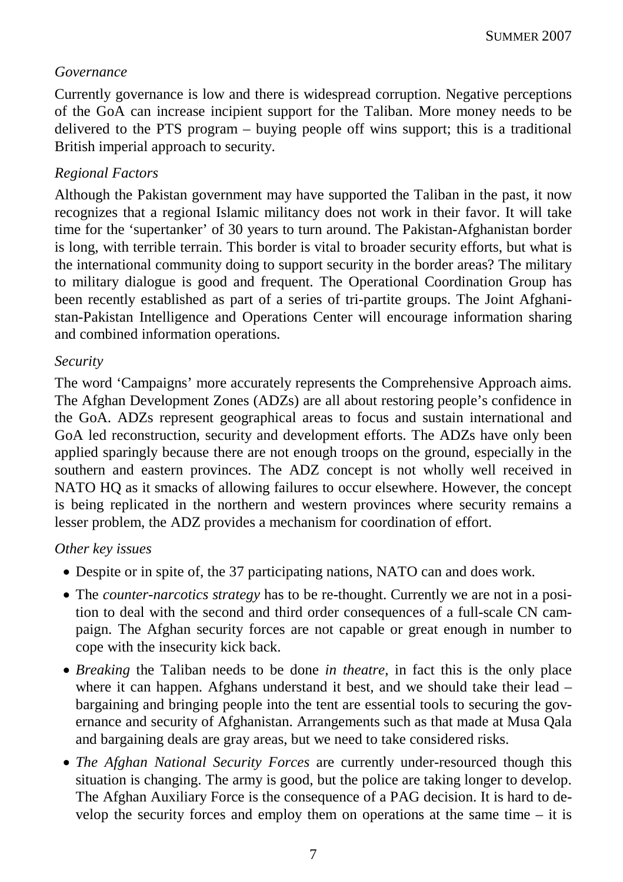# *Governance*

Currently governance is low and there is widespread corruption. Negative perceptions of the GoA can increase incipient support for the Taliban. More money needs to be delivered to the PTS program – buying people off wins support; this is a traditional British imperial approach to security.

# *Regional Factors*

Although the Pakistan government may have supported the Taliban in the past, it now recognizes that a regional Islamic militancy does not work in their favor. It will take time for the 'supertanker' of 30 years to turn around. The Pakistan-Afghanistan border is long, with terrible terrain. This border is vital to broader security efforts, but what is the international community doing to support security in the border areas? The military to military dialogue is good and frequent. The Operational Coordination Group has been recently established as part of a series of tri-partite groups. The Joint Afghanistan-Pakistan Intelligence and Operations Center will encourage information sharing and combined information operations.

## *Security*

The word 'Campaigns' more accurately represents the Comprehensive Approach aims. The Afghan Development Zones (ADZs) are all about restoring people's confidence in the GoA. ADZs represent geographical areas to focus and sustain international and GoA led reconstruction, security and development efforts. The ADZs have only been applied sparingly because there are not enough troops on the ground, especially in the southern and eastern provinces. The ADZ concept is not wholly well received in NATO HQ as it smacks of allowing failures to occur elsewhere. However, the concept is being replicated in the northern and western provinces where security remains a lesser problem, the ADZ provides a mechanism for coordination of effort.

# *Other key issues*

- Despite or in spite of, the 37 participating nations, NATO can and does work.
- The *counter-narcotics strategy* has to be re-thought. Currently we are not in a position to deal with the second and third order consequences of a full-scale CN campaign. The Afghan security forces are not capable or great enough in number to cope with the insecurity kick back.
- *Breaking* the Taliban needs to be done *in theatre*, in fact this is the only place where it can happen. Afghans understand it best, and we should take their lead – bargaining and bringing people into the tent are essential tools to securing the governance and security of Afghanistan. Arrangements such as that made at Musa Qala and bargaining deals are gray areas, but we need to take considered risks.
- *The Afghan National Security Forces* are currently under-resourced though this situation is changing. The army is good, but the police are taking longer to develop. The Afghan Auxiliary Force is the consequence of a PAG decision. It is hard to develop the security forces and employ them on operations at the same time  $-$  it is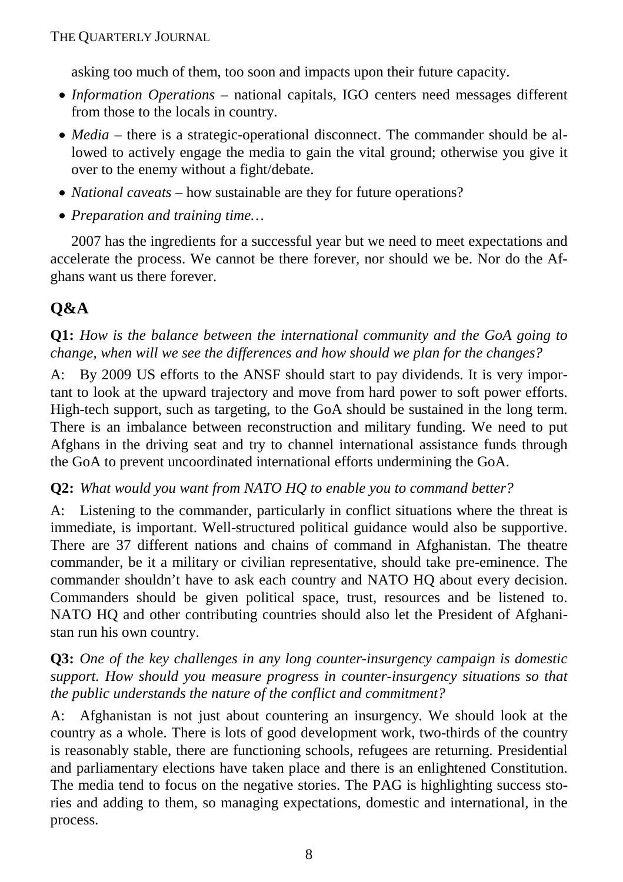asking too much of them, too soon and impacts upon their future capacity.

- *Information Operations* national capitals, IGO centers need messages different from those to the locals in country.
- *Media* there is a strategic-operational disconnect. The commander should be allowed to actively engage the media to gain the vital ground; otherwise you give it over to the enemy without a fight/debate.
- *National caveats* how sustainable are they for future operations?
- *Preparation and training time…*

2007 has the ingredients for a successful year but we need to meet expectations and accelerate the process. We cannot be there forever, nor should we be. Nor do the Afghans want us there forever.

# **Q&A**

**Q1:** *How is the balance between the international community and the GoA going to change, when will we see the differences and how should we plan for the changes?*

A: By 2009 US efforts to the ANSF should start to pay dividends. It is very important to look at the upward trajectory and move from hard power to soft power efforts. High-tech support, such as targeting, to the GoA should be sustained in the long term. There is an imbalance between reconstruction and military funding. We need to put Afghans in the driving seat and try to channel international assistance funds through the GoA to prevent uncoordinated international efforts undermining the GoA.

# **Q2:** *What would you want from NATO HQ to enable you to command better?*

A: Listening to the commander, particularly in conflict situations where the threat is immediate, is important. Well-structured political guidance would also be supportive. There are 37 different nations and chains of command in Afghanistan. The theatre commander, be it a military or civilian representative, should take pre-eminence. The commander shouldn't have to ask each country and NATO HQ about every decision. Commanders should be given political space, trust, resources and be listened to. NATO HQ and other contributing countries should also let the President of Afghanistan run his own country.

# **Q3:** *One of the key challenges in any long counter-insurgency campaign is domestic support. How should you measure progress in counter-insurgency situations so that the public understands the nature of the conflict and commitment?*

A: Afghanistan is not just about countering an insurgency. We should look at the country as a whole. There is lots of good development work, two-thirds of the country is reasonably stable, there are functioning schools, refugees are returning. Presidential and parliamentary elections have taken place and there is an enlightened Constitution. The media tend to focus on the negative stories. The PAG is highlighting success stories and adding to them, so managing expectations, domestic and international, in the process.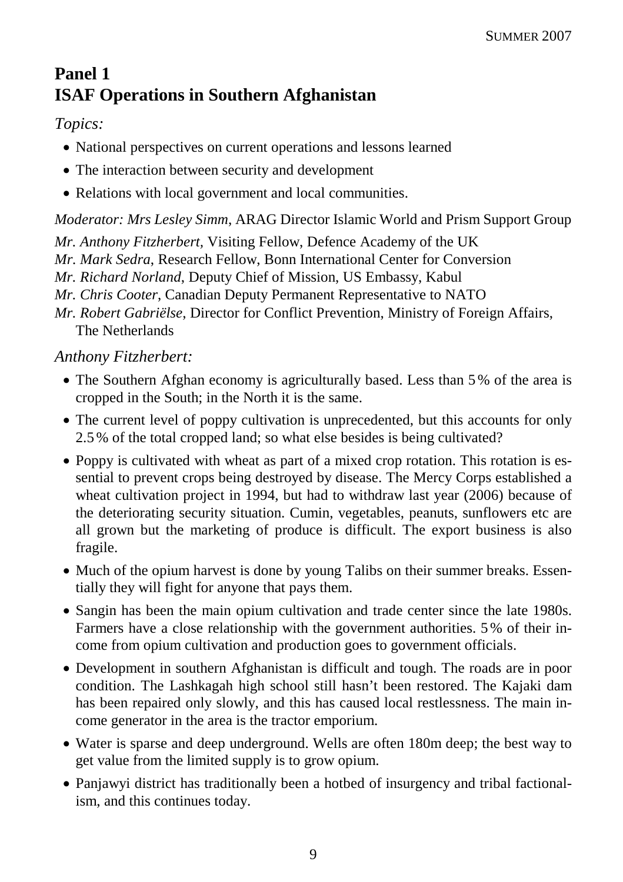# **Panel 1 ISAF Operations in Southern Afghanistan**

# *Topics:*

- National perspectives on current operations and lessons learned
- The interaction between security and development
- Relations with local government and local communities.

*Moderator: Mrs Lesley Simm*, ARAG Director Islamic World and Prism Support Group

*Mr. Anthony Fitzherbert,* Visiting Fellow, Defence Academy of the UK

*Mr. Mark Sedra*, Research Fellow, Bonn International Center for Conversion

*Mr. Richard Norland*, Deputy Chief of Mission, US Embassy, Kabul

*Mr. Chris Cooter*, Canadian Deputy Permanent Representative to NATO

*Mr. Robert Gabriëlse*, Director for Conflict Prevention, Ministry of Foreign Affairs, The Netherlands

# *Anthony Fitzherbert:*

- The Southern Afghan economy is agriculturally based. Less than 5% of the area is cropped in the South; in the North it is the same.
- The current level of poppy cultivation is unprecedented, but this accounts for only 2.5% of the total cropped land; so what else besides is being cultivated?
- Poppy is cultivated with wheat as part of a mixed crop rotation. This rotation is essential to prevent crops being destroyed by disease. The Mercy Corps established a wheat cultivation project in 1994, but had to withdraw last year (2006) because of the deteriorating security situation. Cumin, vegetables, peanuts, sunflowers etc are all grown but the marketing of produce is difficult. The export business is also fragile.
- Much of the opium harvest is done by young Talibs on their summer breaks. Essentially they will fight for anyone that pays them.
- Sangin has been the main opium cultivation and trade center since the late 1980s. Farmers have a close relationship with the government authorities. 5% of their income from opium cultivation and production goes to government officials.
- Development in southern Afghanistan is difficult and tough. The roads are in poor condition. The Lashkagah high school still hasn't been restored. The Kajaki dam has been repaired only slowly, and this has caused local restlessness. The main income generator in the area is the tractor emporium.
- Water is sparse and deep underground. Wells are often 180m deep; the best way to get value from the limited supply is to grow opium.
- Panjawyi district has traditionally been a hotbed of insurgency and tribal factionalism, and this continues today.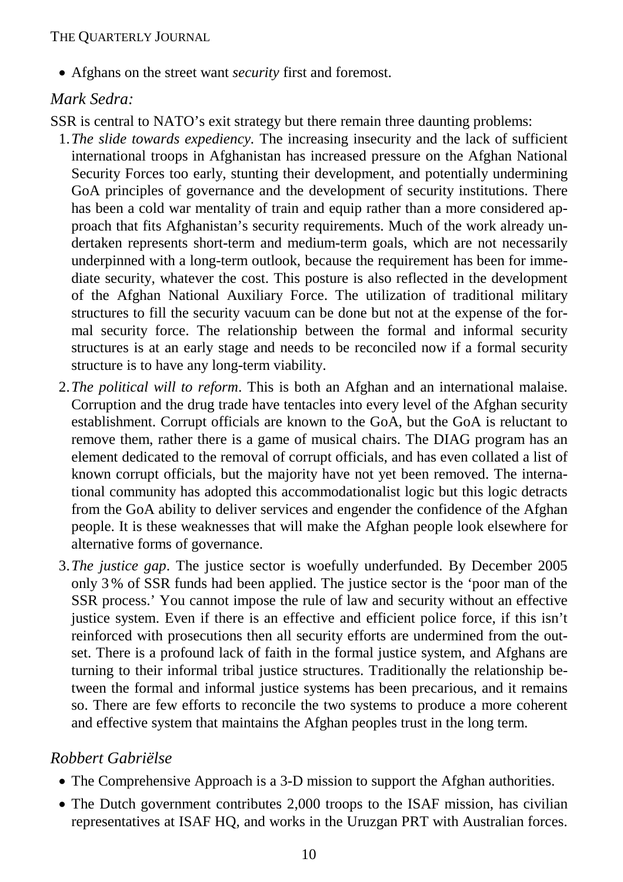• Afghans on the street want *security* first and foremost.

## *Mark Sedra:*

SSR is central to NATO's exit strategy but there remain three daunting problems:

- 1.*The slide towards expediency.* The increasing insecurity and the lack of sufficient international troops in Afghanistan has increased pressure on the Afghan National Security Forces too early, stunting their development, and potentially undermining GoA principles of governance and the development of security institutions. There has been a cold war mentality of train and equip rather than a more considered approach that fits Afghanistan's security requirements. Much of the work already undertaken represents short-term and medium-term goals, which are not necessarily underpinned with a long-term outlook, because the requirement has been for immediate security, whatever the cost. This posture is also reflected in the development of the Afghan National Auxiliary Force. The utilization of traditional military structures to fill the security vacuum can be done but not at the expense of the formal security force. The relationship between the formal and informal security structures is at an early stage and needs to be reconciled now if a formal security structure is to have any long-term viability.
- 2.*The political will to reform*. This is both an Afghan and an international malaise. Corruption and the drug trade have tentacles into every level of the Afghan security establishment. Corrupt officials are known to the GoA, but the GoA is reluctant to remove them, rather there is a game of musical chairs. The DIAG program has an element dedicated to the removal of corrupt officials, and has even collated a list of known corrupt officials, but the majority have not yet been removed. The international community has adopted this accommodationalist logic but this logic detracts from the GoA ability to deliver services and engender the confidence of the Afghan people. It is these weaknesses that will make the Afghan people look elsewhere for alternative forms of governance.
- 3.*The justice gap*. The justice sector is woefully underfunded. By December 2005 only 3% of SSR funds had been applied. The justice sector is the 'poor man of the SSR process.' You cannot impose the rule of law and security without an effective justice system. Even if there is an effective and efficient police force, if this isn't reinforced with prosecutions then all security efforts are undermined from the outset. There is a profound lack of faith in the formal justice system, and Afghans are turning to their informal tribal justice structures. Traditionally the relationship between the formal and informal justice systems has been precarious, and it remains so. There are few efforts to reconcile the two systems to produce a more coherent and effective system that maintains the Afghan peoples trust in the long term.

# *Robbert Gabriëlse*

- The Comprehensive Approach is a 3-D mission to support the Afghan authorities.
- The Dutch government contributes 2,000 troops to the ISAF mission, has civilian representatives at ISAF HQ, and works in the Uruzgan PRT with Australian forces.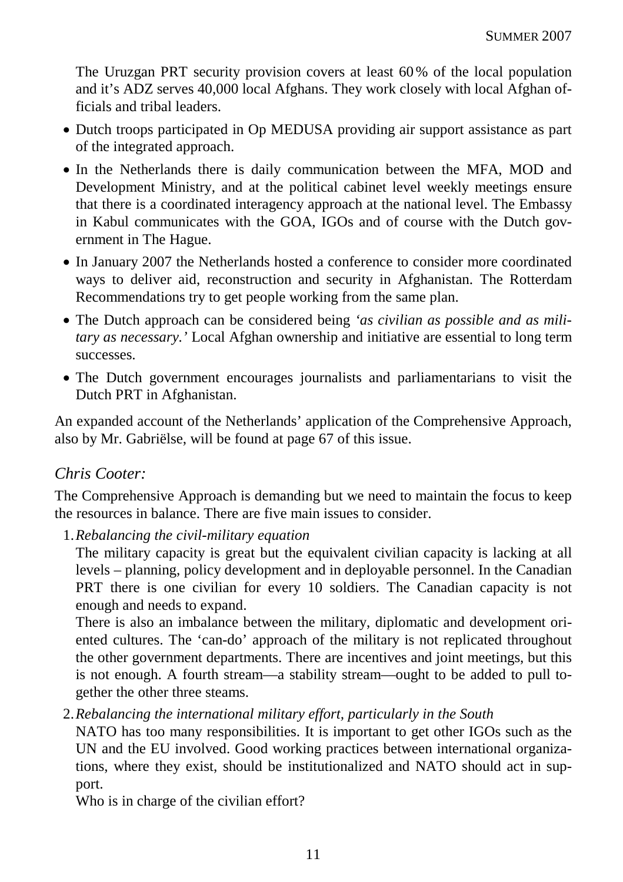The Uruzgan PRT security provision covers at least 60% of the local population and it's ADZ serves 40,000 local Afghans. They work closely with local Afghan officials and tribal leaders.

- Dutch troops participated in Op MEDUSA providing air support assistance as part of the integrated approach.
- In the Netherlands there is daily communication between the MFA, MOD and Development Ministry, and at the political cabinet level weekly meetings ensure that there is a coordinated interagency approach at the national level. The Embassy in Kabul communicates with the GOA, IGOs and of course with the Dutch government in The Hague.
- In January 2007 the Netherlands hosted a conference to consider more coordinated ways to deliver aid, reconstruction and security in Afghanistan. The Rotterdam Recommendations try to get people working from the same plan.
- The Dutch approach can be considered being *'as civilian as possible and as military as necessary.'* Local Afghan ownership and initiative are essential to long term successes.
- The Dutch government encourages journalists and parliamentarians to visit the Dutch PRT in Afghanistan.

An expanded account of the Netherlands' application of the Comprehensive Approach, also by Mr. Gabriëlse, will be found at page 67 of this issue.

#### *Chris Cooter:*

The Comprehensive Approach is demanding but we need to maintain the focus to keep the resources in balance. There are five main issues to consider.

1.*Rebalancing the civil-military equation*

The military capacity is great but the equivalent civilian capacity is lacking at all levels – planning, policy development and in deployable personnel. In the Canadian PRT there is one civilian for every 10 soldiers. The Canadian capacity is not enough and needs to expand.

There is also an imbalance between the military, diplomatic and development oriented cultures. The 'can-do' approach of the military is not replicated throughout the other government departments. There are incentives and joint meetings, but this is not enough. A fourth stream—a stability stream—ought to be added to pull together the other three steams.

2.*Rebalancing the international military effort, particularly in the South*

NATO has too many responsibilities. It is important to get other IGOs such as the UN and the EU involved. Good working practices between international organizations, where they exist, should be institutionalized and NATO should act in support.

Who is in charge of the civilian effort?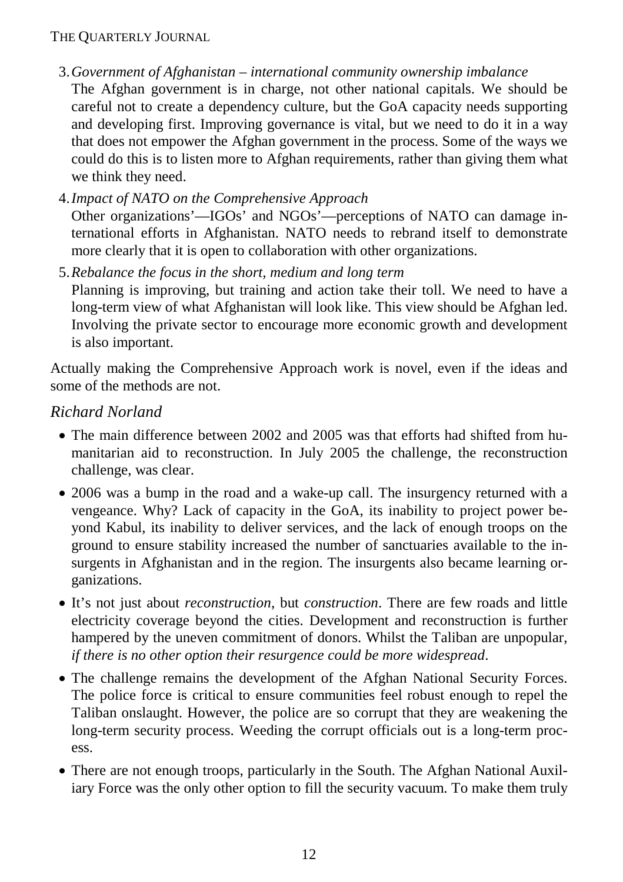- 3.*Government of Afghanistan international community ownership imbalance* The Afghan government is in charge, not other national capitals. We should be careful not to create a dependency culture, but the GoA capacity needs supporting and developing first. Improving governance is vital, but we need to do it in a way that does not empower the Afghan government in the process. Some of the ways we could do this is to listen more to Afghan requirements, rather than giving them what we think they need.
- 4.*Impact of NATO on the Comprehensive Approach*

Other organizations'—IGOs' and NGOs'—perceptions of NATO can damage international efforts in Afghanistan. NATO needs to rebrand itself to demonstrate more clearly that it is open to collaboration with other organizations.

5.*Rebalance the focus in the short, medium and long term*

Planning is improving, but training and action take their toll. We need to have a long-term view of what Afghanistan will look like. This view should be Afghan led. Involving the private sector to encourage more economic growth and development is also important.

Actually making the Comprehensive Approach work is novel, even if the ideas and some of the methods are not.

# *Richard Norland*

- The main difference between 2002 and 2005 was that efforts had shifted from humanitarian aid to reconstruction. In July 2005 the challenge, the reconstruction challenge, was clear.
- 2006 was a bump in the road and a wake-up call. The insurgency returned with a vengeance. Why? Lack of capacity in the GoA, its inability to project power beyond Kabul, its inability to deliver services, and the lack of enough troops on the ground to ensure stability increased the number of sanctuaries available to the insurgents in Afghanistan and in the region. The insurgents also became learning organizations.
- It's not just about *reconstruction*, but *construction*. There are few roads and little electricity coverage beyond the cities. Development and reconstruction is further hampered by the uneven commitment of donors. Whilst the Taliban are unpopular, *if there is no other option their resurgence could be more widespread*.
- The challenge remains the development of the Afghan National Security Forces. The police force is critical to ensure communities feel robust enough to repel the Taliban onslaught. However, the police are so corrupt that they are weakening the long-term security process. Weeding the corrupt officials out is a long-term process.
- There are not enough troops, particularly in the South. The Afghan National Auxiliary Force was the only other option to fill the security vacuum. To make them truly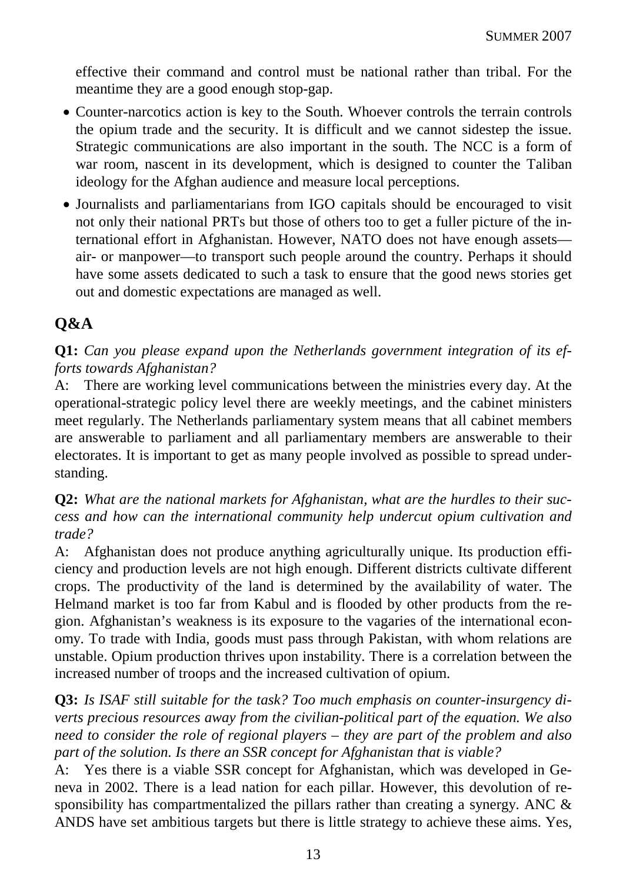effective their command and control must be national rather than tribal. For the meantime they are a good enough stop-gap.

- Counter-narcotics action is key to the South. Whoever controls the terrain controls the opium trade and the security. It is difficult and we cannot sidestep the issue. Strategic communications are also important in the south. The NCC is a form of war room, nascent in its development, which is designed to counter the Taliban ideology for the Afghan audience and measure local perceptions.
- Journalists and parliamentarians from IGO capitals should be encouraged to visit not only their national PRTs but those of others too to get a fuller picture of the international effort in Afghanistan. However, NATO does not have enough assets air- or manpower—to transport such people around the country. Perhaps it should have some assets dedicated to such a task to ensure that the good news stories get out and domestic expectations are managed as well.

# **Q&A**

**Q1:** *Can you please expand upon the Netherlands government integration of its efforts towards Afghanistan?*

A: There are working level communications between the ministries every day. At the operational-strategic policy level there are weekly meetings, and the cabinet ministers meet regularly. The Netherlands parliamentary system means that all cabinet members are answerable to parliament and all parliamentary members are answerable to their electorates. It is important to get as many people involved as possible to spread understanding.

**Q2:** *What are the national markets for Afghanistan, what are the hurdles to their success and how can the international community help undercut opium cultivation and trade?*

A: Afghanistan does not produce anything agriculturally unique. Its production efficiency and production levels are not high enough. Different districts cultivate different crops. The productivity of the land is determined by the availability of water. The Helmand market is too far from Kabul and is flooded by other products from the region. Afghanistan's weakness is its exposure to the vagaries of the international economy. To trade with India, goods must pass through Pakistan, with whom relations are unstable. Opium production thrives upon instability. There is a correlation between the increased number of troops and the increased cultivation of opium.

**Q3:** *Is ISAF still suitable for the task? Too much emphasis on counter-insurgency diverts precious resources away from the civilian-political part of the equation. We also need to consider the role of regional players – they are part of the problem and also part of the solution. Is there an SSR concept for Afghanistan that is viable?*

A: Yes there is a viable SSR concept for Afghanistan, which was developed in Geneva in 2002. There is a lead nation for each pillar. However, this devolution of responsibility has compartmentalized the pillars rather than creating a synergy. ANC  $\&$ ANDS have set ambitious targets but there is little strategy to achieve these aims. Yes,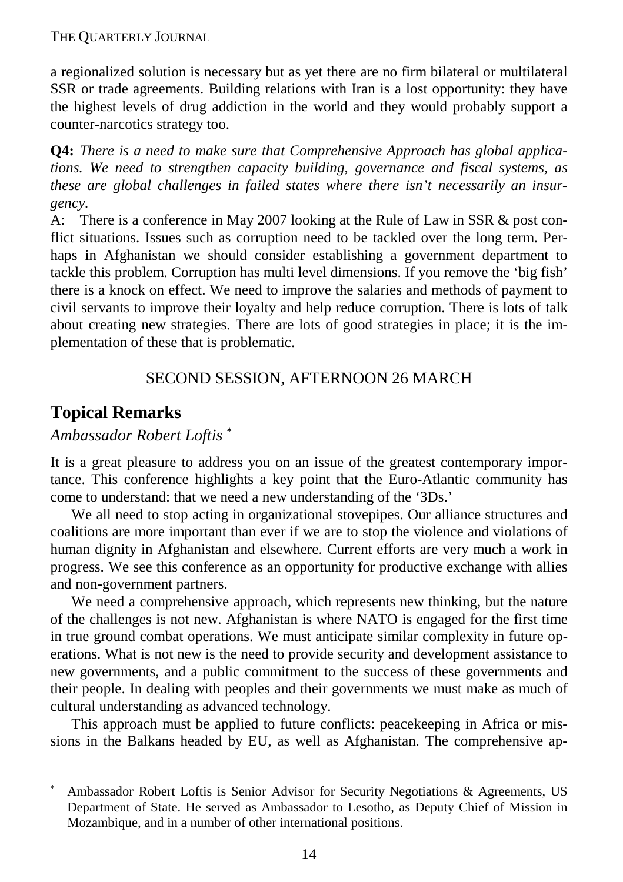a regionalized solution is necessary but as yet there are no firm bilateral or multilateral SSR or trade agreements. Building relations with Iran is a lost opportunity: they have the highest levels of drug addiction in the world and they would probably support a counter-narcotics strategy too.

**Q4:** *There is a need to make sure that Comprehensive Approach has global applications. We need to strengthen capacity building, governance and fiscal systems, as these are global challenges in failed states where there isn't necessarily an insurgency.*

A: There is a conference in May 2007 looking at the Rule of Law in SSR & post conflict situations. Issues such as corruption need to be tackled over the long term. Perhaps in Afghanistan we should consider establishing a government department to tackle this problem. Corruption has multi level dimensions. If you remove the 'big fish' there is a knock on effect. We need to improve the salaries and methods of payment to civil servants to improve their loyalty and help reduce corruption. There is lots of talk about creating new strategies. There are lots of good strategies in place; it is the implementation of these that is problematic.

# SECOND SESSION, AFTERNOON 26 MARCH

# **Topical Remarks**

 $\overline{a}$ 

# *Ambassador Robert Loftis* <sup>∗</sup>

It is a great pleasure to address you on an issue of the greatest contemporary importance. This conference highlights a key point that the Euro-Atlantic community has come to understand: that we need a new understanding of the '3Ds.'

We all need to stop acting in organizational stovepipes. Our alliance structures and coalitions are more important than ever if we are to stop the violence and violations of human dignity in Afghanistan and elsewhere. Current efforts are very much a work in progress. We see this conference as an opportunity for productive exchange with allies and non-government partners.

We need a comprehensive approach, which represents new thinking, but the nature of the challenges is not new. Afghanistan is where NATO is engaged for the first time in true ground combat operations. We must anticipate similar complexity in future operations. What is not new is the need to provide security and development assistance to new governments, and a public commitment to the success of these governments and their people. In dealing with peoples and their governments we must make as much of cultural understanding as advanced technology.

This approach must be applied to future conflicts: peacekeeping in Africa or missions in the Balkans headed by EU, as well as Afghanistan. The comprehensive ap-

<sup>∗</sup> Ambassador Robert Loftis is Senior Advisor for Security Negotiations & Agreements, US Department of State. He served as Ambassador to Lesotho, as Deputy Chief of Mission in Mozambique, and in a number of other international positions.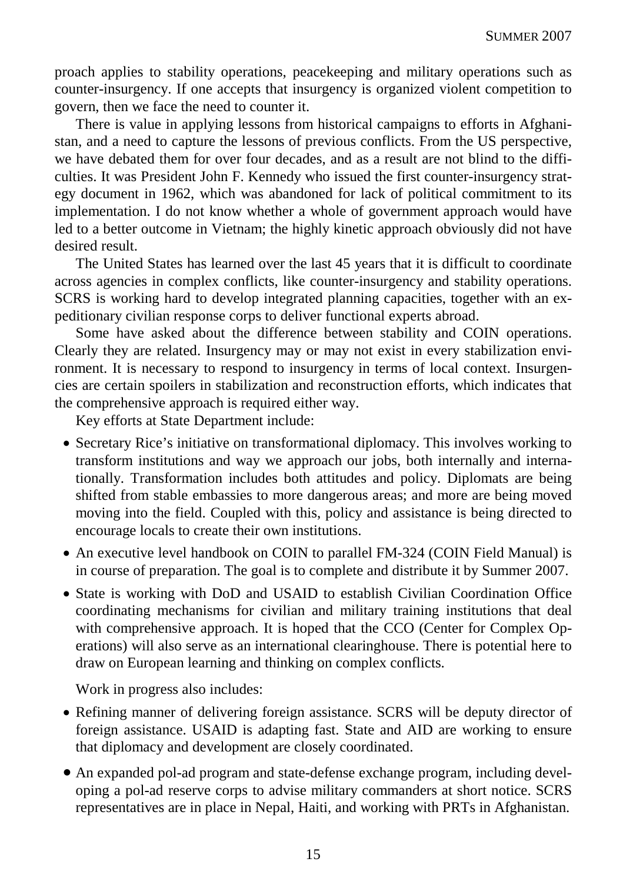proach applies to stability operations, peacekeeping and military operations such as counter-insurgency. If one accepts that insurgency is organized violent competition to govern, then we face the need to counter it.

There is value in applying lessons from historical campaigns to efforts in Afghanistan, and a need to capture the lessons of previous conflicts. From the US perspective, we have debated them for over four decades, and as a result are not blind to the difficulties. It was President John F. Kennedy who issued the first counter-insurgency strategy document in 1962, which was abandoned for lack of political commitment to its implementation. I do not know whether a whole of government approach would have led to a better outcome in Vietnam; the highly kinetic approach obviously did not have desired result.

The United States has learned over the last 45 years that it is difficult to coordinate across agencies in complex conflicts, like counter-insurgency and stability operations. SCRS is working hard to develop integrated planning capacities, together with an expeditionary civilian response corps to deliver functional experts abroad.

Some have asked about the difference between stability and COIN operations. Clearly they are related. Insurgency may or may not exist in every stabilization environment. It is necessary to respond to insurgency in terms of local context. Insurgencies are certain spoilers in stabilization and reconstruction efforts, which indicates that the comprehensive approach is required either way.

Key efforts at State Department include:

- Secretary Rice's initiative on transformational diplomacy. This involves working to transform institutions and way we approach our jobs, both internally and internationally. Transformation includes both attitudes and policy. Diplomats are being shifted from stable embassies to more dangerous areas; and more are being moved moving into the field. Coupled with this, policy and assistance is being directed to encourage locals to create their own institutions.
- An executive level handbook on COIN to parallel FM-324 (COIN Field Manual) is in course of preparation. The goal is to complete and distribute it by Summer 2007.
- State is working with DoD and USAID to establish Civilian Coordination Office coordinating mechanisms for civilian and military training institutions that deal with comprehensive approach. It is hoped that the CCO (Center for Complex Operations) will also serve as an international clearinghouse. There is potential here to draw on European learning and thinking on complex conflicts.

Work in progress also includes:

- Refining manner of delivering foreign assistance. SCRS will be deputy director of foreign assistance. USAID is adapting fast. State and AID are working to ensure that diplomacy and development are closely coordinated.
- An expanded pol-ad program and state-defense exchange program, including developing a pol-ad reserve corps to advise military commanders at short notice. SCRS representatives are in place in Nepal, Haiti, and working with PRTs in Afghanistan.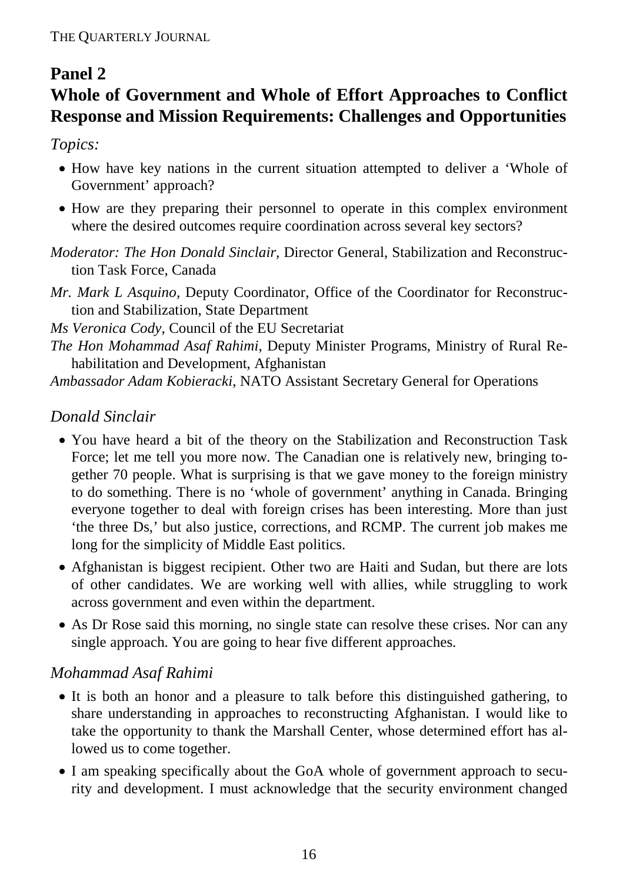# **Panel 2**

# **Whole of Government and Whole of Effort Approaches to Conflict Response and Mission Requirements: Challenges and Opportunities**

*Topics:*

- How have key nations in the current situation attempted to deliver a 'Whole of Government' approach?
- How are they preparing their personnel to operate in this complex environment where the desired outcomes require coordination across several key sectors?
- *Moderator: The Hon Donald Sinclair,* Director General, Stabilization and Reconstruction Task Force, Canada
- *Mr. Mark L Asquino,* Deputy Coordinator, Office of the Coordinator for Reconstruction and Stabilization, State Department

*Ms Veronica Cody*, Council of the EU Secretariat

- *The Hon Mohammad Asaf Rahimi*, Deputy Minister Programs, Ministry of Rural Rehabilitation and Development, Afghanistan
- *Ambassador Adam Kobieracki*, NATO Assistant Secretary General for Operations

# *Donald Sinclair*

- You have heard a bit of the theory on the Stabilization and Reconstruction Task Force; let me tell you more now. The Canadian one is relatively new, bringing together 70 people. What is surprising is that we gave money to the foreign ministry to do something. There is no 'whole of government' anything in Canada. Bringing everyone together to deal with foreign crises has been interesting. More than just 'the three Ds,' but also justice, corrections, and RCMP. The current job makes me long for the simplicity of Middle East politics.
- Afghanistan is biggest recipient. Other two are Haiti and Sudan, but there are lots of other candidates. We are working well with allies, while struggling to work across government and even within the department.
- As Dr Rose said this morning, no single state can resolve these crises. Nor can any single approach. You are going to hear five different approaches.

# *Mohammad Asaf Rahimi*

- It is both an honor and a pleasure to talk before this distinguished gathering, to share understanding in approaches to reconstructing Afghanistan. I would like to take the opportunity to thank the Marshall Center, whose determined effort has allowed us to come together.
- I am speaking specifically about the GoA whole of government approach to security and development. I must acknowledge that the security environment changed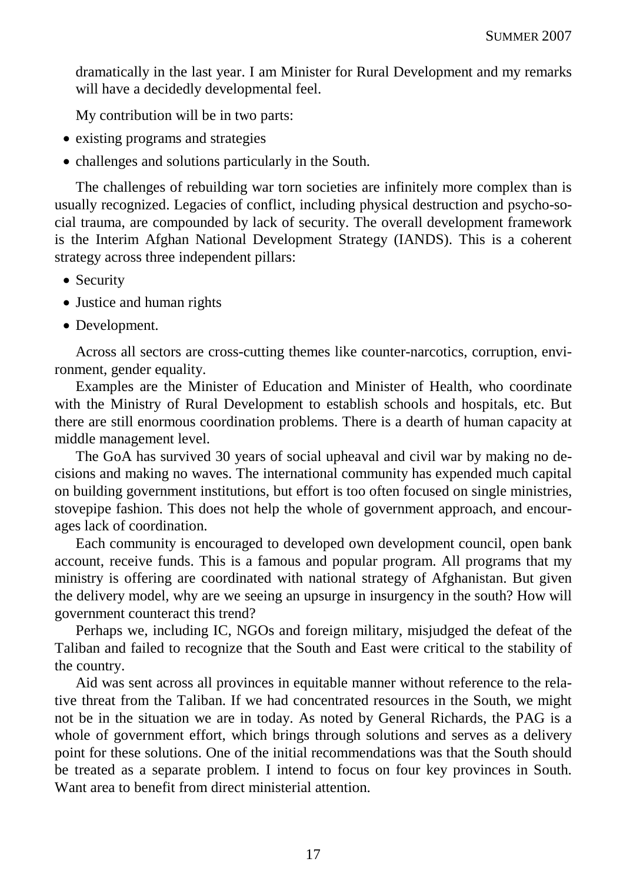dramatically in the last year. I am Minister for Rural Development and my remarks will have a decidedly developmental feel.

My contribution will be in two parts:

- existing programs and strategies
- challenges and solutions particularly in the South.

The challenges of rebuilding war torn societies are infinitely more complex than is usually recognized. Legacies of conflict, including physical destruction and psycho-social trauma, are compounded by lack of security. The overall development framework is the Interim Afghan National Development Strategy (IANDS). This is a coherent strategy across three independent pillars:

- Security
- Justice and human rights
- Development.

Across all sectors are cross-cutting themes like counter-narcotics, corruption, environment, gender equality.

Examples are the Minister of Education and Minister of Health, who coordinate with the Ministry of Rural Development to establish schools and hospitals, etc. But there are still enormous coordination problems. There is a dearth of human capacity at middle management level.

The GoA has survived 30 years of social upheaval and civil war by making no decisions and making no waves. The international community has expended much capital on building government institutions, but effort is too often focused on single ministries, stovepipe fashion. This does not help the whole of government approach, and encourages lack of coordination.

Each community is encouraged to developed own development council, open bank account, receive funds. This is a famous and popular program. All programs that my ministry is offering are coordinated with national strategy of Afghanistan. But given the delivery model, why are we seeing an upsurge in insurgency in the south? How will government counteract this trend?

Perhaps we, including IC, NGOs and foreign military, misjudged the defeat of the Taliban and failed to recognize that the South and East were critical to the stability of the country.

Aid was sent across all provinces in equitable manner without reference to the relative threat from the Taliban. If we had concentrated resources in the South, we might not be in the situation we are in today. As noted by General Richards, the PAG is a whole of government effort, which brings through solutions and serves as a delivery point for these solutions. One of the initial recommendations was that the South should be treated as a separate problem. I intend to focus on four key provinces in South. Want area to benefit from direct ministerial attention.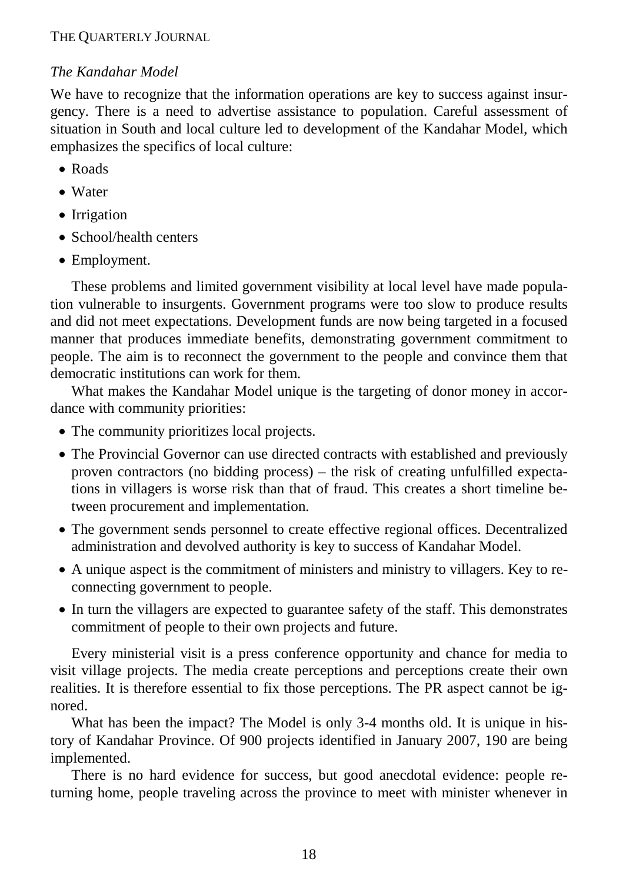# *The Kandahar Model*

We have to recognize that the information operations are key to success against insurgency. There is a need to advertise assistance to population. Careful assessment of situation in South and local culture led to development of the Kandahar Model, which emphasizes the specifics of local culture:

- Roads
- Water
- Irrigation
- School/health centers
- Employment.

These problems and limited government visibility at local level have made population vulnerable to insurgents. Government programs were too slow to produce results and did not meet expectations. Development funds are now being targeted in a focused manner that produces immediate benefits, demonstrating government commitment to people. The aim is to reconnect the government to the people and convince them that democratic institutions can work for them.

What makes the Kandahar Model unique is the targeting of donor money in accordance with community priorities:

- The community prioritizes local projects.
- The Provincial Governor can use directed contracts with established and previously proven contractors (no bidding process) – the risk of creating unfulfilled expectations in villagers is worse risk than that of fraud. This creates a short timeline between procurement and implementation.
- The government sends personnel to create effective regional offices. Decentralized administration and devolved authority is key to success of Kandahar Model.
- A unique aspect is the commitment of ministers and ministry to villagers. Key to reconnecting government to people.
- In turn the villagers are expected to guarantee safety of the staff. This demonstrates commitment of people to their own projects and future.

Every ministerial visit is a press conference opportunity and chance for media to visit village projects. The media create perceptions and perceptions create their own realities. It is therefore essential to fix those perceptions. The PR aspect cannot be ignored.

What has been the impact? The Model is only 3-4 months old. It is unique in history of Kandahar Province. Of 900 projects identified in January 2007, 190 are being implemented.

There is no hard evidence for success, but good anecdotal evidence: people returning home, people traveling across the province to meet with minister whenever in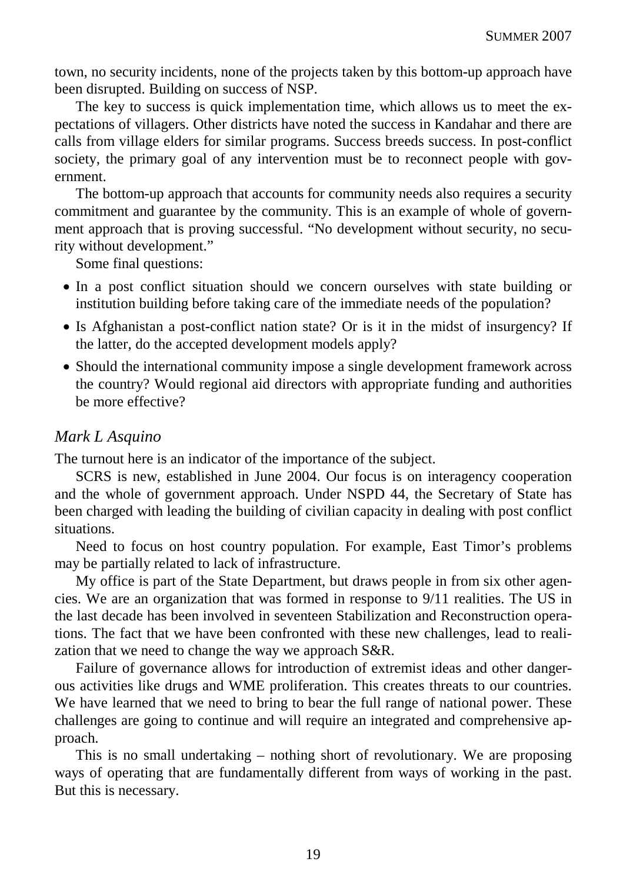town, no security incidents, none of the projects taken by this bottom-up approach have been disrupted. Building on success of NSP.

The key to success is quick implementation time, which allows us to meet the expectations of villagers. Other districts have noted the success in Kandahar and there are calls from village elders for similar programs. Success breeds success. In post-conflict society, the primary goal of any intervention must be to reconnect people with government.

The bottom-up approach that accounts for community needs also requires a security commitment and guarantee by the community. This is an example of whole of government approach that is proving successful. "No development without security, no security without development."

Some final questions:

- In a post conflict situation should we concern ourselves with state building or institution building before taking care of the immediate needs of the population?
- Is Afghanistan a post-conflict nation state? Or is it in the midst of insurgency? If the latter, do the accepted development models apply?
- Should the international community impose a single development framework across the country? Would regional aid directors with appropriate funding and authorities be more effective?

#### *Mark L Asquino*

The turnout here is an indicator of the importance of the subject.

SCRS is new, established in June 2004. Our focus is on interagency cooperation and the whole of government approach. Under NSPD 44, the Secretary of State has been charged with leading the building of civilian capacity in dealing with post conflict situations.

Need to focus on host country population. For example, East Timor's problems may be partially related to lack of infrastructure.

My office is part of the State Department, but draws people in from six other agencies. We are an organization that was formed in response to 9/11 realities. The US in the last decade has been involved in seventeen Stabilization and Reconstruction operations. The fact that we have been confronted with these new challenges, lead to realization that we need to change the way we approach S&R.

Failure of governance allows for introduction of extremist ideas and other dangerous activities like drugs and WME proliferation. This creates threats to our countries. We have learned that we need to bring to bear the full range of national power. These challenges are going to continue and will require an integrated and comprehensive approach.

This is no small undertaking – nothing short of revolutionary. We are proposing ways of operating that are fundamentally different from ways of working in the past. But this is necessary.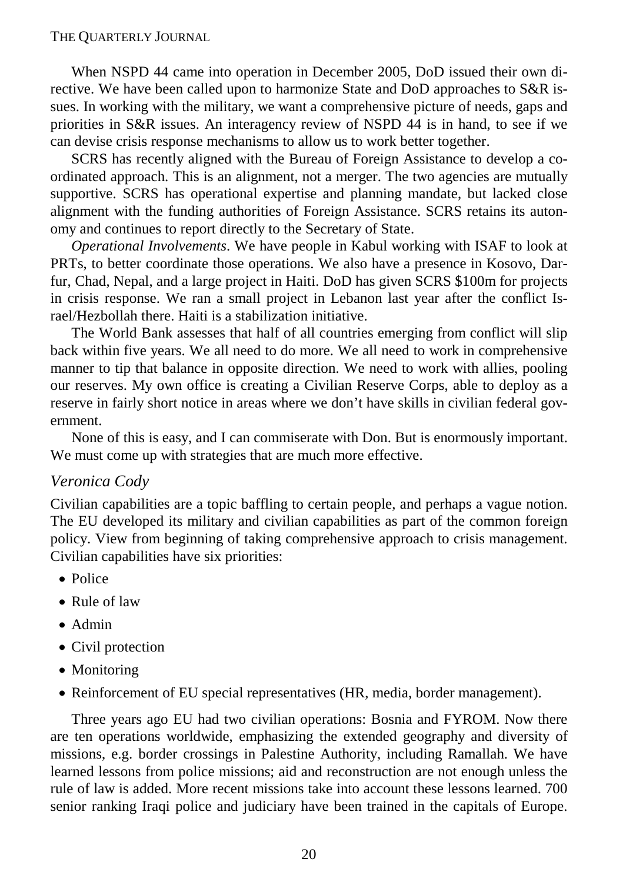When NSPD 44 came into operation in December 2005, DoD issued their own directive. We have been called upon to harmonize State and DoD approaches to S&R issues. In working with the military, we want a comprehensive picture of needs, gaps and priorities in S&R issues. An interagency review of NSPD 44 is in hand, to see if we can devise crisis response mechanisms to allow us to work better together.

SCRS has recently aligned with the Bureau of Foreign Assistance to develop a coordinated approach. This is an alignment, not a merger. The two agencies are mutually supportive. SCRS has operational expertise and planning mandate, but lacked close alignment with the funding authorities of Foreign Assistance. SCRS retains its autonomy and continues to report directly to the Secretary of State.

*Operational Involvements*. We have people in Kabul working with ISAF to look at PRTs, to better coordinate those operations. We also have a presence in Kosovo, Darfur, Chad, Nepal, and a large project in Haiti. DoD has given SCRS \$100m for projects in crisis response. We ran a small project in Lebanon last year after the conflict Israel/Hezbollah there. Haiti is a stabilization initiative.

The World Bank assesses that half of all countries emerging from conflict will slip back within five years. We all need to do more. We all need to work in comprehensive manner to tip that balance in opposite direction. We need to work with allies, pooling our reserves. My own office is creating a Civilian Reserve Corps, able to deploy as a reserve in fairly short notice in areas where we don't have skills in civilian federal government.

None of this is easy, and I can commiserate with Don. But is enormously important. We must come up with strategies that are much more effective.

#### *Veronica Cody*

Civilian capabilities are a topic baffling to certain people, and perhaps a vague notion. The EU developed its military and civilian capabilities as part of the common foreign policy. View from beginning of taking comprehensive approach to crisis management. Civilian capabilities have six priorities:

- Police
- Rule of law
- Admin
- Civil protection
- Monitoring
- Reinforcement of EU special representatives (HR, media, border management).

Three years ago EU had two civilian operations: Bosnia and FYROM. Now there are ten operations worldwide, emphasizing the extended geography and diversity of missions, e.g. border crossings in Palestine Authority, including Ramallah. We have learned lessons from police missions; aid and reconstruction are not enough unless the rule of law is added. More recent missions take into account these lessons learned. 700 senior ranking Iraqi police and judiciary have been trained in the capitals of Europe.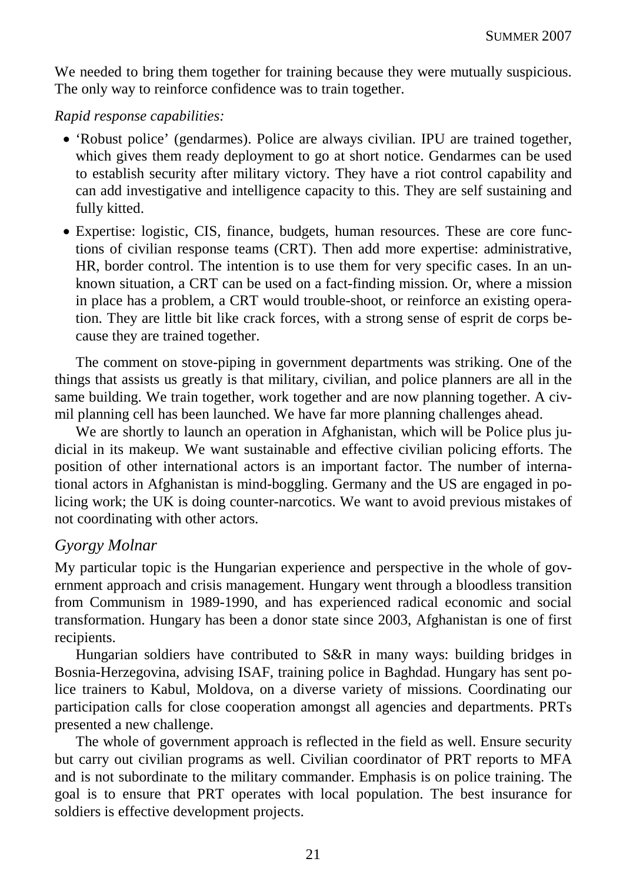We needed to bring them together for training because they were mutually suspicious. The only way to reinforce confidence was to train together.

#### *Rapid response capabilities:*

- 'Robust police' (gendarmes). Police are always civilian. IPU are trained together, which gives them ready deployment to go at short notice. Gendarmes can be used to establish security after military victory. They have a riot control capability and can add investigative and intelligence capacity to this. They are self sustaining and fully kitted.
- Expertise: logistic, CIS, finance, budgets, human resources. These are core functions of civilian response teams (CRT). Then add more expertise: administrative, HR, border control. The intention is to use them for very specific cases. In an unknown situation, a CRT can be used on a fact-finding mission. Or, where a mission in place has a problem, a CRT would trouble-shoot, or reinforce an existing operation. They are little bit like crack forces, with a strong sense of esprit de corps because they are trained together.

The comment on stove-piping in government departments was striking. One of the things that assists us greatly is that military, civilian, and police planners are all in the same building. We train together, work together and are now planning together. A civmil planning cell has been launched. We have far more planning challenges ahead.

We are shortly to launch an operation in Afghanistan, which will be Police plus judicial in its makeup. We want sustainable and effective civilian policing efforts. The position of other international actors is an important factor. The number of international actors in Afghanistan is mind-boggling. Germany and the US are engaged in policing work; the UK is doing counter-narcotics. We want to avoid previous mistakes of not coordinating with other actors.

#### *Gyorgy Molnar*

My particular topic is the Hungarian experience and perspective in the whole of government approach and crisis management. Hungary went through a bloodless transition from Communism in 1989-1990, and has experienced radical economic and social transformation. Hungary has been a donor state since 2003, Afghanistan is one of first recipients.

Hungarian soldiers have contributed to S&R in many ways: building bridges in Bosnia-Herzegovina, advising ISAF, training police in Baghdad. Hungary has sent police trainers to Kabul, Moldova, on a diverse variety of missions. Coordinating our participation calls for close cooperation amongst all agencies and departments. PRTs presented a new challenge.

The whole of government approach is reflected in the field as well. Ensure security but carry out civilian programs as well. Civilian coordinator of PRT reports to MFA and is not subordinate to the military commander. Emphasis is on police training. The goal is to ensure that PRT operates with local population. The best insurance for soldiers is effective development projects.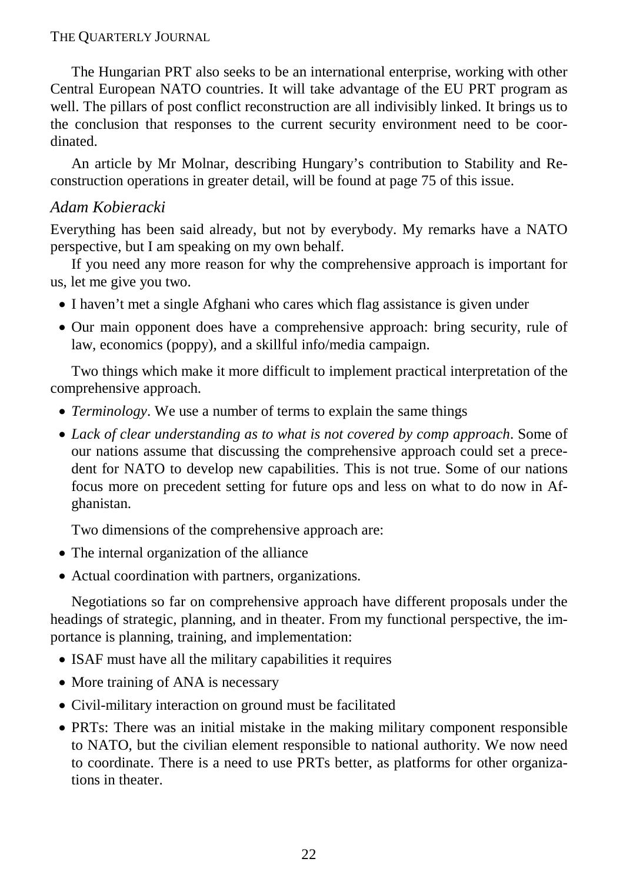The Hungarian PRT also seeks to be an international enterprise, working with other Central European NATO countries. It will take advantage of the EU PRT program as well. The pillars of post conflict reconstruction are all indivisibly linked. It brings us to the conclusion that responses to the current security environment need to be coordinated.

An article by Mr Molnar, describing Hungary's contribution to Stability and Reconstruction operations in greater detail, will be found at page 75 of this issue.

# *Adam Kobieracki*

Everything has been said already, but not by everybody. My remarks have a NATO perspective, but I am speaking on my own behalf.

If you need any more reason for why the comprehensive approach is important for us, let me give you two.

- I haven't met a single Afghani who cares which flag assistance is given under
- Our main opponent does have a comprehensive approach: bring security, rule of law, economics (poppy), and a skillful info/media campaign.

Two things which make it more difficult to implement practical interpretation of the comprehensive approach.

- *Terminology*. We use a number of terms to explain the same things
- *Lack of clear understanding as to what is not covered by comp approach*. Some of our nations assume that discussing the comprehensive approach could set a precedent for NATO to develop new capabilities. This is not true. Some of our nations focus more on precedent setting for future ops and less on what to do now in Afghanistan.

Two dimensions of the comprehensive approach are:

- The internal organization of the alliance
- Actual coordination with partners, organizations.

Negotiations so far on comprehensive approach have different proposals under the headings of strategic, planning, and in theater. From my functional perspective, the importance is planning, training, and implementation:

- ISAF must have all the military capabilities it requires
- More training of ANA is necessary
- Civil-military interaction on ground must be facilitated
- PRTs: There was an initial mistake in the making military component responsible to NATO, but the civilian element responsible to national authority. We now need to coordinate. There is a need to use PRTs better, as platforms for other organizations in theater.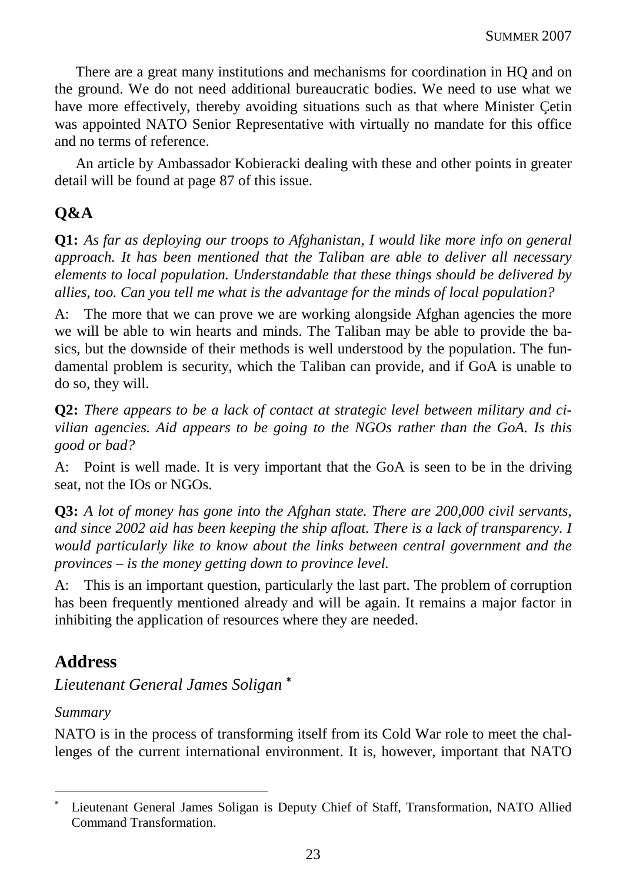There are a great many institutions and mechanisms for coordination in HQ and on the ground. We do not need additional bureaucratic bodies. We need to use what we have more effectively, thereby avoiding situations such as that where Minister Çetin was appointed NATO Senior Representative with virtually no mandate for this office and no terms of reference.

An article by Ambassador Kobieracki dealing with these and other points in greater detail will be found at page 87 of this issue.

# **Q&A**

**Q1:** *As far as deploying our troops to Afghanistan, I would like more info on general approach. It has been mentioned that the Taliban are able to deliver all necessary elements to local population. Understandable that these things should be delivered by allies, too. Can you tell me what is the advantage for the minds of local population?*

A: The more that we can prove we are working alongside Afghan agencies the more we will be able to win hearts and minds. The Taliban may be able to provide the basics, but the downside of their methods is well understood by the population. The fundamental problem is security, which the Taliban can provide, and if GoA is unable to do so, they will.

**Q2:** *There appears to be a lack of contact at strategic level between military and civilian agencies. Aid appears to be going to the NGOs rather than the GoA. Is this good or bad?*

A: Point is well made. It is very important that the GoA is seen to be in the driving seat, not the IOs or NGOs.

**Q3:** *A lot of money has gone into the Afghan state. There are 200,000 civil servants, and since 2002 aid has been keeping the ship afloat. There is a lack of transparency. I would particularly like to know about the links between central government and the provinces – is the money getting down to province level.*

A: This is an important question, particularly the last part. The problem of corruption has been frequently mentioned already and will be again. It remains a major factor in inhibiting the application of resources where they are needed.

# **Address**

*Lieutenant General James Soligan* <sup>∗</sup>

*Summary* 

 $\overline{a}$ 

NATO is in the process of transforming itself from its Cold War role to meet the challenges of the current international environment. It is, however, important that NATO

<sup>∗</sup> Lieutenant General James Soligan is Deputy Chief of Staff, Transformation, NATO Allied Command Transformation.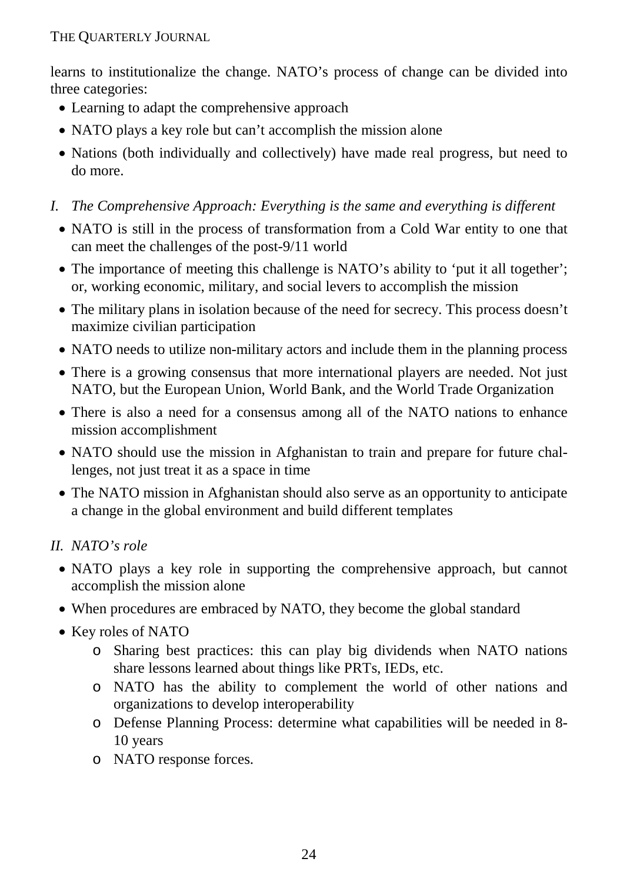learns to institutionalize the change. NATO's process of change can be divided into three categories:

- Learning to adapt the comprehensive approach
- NATO plays a key role but can't accomplish the mission alone
- Nations (both individually and collectively) have made real progress, but need to do more.
- *I. The Comprehensive Approach: Everything is the same and everything is different* 
	- NATO is still in the process of transformation from a Cold War entity to one that can meet the challenges of the post-9/11 world
	- The importance of meeting this challenge is NATO's ability to 'put it all together'; or, working economic, military, and social levers to accomplish the mission
	- The military plans in isolation because of the need for secrecy. This process doesn't maximize civilian participation
	- NATO needs to utilize non-military actors and include them in the planning process
	- There is a growing consensus that more international players are needed. Not just NATO, but the European Union, World Bank, and the World Trade Organization
	- There is also a need for a consensus among all of the NATO nations to enhance mission accomplishment
	- NATO should use the mission in Afghanistan to train and prepare for future challenges, not just treat it as a space in time
	- The NATO mission in Afghanistan should also serve as an opportunity to anticipate a change in the global environment and build different templates

# *II. NATO's role*

- NATO plays a key role in supporting the comprehensive approach, but cannot accomplish the mission alone
- When procedures are embraced by NATO, they become the global standard
- Key roles of NATO
	- o Sharing best practices: this can play big dividends when NATO nations share lessons learned about things like PRTs, IEDs, etc.
	- o NATO has the ability to complement the world of other nations and organizations to develop interoperability
	- o Defense Planning Process: determine what capabilities will be needed in 8- 10 years
	- o NATO response forces.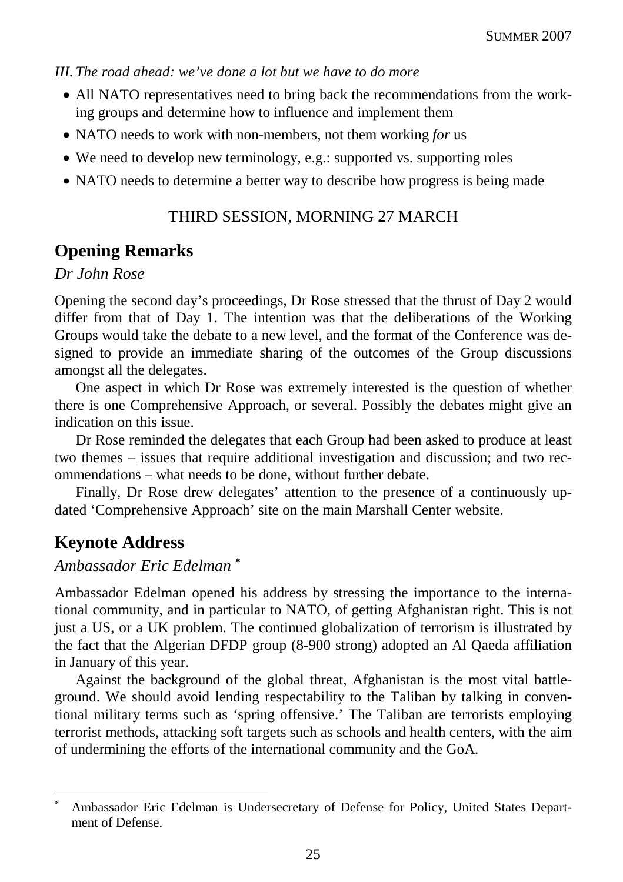*III. The road ahead: we've done a lot but we have to do more* 

- All NATO representatives need to bring back the recommendations from the working groups and determine how to influence and implement them
- NATO needs to work with non-members, not them working *for* us
- We need to develop new terminology, e.g.: supported vs. supporting roles
- NATO needs to determine a better way to describe how progress is being made

## THIRD SESSION, MORNING 27 MARCH

# **Opening Remarks**

#### *Dr John Rose*

Opening the second day's proceedings, Dr Rose stressed that the thrust of Day 2 would differ from that of Day 1. The intention was that the deliberations of the Working Groups would take the debate to a new level, and the format of the Conference was designed to provide an immediate sharing of the outcomes of the Group discussions amongst all the delegates.

One aspect in which Dr Rose was extremely interested is the question of whether there is one Comprehensive Approach, or several. Possibly the debates might give an indication on this issue.

Dr Rose reminded the delegates that each Group had been asked to produce at least two themes – issues that require additional investigation and discussion; and two recommendations – what needs to be done, without further debate.

Finally, Dr Rose drew delegates' attention to the presence of a continuously updated 'Comprehensive Approach' site on the main Marshall Center website.

# **Keynote Address**

 $\overline{a}$ 

#### *Ambassador Eric Edelman* <sup>∗</sup>

Ambassador Edelman opened his address by stressing the importance to the international community, and in particular to NATO, of getting Afghanistan right. This is not just a US, or a UK problem. The continued globalization of terrorism is illustrated by the fact that the Algerian DFDP group (8-900 strong) adopted an Al Qaeda affiliation in January of this year.

Against the background of the global threat, Afghanistan is the most vital battleground. We should avoid lending respectability to the Taliban by talking in conventional military terms such as 'spring offensive.' The Taliban are terrorists employing terrorist methods, attacking soft targets such as schools and health centers, with the aim of undermining the efforts of the international community and the GoA.

<sup>∗</sup> Ambassador Eric Edelman is Undersecretary of Defense for Policy, United States Department of Defense.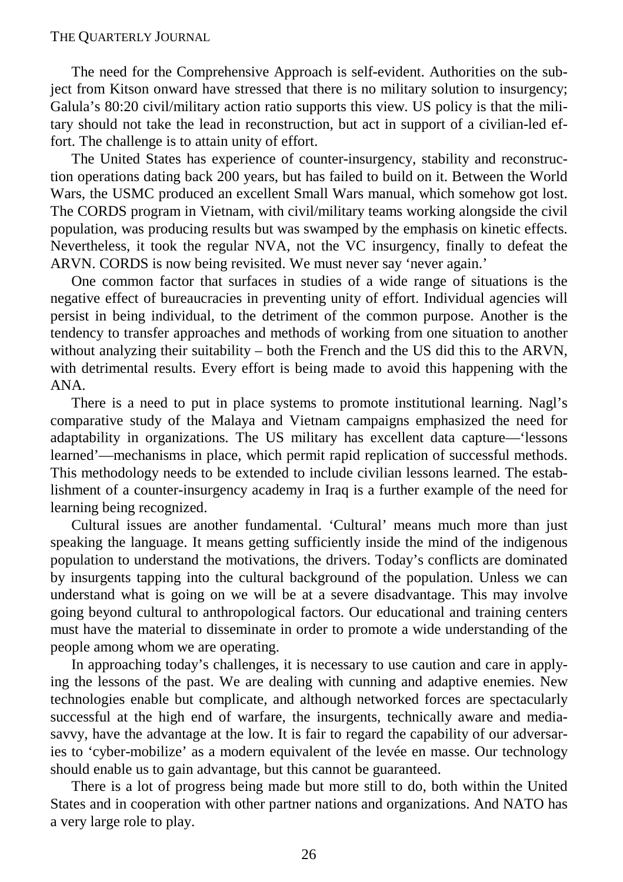The need for the Comprehensive Approach is self-evident. Authorities on the subject from Kitson onward have stressed that there is no military solution to insurgency; Galula's 80:20 civil/military action ratio supports this view. US policy is that the military should not take the lead in reconstruction, but act in support of a civilian-led effort. The challenge is to attain unity of effort.

The United States has experience of counter-insurgency, stability and reconstruction operations dating back 200 years, but has failed to build on it. Between the World Wars, the USMC produced an excellent Small Wars manual, which somehow got lost. The CORDS program in Vietnam, with civil/military teams working alongside the civil population, was producing results but was swamped by the emphasis on kinetic effects. Nevertheless, it took the regular NVA, not the VC insurgency, finally to defeat the ARVN. CORDS is now being revisited. We must never say 'never again.'

One common factor that surfaces in studies of a wide range of situations is the negative effect of bureaucracies in preventing unity of effort. Individual agencies will persist in being individual, to the detriment of the common purpose. Another is the tendency to transfer approaches and methods of working from one situation to another without analyzing their suitability  $-$  both the French and the US did this to the ARVN, with detrimental results. Every effort is being made to avoid this happening with the ANA.

There is a need to put in place systems to promote institutional learning. Nagl's comparative study of the Malaya and Vietnam campaigns emphasized the need for adaptability in organizations. The US military has excellent data capture—'lessons learned'—mechanisms in place, which permit rapid replication of successful methods. This methodology needs to be extended to include civilian lessons learned. The establishment of a counter-insurgency academy in Iraq is a further example of the need for learning being recognized.

Cultural issues are another fundamental. 'Cultural' means much more than just speaking the language. It means getting sufficiently inside the mind of the indigenous population to understand the motivations, the drivers. Today's conflicts are dominated by insurgents tapping into the cultural background of the population. Unless we can understand what is going on we will be at a severe disadvantage. This may involve going beyond cultural to anthropological factors. Our educational and training centers must have the material to disseminate in order to promote a wide understanding of the people among whom we are operating.

In approaching today's challenges, it is necessary to use caution and care in applying the lessons of the past. We are dealing with cunning and adaptive enemies. New technologies enable but complicate, and although networked forces are spectacularly successful at the high end of warfare, the insurgents, technically aware and mediasavvy, have the advantage at the low. It is fair to regard the capability of our adversaries to 'cyber-mobilize' as a modern equivalent of the levée en masse. Our technology should enable us to gain advantage, but this cannot be guaranteed.

There is a lot of progress being made but more still to do, both within the United States and in cooperation with other partner nations and organizations. And NATO has a very large role to play.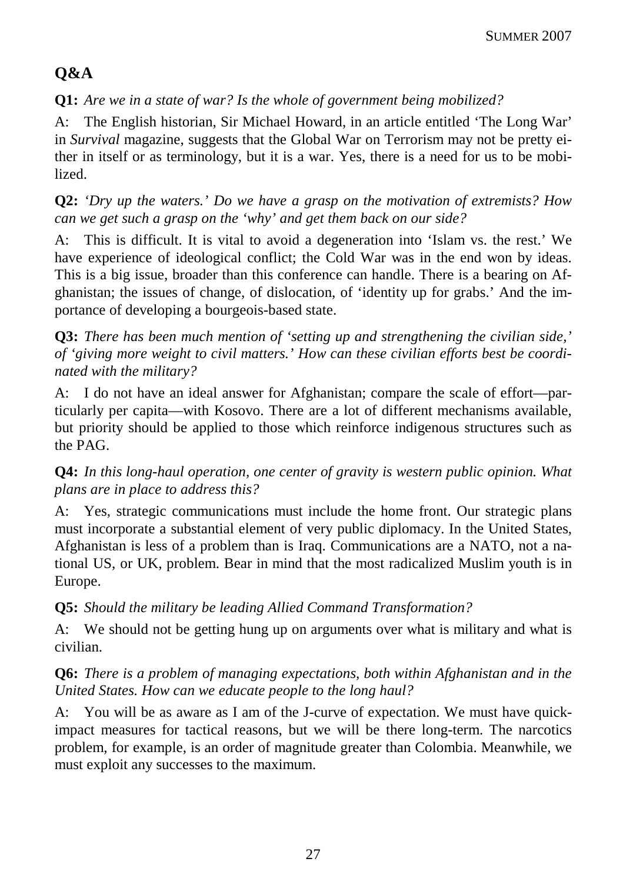# **Q&A**

**Q1:** *Are we in a state of war? Is the whole of government being mobilized?*

A: The English historian, Sir Michael Howard, in an article entitled 'The Long War' in *Survival* magazine, suggests that the Global War on Terrorism may not be pretty either in itself or as terminology, but it is a war. Yes, there is a need for us to be mobilized.

**Q2:** *'Dry up the waters.' Do we have a grasp on the motivation of extremists? How can we get such a grasp on the 'why' and get them back on our side?*

A: This is difficult. It is vital to avoid a degeneration into 'Islam vs. the rest.' We have experience of ideological conflict; the Cold War was in the end won by ideas. This is a big issue, broader than this conference can handle. There is a bearing on Afghanistan; the issues of change, of dislocation, of 'identity up for grabs.' And the importance of developing a bourgeois-based state.

**Q3:** *There has been much mention of 'setting up and strengthening the civilian side,' of 'giving more weight to civil matters.' How can these civilian efforts best be coordinated with the military?*

A: I do not have an ideal answer for Afghanistan; compare the scale of effort—particularly per capita—with Kosovo. There are a lot of different mechanisms available, but priority should be applied to those which reinforce indigenous structures such as the PAG.

**Q4:** *In this long-haul operation, one center of gravity is western public opinion. What plans are in place to address this?*

A: Yes, strategic communications must include the home front. Our strategic plans must incorporate a substantial element of very public diplomacy. In the United States, Afghanistan is less of a problem than is Iraq. Communications are a NATO, not a national US, or UK, problem. Bear in mind that the most radicalized Muslim youth is in Europe.

# **Q5:** *Should the military be leading Allied Command Transformation?*

A: We should not be getting hung up on arguments over what is military and what is civilian.

# **Q6:** *There is a problem of managing expectations, both within Afghanistan and in the United States. How can we educate people to the long haul?*

A: You will be as aware as I am of the J-curve of expectation. We must have quickimpact measures for tactical reasons, but we will be there long-term. The narcotics problem, for example, is an order of magnitude greater than Colombia. Meanwhile, we must exploit any successes to the maximum.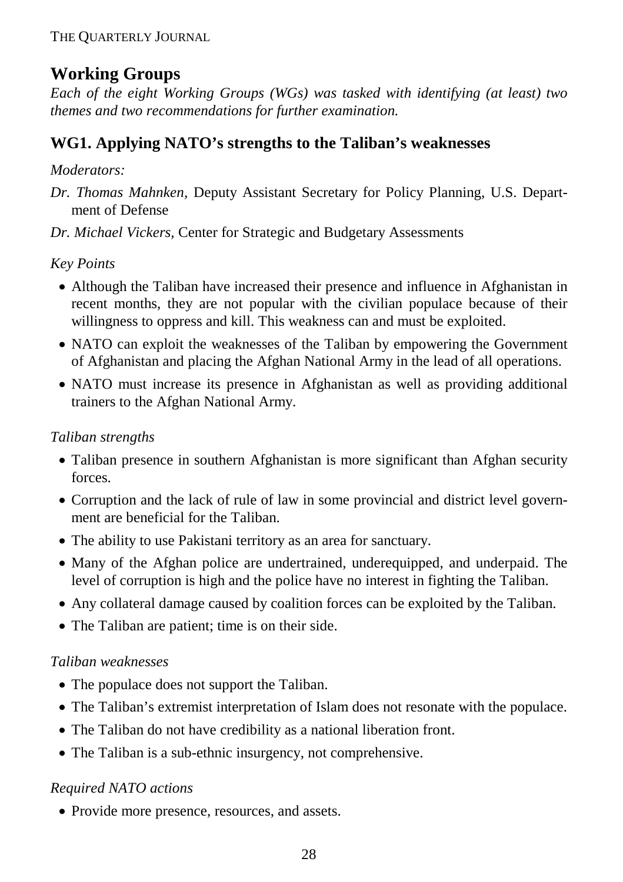# **Working Groups**

*Each of the eight Working Groups (WGs) was tasked with identifying (at least) two themes and two recommendations for further examination.* 

# **WG1. Applying NATO's strengths to the Taliban's weaknesses**

## *Moderators:*

- *Dr. Thomas Mahnken,* Deputy Assistant Secretary for Policy Planning, U.S. Department of Defense
- *Dr. Michael Vickers,* Center for Strategic and Budgetary Assessments

*Key Points* 

- Although the Taliban have increased their presence and influence in Afghanistan in recent months, they are not popular with the civilian populace because of their willingness to oppress and kill. This weakness can and must be exploited.
- NATO can exploit the weaknesses of the Taliban by empowering the Government of Afghanistan and placing the Afghan National Army in the lead of all operations.
- NATO must increase its presence in Afghanistan as well as providing additional trainers to the Afghan National Army.

## *Taliban strengths*

- Taliban presence in southern Afghanistan is more significant than Afghan security forces.
- Corruption and the lack of rule of law in some provincial and district level government are beneficial for the Taliban.
- The ability to use Pakistani territory as an area for sanctuary.
- Many of the Afghan police are undertrained, underequipped, and underpaid. The level of corruption is high and the police have no interest in fighting the Taliban.
- Any collateral damage caused by coalition forces can be exploited by the Taliban.
- The Taliban are patient; time is on their side.

# *Taliban weaknesses*

- The populace does not support the Taliban.
- The Taliban's extremist interpretation of Islam does not resonate with the populace.
- The Taliban do not have credibility as a national liberation front.
- The Taliban is a sub-ethnic insurgency, not comprehensive.

# *Required NATO actions*

• Provide more presence, resources, and assets.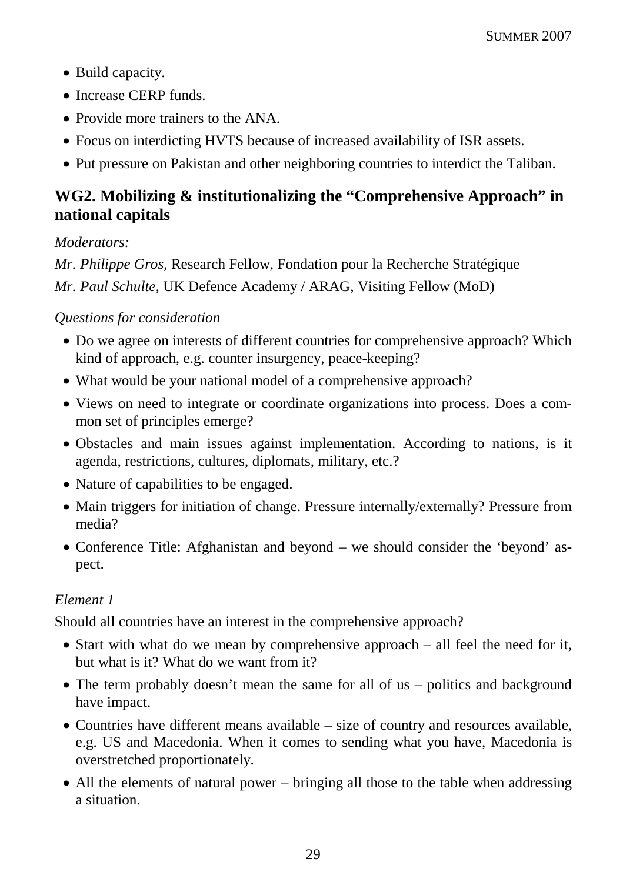- Build capacity.
- Increase CERP funds.
- Provide more trainers to the ANA.
- Focus on interdicting HVTS because of increased availability of ISR assets.
- Put pressure on Pakistan and other neighboring countries to interdict the Taliban.

# **WG2. Mobilizing & institutionalizing the "Comprehensive Approach" in national capitals**

#### *Moderators:*

*Mr. Philippe Gros,* Research Fellow, Fondation pour la Recherche Stratégique *Mr. Paul Schulte,* UK Defence Academy / ARAG, Visiting Fellow (MoD)

## *Questions for consideration*

- Do we agree on interests of different countries for comprehensive approach? Which kind of approach, e.g. counter insurgency, peace-keeping?
- What would be your national model of a comprehensive approach?
- Views on need to integrate or coordinate organizations into process. Does a common set of principles emerge?
- Obstacles and main issues against implementation. According to nations, is it agenda, restrictions, cultures, diplomats, military, etc.?
- Nature of capabilities to be engaged.
- Main triggers for initiation of change. Pressure internally/externally? Pressure from media?
- Conference Title: Afghanistan and beyond we should consider the 'beyond' aspect.

# *Element 1*

Should all countries have an interest in the comprehensive approach?

- Start with what do we mean by comprehensive approach all feel the need for it, but what is it? What do we want from it?
- The term probably doesn't mean the same for all of us politics and background have impact.
- Countries have different means available size of country and resources available, e.g. US and Macedonia. When it comes to sending what you have, Macedonia is overstretched proportionately.
- All the elements of natural power bringing all those to the table when addressing a situation.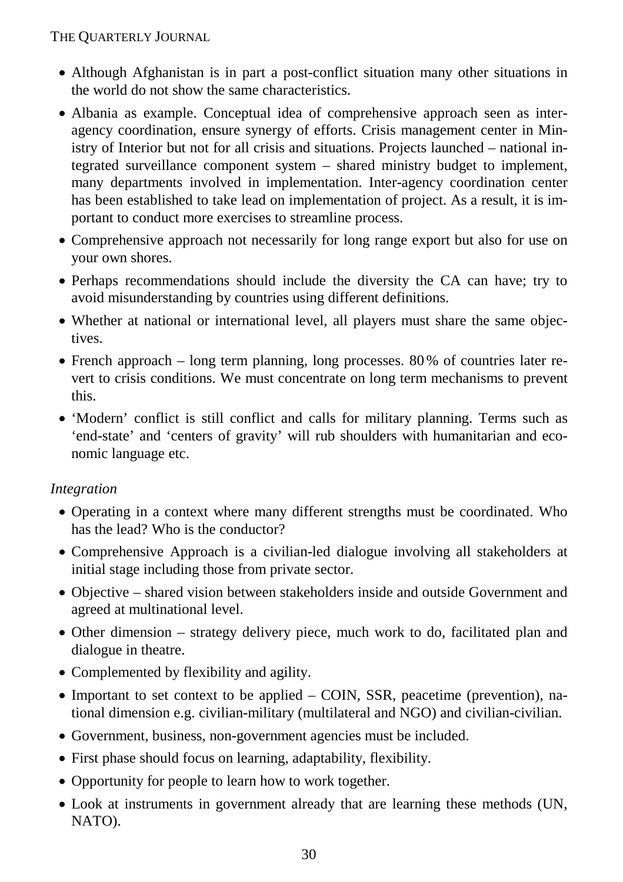- Although Afghanistan is in part a post-conflict situation many other situations in the world do not show the same characteristics.
- Albania as example. Conceptual idea of comprehensive approach seen as interagency coordination, ensure synergy of efforts. Crisis management center in Ministry of Interior but not for all crisis and situations. Projects launched – national integrated surveillance component system – shared ministry budget to implement, many departments involved in implementation. Inter-agency coordination center has been established to take lead on implementation of project. As a result, it is important to conduct more exercises to streamline process.
- Comprehensive approach not necessarily for long range export but also for use on your own shores.
- Perhaps recommendations should include the diversity the CA can have; try to avoid misunderstanding by countries using different definitions.
- Whether at national or international level, all players must share the same objectives.
- French approach long term planning, long processes. 80% of countries later revert to crisis conditions. We must concentrate on long term mechanisms to prevent this.
- 'Modern' conflict is still conflict and calls for military planning. Terms such as 'end-state' and 'centers of gravity' will rub shoulders with humanitarian and economic language etc.

# *Integration*

- Operating in a context where many different strengths must be coordinated. Who has the lead? Who is the conductor?
- Comprehensive Approach is a civilian-led dialogue involving all stakeholders at initial stage including those from private sector.
- Objective shared vision between stakeholders inside and outside Government and agreed at multinational level.
- Other dimension strategy delivery piece, much work to do, facilitated plan and dialogue in theatre.
- Complemented by flexibility and agility.
- Important to set context to be applied COIN, SSR, peacetime (prevention), national dimension e.g. civilian-military (multilateral and NGO) and civilian-civilian.
- Government, business, non-government agencies must be included.
- First phase should focus on learning, adaptability, flexibility.
- Opportunity for people to learn how to work together.
- Look at instruments in government already that are learning these methods (UN, NATO).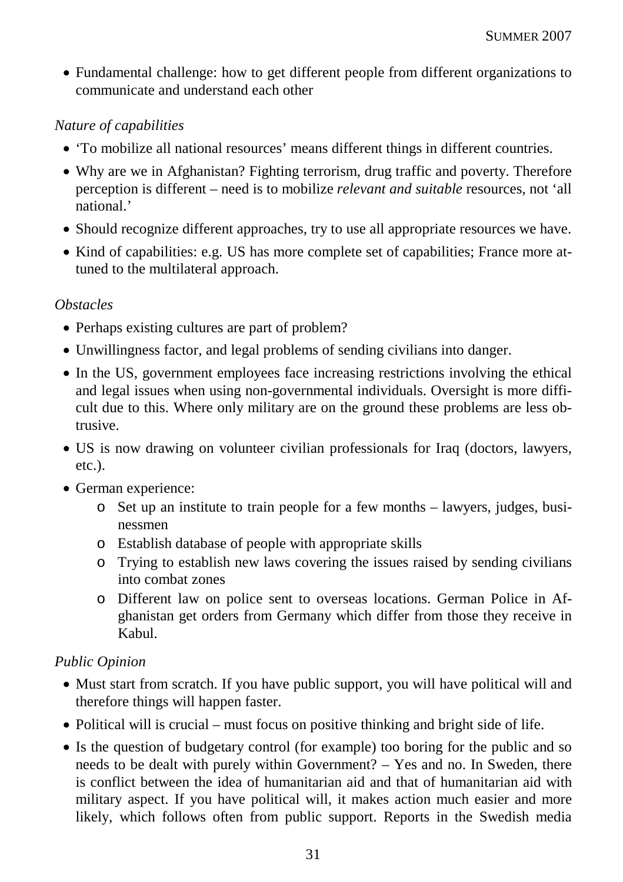• Fundamental challenge: how to get different people from different organizations to communicate and understand each other

### *Nature of capabilities*

- 'To mobilize all national resources' means different things in different countries.
- Why are we in Afghanistan? Fighting terrorism, drug traffic and poverty. Therefore perception is different – need is to mobilize *relevant and suitable* resources, not 'all national<sup>'</sup>
- Should recognize different approaches, try to use all appropriate resources we have.
- Kind of capabilities: e.g. US has more complete set of capabilities; France more attuned to the multilateral approach.

## *Obstacles*

- Perhaps existing cultures are part of problem?
- Unwillingness factor, and legal problems of sending civilians into danger.
- In the US, government employees face increasing restrictions involving the ethical and legal issues when using non-governmental individuals. Oversight is more difficult due to this. Where only military are on the ground these problems are less obtrusive.
- US is now drawing on volunteer civilian professionals for Iraq (doctors, lawyers, etc.).
- German experience:
	- o Set up an institute to train people for a few months lawyers, judges, businessmen
	- o Establish database of people with appropriate skills
	- o Trying to establish new laws covering the issues raised by sending civilians into combat zones
	- o Different law on police sent to overseas locations. German Police in Afghanistan get orders from Germany which differ from those they receive in Kabul.

# *Public Opinion*

- Must start from scratch. If you have public support, you will have political will and therefore things will happen faster.
- Political will is crucial must focus on positive thinking and bright side of life.
- Is the question of budgetary control (for example) too boring for the public and so needs to be dealt with purely within Government? – Yes and no. In Sweden, there is conflict between the idea of humanitarian aid and that of humanitarian aid with military aspect. If you have political will, it makes action much easier and more likely, which follows often from public support. Reports in the Swedish media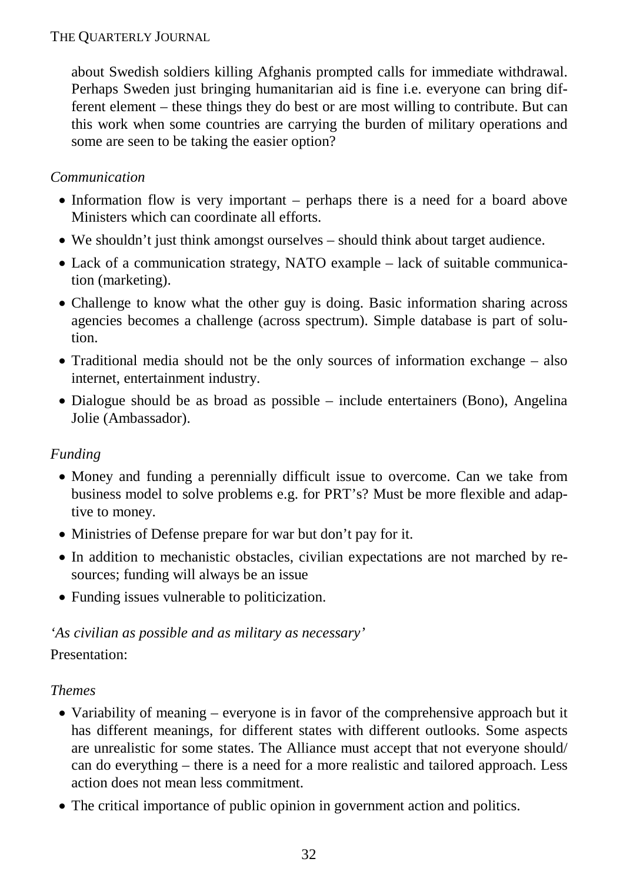about Swedish soldiers killing Afghanis prompted calls for immediate withdrawal. Perhaps Sweden just bringing humanitarian aid is fine i.e. everyone can bring different element – these things they do best or are most willing to contribute. But can this work when some countries are carrying the burden of military operations and some are seen to be taking the easier option?

## *Communication*

- Information flow is very important perhaps there is a need for a board above Ministers which can coordinate all efforts.
- We shouldn't just think amongst ourselves should think about target audience.
- Lack of a communication strategy, NATO example lack of suitable communication (marketing).
- Challenge to know what the other guy is doing. Basic information sharing across agencies becomes a challenge (across spectrum). Simple database is part of solution.
- Traditional media should not be the only sources of information exchange also internet, entertainment industry.
- Dialogue should be as broad as possible include entertainers (Bono), Angelina Jolie (Ambassador).

#### *Funding*

- Money and funding a perennially difficult issue to overcome. Can we take from business model to solve problems e.g. for PRT's? Must be more flexible and adaptive to money.
- Ministries of Defense prepare for war but don't pay for it.
- In addition to mechanistic obstacles, civilian expectations are not marched by resources; funding will always be an issue
- Funding issues vulnerable to politicization.

# *'As civilian as possible and as military as necessary'*

# Presentation:

#### *Themes*

- Variability of meaning everyone is in favor of the comprehensive approach but it has different meanings, for different states with different outlooks. Some aspects are unrealistic for some states. The Alliance must accept that not everyone should/ can do everything – there is a need for a more realistic and tailored approach. Less action does not mean less commitment.
- The critical importance of public opinion in government action and politics.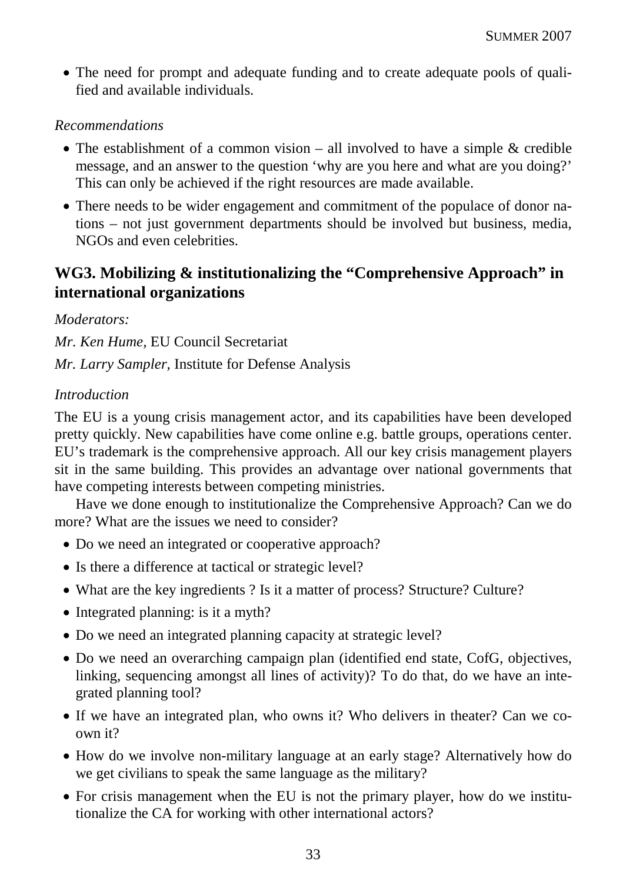• The need for prompt and adequate funding and to create adequate pools of qualified and available individuals.

#### *Recommendations*

- The establishment of a common vision all involved to have a simple & credible message, and an answer to the question 'why are you here and what are you doing?' This can only be achieved if the right resources are made available.
- There needs to be wider engagement and commitment of the populace of donor nations – not just government departments should be involved but business, media, NGOs and even celebrities.

# **WG3. Mobilizing & institutionalizing the "Comprehensive Approach" in international organizations**

#### *Moderators:*

*Mr. Ken Hume,* EU Council Secretariat *Mr. Larry Sampler,* Institute for Defense Analysis

#### *Introduction*

The EU is a young crisis management actor, and its capabilities have been developed pretty quickly. New capabilities have come online e.g. battle groups, operations center. EU's trademark is the comprehensive approach. All our key crisis management players sit in the same building. This provides an advantage over national governments that have competing interests between competing ministries.

Have we done enough to institutionalize the Comprehensive Approach? Can we do more? What are the issues we need to consider?

- Do we need an integrated or cooperative approach?
- Is there a difference at tactical or strategic level?
- What are the key ingredients ? Is it a matter of process? Structure? Culture?
- Integrated planning: is it a myth?
- Do we need an integrated planning capacity at strategic level?
- Do we need an overarching campaign plan (identified end state, CofG, objectives, linking, sequencing amongst all lines of activity)? To do that, do we have an integrated planning tool?
- If we have an integrated plan, who owns it? Who delivers in theater? Can we coown it?
- How do we involve non-military language at an early stage? Alternatively how do we get civilians to speak the same language as the military?
- For crisis management when the EU is not the primary player, how do we institutionalize the CA for working with other international actors?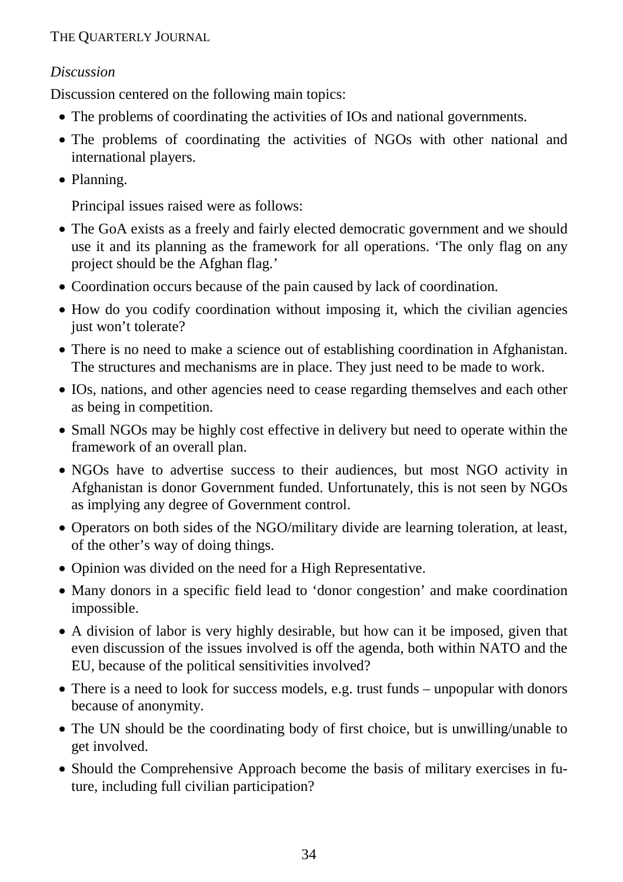# *Discussion*

Discussion centered on the following main topics:

- The problems of coordinating the activities of IOs and national governments.
- The problems of coordinating the activities of NGOs with other national and international players.
- Planning.

Principal issues raised were as follows:

- The GoA exists as a freely and fairly elected democratic government and we should use it and its planning as the framework for all operations. 'The only flag on any project should be the Afghan flag.'
- Coordination occurs because of the pain caused by lack of coordination.
- How do you codify coordination without imposing it, which the civilian agencies just won't tolerate?
- There is no need to make a science out of establishing coordination in Afghanistan. The structures and mechanisms are in place. They just need to be made to work.
- IOs, nations, and other agencies need to cease regarding themselves and each other as being in competition.
- Small NGOs may be highly cost effective in delivery but need to operate within the framework of an overall plan.
- NGOs have to advertise success to their audiences, but most NGO activity in Afghanistan is donor Government funded. Unfortunately, this is not seen by NGOs as implying any degree of Government control.
- Operators on both sides of the NGO/military divide are learning toleration, at least, of the other's way of doing things.
- Opinion was divided on the need for a High Representative.
- Many donors in a specific field lead to 'donor congestion' and make coordination impossible.
- A division of labor is very highly desirable, but how can it be imposed, given that even discussion of the issues involved is off the agenda, both within NATO and the EU, because of the political sensitivities involved?
- There is a need to look for success models, e.g. trust funds unpopular with donors because of anonymity.
- The UN should be the coordinating body of first choice, but is unwilling/unable to get involved.
- Should the Comprehensive Approach become the basis of military exercises in future, including full civilian participation?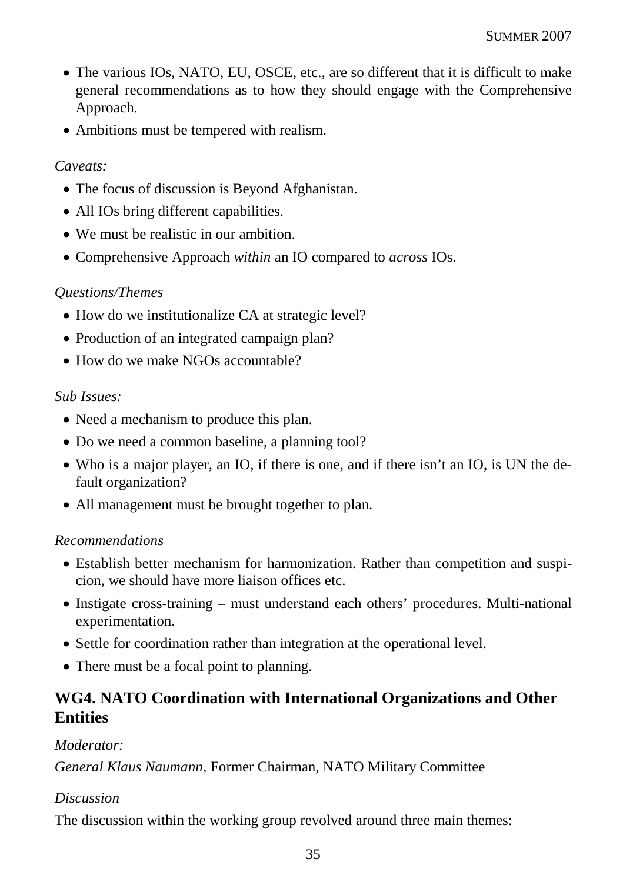- The various IOs, NATO, EU, OSCE, etc., are so different that it is difficult to make general recommendations as to how they should engage with the Comprehensive Approach.
- Ambitions must be tempered with realism.

### *Caveats:*

- The focus of discussion is Beyond Afghanistan.
- All IOs bring different capabilities.
- We must be realistic in our ambition.
- Comprehensive Approach *within* an IO compared to *across* IOs.

## *Questions/Themes*

- How do we institutionalize CA at strategic level?
- Production of an integrated campaign plan?
- How do we make NGOs accountable?

## *Sub Issues:*

- Need a mechanism to produce this plan.
- Do we need a common baseline, a planning tool?
- Who is a major player, an IO, if there is one, and if there isn't an IO, is UN the default organization?
- All management must be brought together to plan.

#### *Recommendations*

- Establish better mechanism for harmonization. Rather than competition and suspicion, we should have more liaison offices etc.
- Instigate cross-training must understand each others' procedures. Multi-national experimentation.
- Settle for coordination rather than integration at the operational level.
- There must be a focal point to planning.

# **WG4. NATO Coordination with International Organizations and Other Entities**

# *Moderator:*

*General Klaus Naumann,* Former Chairman, NATO Military Committee

# *Discussion*

The discussion within the working group revolved around three main themes: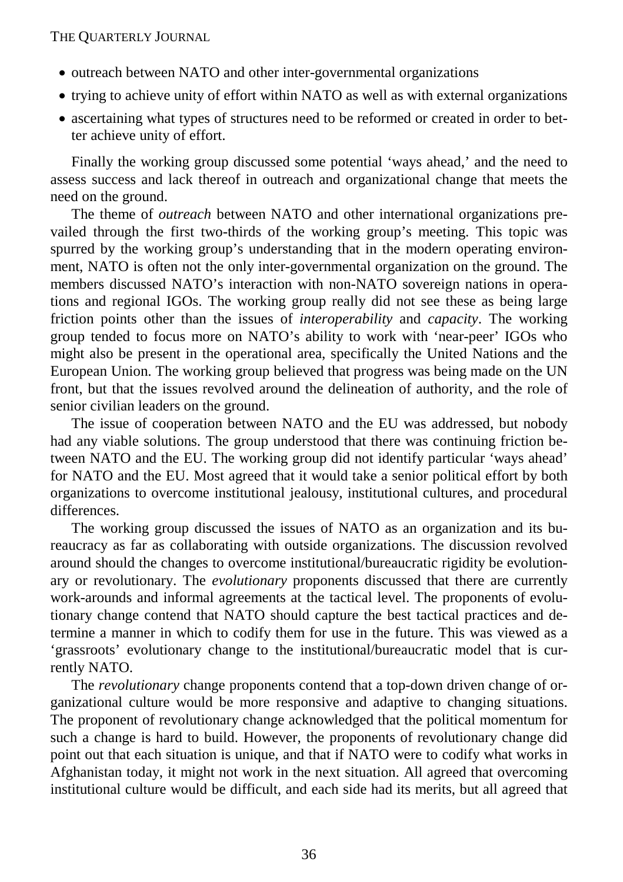- outreach between NATO and other inter-governmental organizations
- trying to achieve unity of effort within NATO as well as with external organizations
- ascertaining what types of structures need to be reformed or created in order to better achieve unity of effort.

Finally the working group discussed some potential 'ways ahead,' and the need to assess success and lack thereof in outreach and organizational change that meets the need on the ground.

The theme of *outreach* between NATO and other international organizations prevailed through the first two-thirds of the working group's meeting. This topic was spurred by the working group's understanding that in the modern operating environment, NATO is often not the only inter-governmental organization on the ground. The members discussed NATO's interaction with non-NATO sovereign nations in operations and regional IGOs. The working group really did not see these as being large friction points other than the issues of *interoperability* and *capacity*. The working group tended to focus more on NATO's ability to work with 'near-peer' IGOs who might also be present in the operational area, specifically the United Nations and the European Union. The working group believed that progress was being made on the UN front, but that the issues revolved around the delineation of authority, and the role of senior civilian leaders on the ground.

The issue of cooperation between NATO and the EU was addressed, but nobody had any viable solutions. The group understood that there was continuing friction between NATO and the EU. The working group did not identify particular 'ways ahead' for NATO and the EU. Most agreed that it would take a senior political effort by both organizations to overcome institutional jealousy, institutional cultures, and procedural differences.

The working group discussed the issues of NATO as an organization and its bureaucracy as far as collaborating with outside organizations. The discussion revolved around should the changes to overcome institutional/bureaucratic rigidity be evolutionary or revolutionary. The *evolutionary* proponents discussed that there are currently work-arounds and informal agreements at the tactical level. The proponents of evolutionary change contend that NATO should capture the best tactical practices and determine a manner in which to codify them for use in the future. This was viewed as a 'grassroots' evolutionary change to the institutional/bureaucratic model that is currently NATO.

The *revolutionary* change proponents contend that a top-down driven change of organizational culture would be more responsive and adaptive to changing situations. The proponent of revolutionary change acknowledged that the political momentum for such a change is hard to build. However, the proponents of revolutionary change did point out that each situation is unique, and that if NATO were to codify what works in Afghanistan today, it might not work in the next situation. All agreed that overcoming institutional culture would be difficult, and each side had its merits, but all agreed that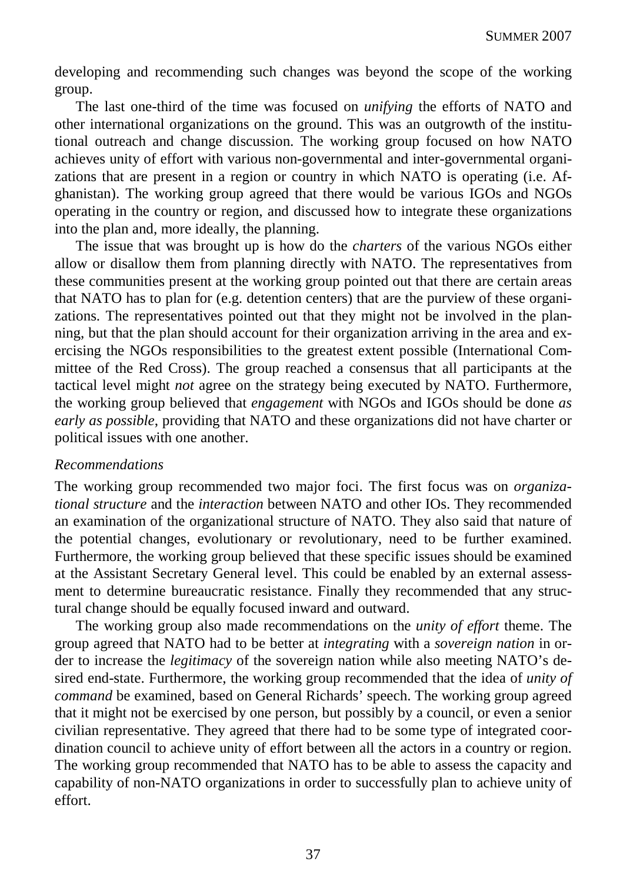developing and recommending such changes was beyond the scope of the working group.

The last one-third of the time was focused on *unifying* the efforts of NATO and other international organizations on the ground. This was an outgrowth of the institutional outreach and change discussion. The working group focused on how NATO achieves unity of effort with various non-governmental and inter-governmental organizations that are present in a region or country in which NATO is operating (i.e. Afghanistan). The working group agreed that there would be various IGOs and NGOs operating in the country or region, and discussed how to integrate these organizations into the plan and, more ideally, the planning.

The issue that was brought up is how do the *charters* of the various NGOs either allow or disallow them from planning directly with NATO. The representatives from these communities present at the working group pointed out that there are certain areas that NATO has to plan for (e.g. detention centers) that are the purview of these organizations. The representatives pointed out that they might not be involved in the planning, but that the plan should account for their organization arriving in the area and exercising the NGOs responsibilities to the greatest extent possible (International Committee of the Red Cross). The group reached a consensus that all participants at the tactical level might *not* agree on the strategy being executed by NATO. Furthermore, the working group believed that *engagement* with NGOs and IGOs should be done *as early as possible*, providing that NATO and these organizations did not have charter or political issues with one another.

#### *Recommendations*

The working group recommended two major foci. The first focus was on *organizational structure* and the *interaction* between NATO and other IOs. They recommended an examination of the organizational structure of NATO. They also said that nature of the potential changes, evolutionary or revolutionary, need to be further examined. Furthermore, the working group believed that these specific issues should be examined at the Assistant Secretary General level. This could be enabled by an external assessment to determine bureaucratic resistance. Finally they recommended that any structural change should be equally focused inward and outward.

The working group also made recommendations on the *unity of effort* theme. The group agreed that NATO had to be better at *integrating* with a *sovereign nation* in order to increase the *legitimacy* of the sovereign nation while also meeting NATO's desired end-state. Furthermore, the working group recommended that the idea of *unity of command* be examined, based on General Richards' speech. The working group agreed that it might not be exercised by one person, but possibly by a council, or even a senior civilian representative. They agreed that there had to be some type of integrated coordination council to achieve unity of effort between all the actors in a country or region. The working group recommended that NATO has to be able to assess the capacity and capability of non-NATO organizations in order to successfully plan to achieve unity of effort.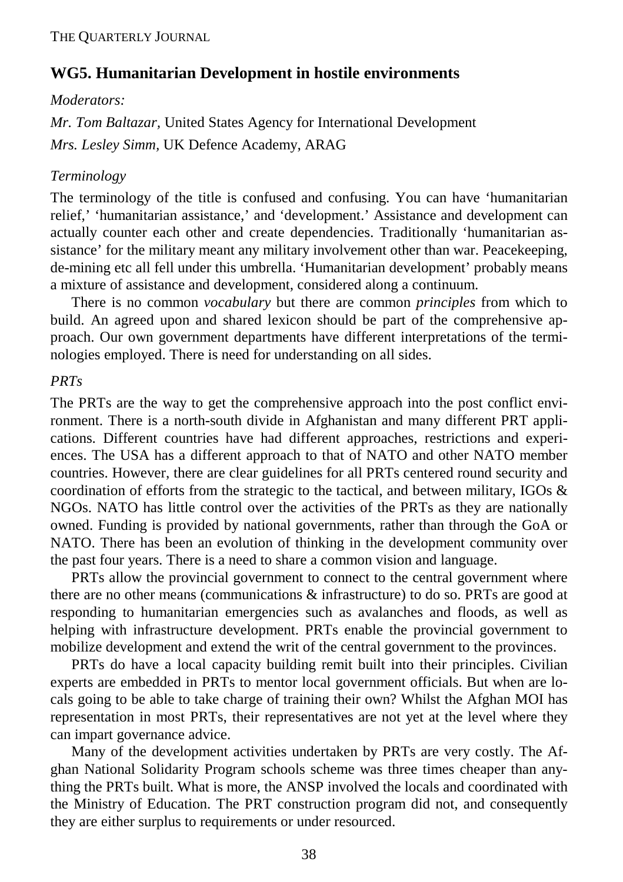# **WG5. Humanitarian Development in hostile environments**

#### *Moderators:*

*Mr. Tom Baltazar,* United States Agency for International Development *Mrs. Lesley Simm,* UK Defence Academy, ARAG

#### *Terminology*

The terminology of the title is confused and confusing. You can have 'humanitarian relief,' 'humanitarian assistance,' and 'development.' Assistance and development can actually counter each other and create dependencies. Traditionally 'humanitarian assistance' for the military meant any military involvement other than war. Peacekeeping, de-mining etc all fell under this umbrella. 'Humanitarian development' probably means a mixture of assistance and development, considered along a continuum.

There is no common *vocabulary* but there are common *principles* from which to build. An agreed upon and shared lexicon should be part of the comprehensive approach. Our own government departments have different interpretations of the terminologies employed. There is need for understanding on all sides.

#### *PRTs*

The PRTs are the way to get the comprehensive approach into the post conflict environment. There is a north-south divide in Afghanistan and many different PRT applications. Different countries have had different approaches, restrictions and experiences. The USA has a different approach to that of NATO and other NATO member countries. However, there are clear guidelines for all PRTs centered round security and coordination of efforts from the strategic to the tactical, and between military, IGOs  $\&$ NGOs. NATO has little control over the activities of the PRTs as they are nationally owned. Funding is provided by national governments, rather than through the GoA or NATO. There has been an evolution of thinking in the development community over the past four years. There is a need to share a common vision and language.

PRTs allow the provincial government to connect to the central government where there are no other means (communications & infrastructure) to do so. PRTs are good at responding to humanitarian emergencies such as avalanches and floods, as well as helping with infrastructure development. PRTs enable the provincial government to mobilize development and extend the writ of the central government to the provinces.

PRTs do have a local capacity building remit built into their principles. Civilian experts are embedded in PRTs to mentor local government officials. But when are locals going to be able to take charge of training their own? Whilst the Afghan MOI has representation in most PRTs, their representatives are not yet at the level where they can impart governance advice.

Many of the development activities undertaken by PRTs are very costly. The Afghan National Solidarity Program schools scheme was three times cheaper than anything the PRTs built. What is more, the ANSP involved the locals and coordinated with the Ministry of Education. The PRT construction program did not, and consequently they are either surplus to requirements or under resourced.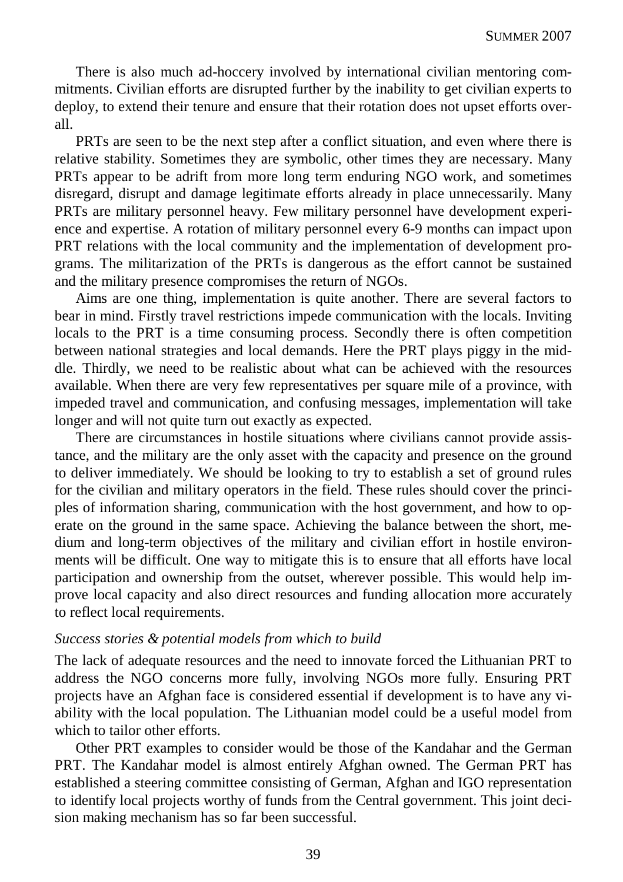There is also much ad-hoccery involved by international civilian mentoring commitments. Civilian efforts are disrupted further by the inability to get civilian experts to deploy, to extend their tenure and ensure that their rotation does not upset efforts overall.

PRTs are seen to be the next step after a conflict situation, and even where there is relative stability. Sometimes they are symbolic, other times they are necessary. Many PRTs appear to be adrift from more long term enduring NGO work, and sometimes disregard, disrupt and damage legitimate efforts already in place unnecessarily. Many PRTs are military personnel heavy. Few military personnel have development experience and expertise. A rotation of military personnel every 6-9 months can impact upon PRT relations with the local community and the implementation of development programs. The militarization of the PRTs is dangerous as the effort cannot be sustained and the military presence compromises the return of NGOs.

Aims are one thing, implementation is quite another. There are several factors to bear in mind. Firstly travel restrictions impede communication with the locals. Inviting locals to the PRT is a time consuming process. Secondly there is often competition between national strategies and local demands. Here the PRT plays piggy in the middle. Thirdly, we need to be realistic about what can be achieved with the resources available. When there are very few representatives per square mile of a province, with impeded travel and communication, and confusing messages, implementation will take longer and will not quite turn out exactly as expected.

There are circumstances in hostile situations where civilians cannot provide assistance, and the military are the only asset with the capacity and presence on the ground to deliver immediately. We should be looking to try to establish a set of ground rules for the civilian and military operators in the field. These rules should cover the principles of information sharing, communication with the host government, and how to operate on the ground in the same space. Achieving the balance between the short, medium and long-term objectives of the military and civilian effort in hostile environments will be difficult. One way to mitigate this is to ensure that all efforts have local participation and ownership from the outset, wherever possible. This would help improve local capacity and also direct resources and funding allocation more accurately to reflect local requirements.

#### *Success stories & potential models from which to build*

The lack of adequate resources and the need to innovate forced the Lithuanian PRT to address the NGO concerns more fully, involving NGOs more fully. Ensuring PRT projects have an Afghan face is considered essential if development is to have any viability with the local population. The Lithuanian model could be a useful model from which to tailor other efforts.

Other PRT examples to consider would be those of the Kandahar and the German PRT. The Kandahar model is almost entirely Afghan owned. The German PRT has established a steering committee consisting of German, Afghan and IGO representation to identify local projects worthy of funds from the Central government. This joint decision making mechanism has so far been successful.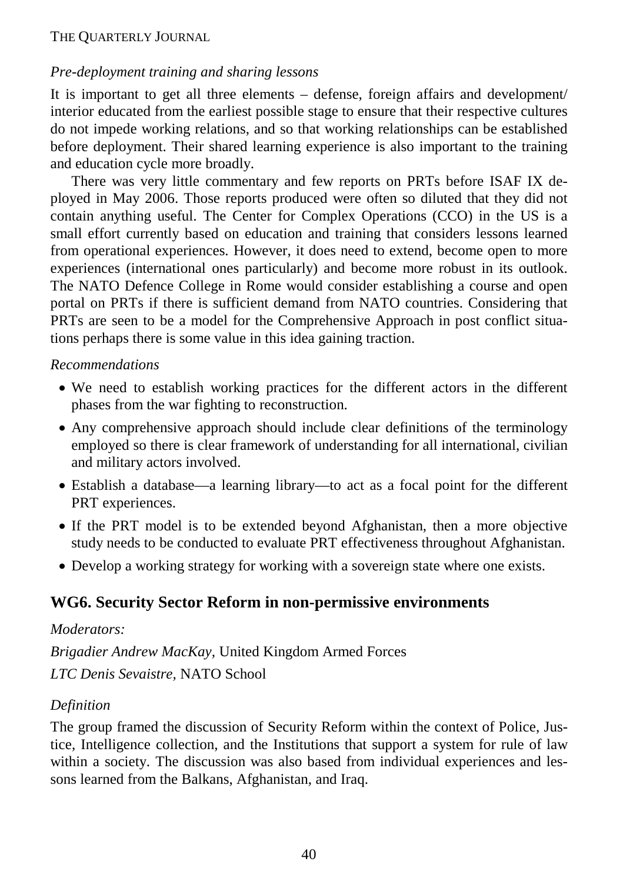## *Pre-deployment training and sharing lessons*

It is important to get all three elements – defense, foreign affairs and development/ interior educated from the earliest possible stage to ensure that their respective cultures do not impede working relations, and so that working relationships can be established before deployment. Their shared learning experience is also important to the training and education cycle more broadly.

There was very little commentary and few reports on PRTs before ISAF IX deployed in May 2006. Those reports produced were often so diluted that they did not contain anything useful. The Center for Complex Operations (CCO) in the US is a small effort currently based on education and training that considers lessons learned from operational experiences. However, it does need to extend, become open to more experiences (international ones particularly) and become more robust in its outlook. The NATO Defence College in Rome would consider establishing a course and open portal on PRTs if there is sufficient demand from NATO countries. Considering that PRTs are seen to be a model for the Comprehensive Approach in post conflict situations perhaps there is some value in this idea gaining traction.

#### *Recommendations*

- We need to establish working practices for the different actors in the different phases from the war fighting to reconstruction.
- Any comprehensive approach should include clear definitions of the terminology employed so there is clear framework of understanding for all international, civilian and military actors involved.
- Establish a database—a learning library—to act as a focal point for the different PRT experiences.
- If the PRT model is to be extended beyond Afghanistan, then a more objective study needs to be conducted to evaluate PRT effectiveness throughout Afghanistan.
- Develop a working strategy for working with a sovereign state where one exists.

# **WG6. Security Sector Reform in non-permissive environments**

#### *Moderators:*

*Brigadier Andrew MacKay,* United Kingdom Armed Forces

*LTC Denis Sevaistre,* NATO School

#### *Definition*

The group framed the discussion of Security Reform within the context of Police, Justice, Intelligence collection, and the Institutions that support a system for rule of law within a society. The discussion was also based from individual experiences and lessons learned from the Balkans, Afghanistan, and Iraq.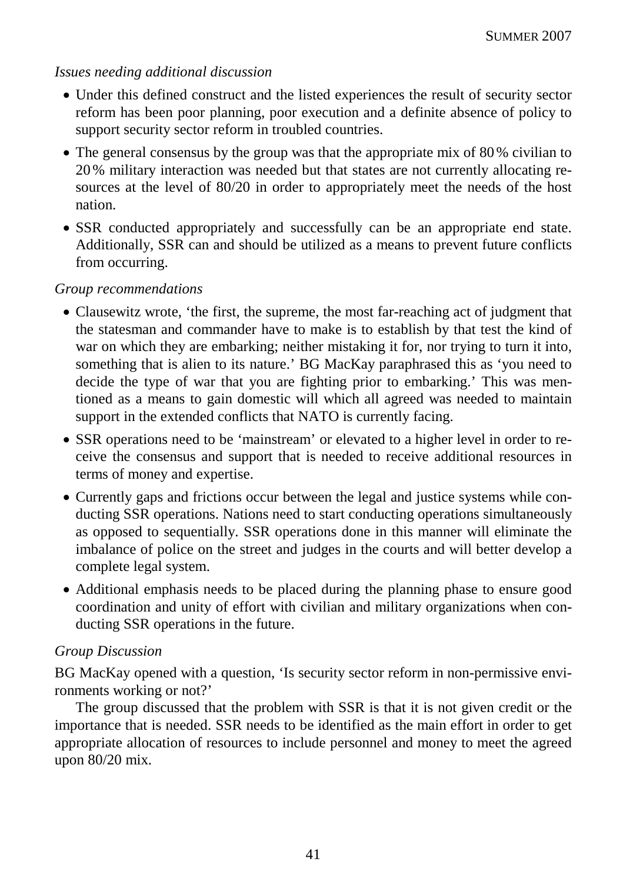#### *Issues needing additional discussion*

- Under this defined construct and the listed experiences the result of security sector reform has been poor planning, poor execution and a definite absence of policy to support security sector reform in troubled countries.
- The general consensus by the group was that the appropriate mix of 80% civilian to 20% military interaction was needed but that states are not currently allocating resources at the level of 80/20 in order to appropriately meet the needs of the host nation.
- SSR conducted appropriately and successfully can be an appropriate end state. Additionally, SSR can and should be utilized as a means to prevent future conflicts from occurring.

#### *Group recommendations*

- Clausewitz wrote, 'the first, the supreme, the most far-reaching act of judgment that the statesman and commander have to make is to establish by that test the kind of war on which they are embarking; neither mistaking it for, nor trying to turn it into, something that is alien to its nature.' BG MacKay paraphrased this as 'you need to decide the type of war that you are fighting prior to embarking.' This was mentioned as a means to gain domestic will which all agreed was needed to maintain support in the extended conflicts that NATO is currently facing.
- SSR operations need to be 'mainstream' or elevated to a higher level in order to receive the consensus and support that is needed to receive additional resources in terms of money and expertise.
- Currently gaps and frictions occur between the legal and justice systems while conducting SSR operations. Nations need to start conducting operations simultaneously as opposed to sequentially. SSR operations done in this manner will eliminate the imbalance of police on the street and judges in the courts and will better develop a complete legal system.
- Additional emphasis needs to be placed during the planning phase to ensure good coordination and unity of effort with civilian and military organizations when conducting SSR operations in the future.

#### *Group Discussion*

BG MacKay opened with a question, 'Is security sector reform in non-permissive environments working or not?'

The group discussed that the problem with SSR is that it is not given credit or the importance that is needed. SSR needs to be identified as the main effort in order to get appropriate allocation of resources to include personnel and money to meet the agreed upon 80/20 mix.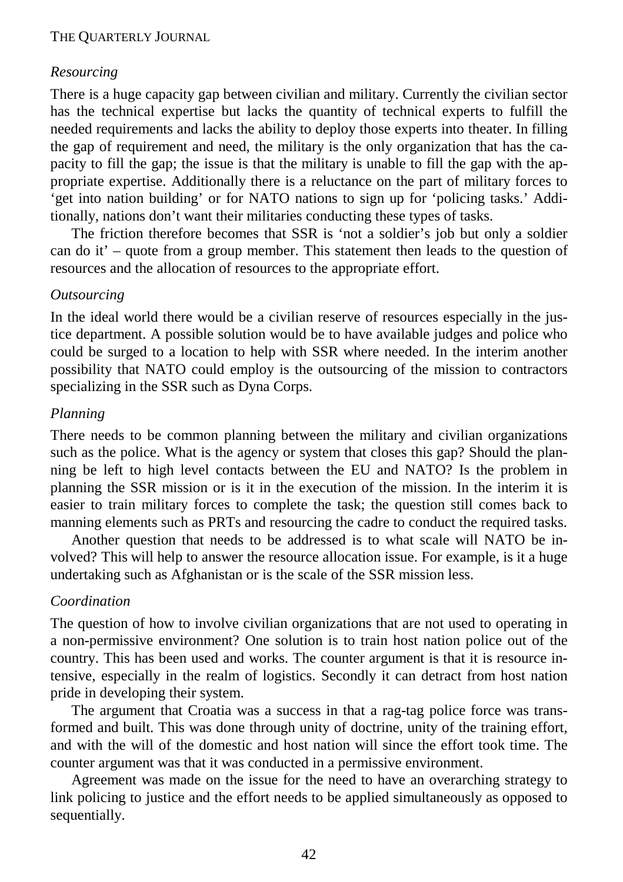#### *Resourcing*

There is a huge capacity gap between civilian and military. Currently the civilian sector has the technical expertise but lacks the quantity of technical experts to fulfill the needed requirements and lacks the ability to deploy those experts into theater. In filling the gap of requirement and need, the military is the only organization that has the capacity to fill the gap; the issue is that the military is unable to fill the gap with the appropriate expertise. Additionally there is a reluctance on the part of military forces to 'get into nation building' or for NATO nations to sign up for 'policing tasks.' Additionally, nations don't want their militaries conducting these types of tasks.

The friction therefore becomes that SSR is 'not a soldier's job but only a soldier can do it' – quote from a group member. This statement then leads to the question of resources and the allocation of resources to the appropriate effort.

#### *Outsourcing*

In the ideal world there would be a civilian reserve of resources especially in the justice department. A possible solution would be to have available judges and police who could be surged to a location to help with SSR where needed. In the interim another possibility that NATO could employ is the outsourcing of the mission to contractors specializing in the SSR such as Dyna Corps.

#### *Planning*

There needs to be common planning between the military and civilian organizations such as the police. What is the agency or system that closes this gap? Should the planning be left to high level contacts between the EU and NATO? Is the problem in planning the SSR mission or is it in the execution of the mission. In the interim it is easier to train military forces to complete the task; the question still comes back to manning elements such as PRTs and resourcing the cadre to conduct the required tasks.

Another question that needs to be addressed is to what scale will NATO be involved? This will help to answer the resource allocation issue. For example, is it a huge undertaking such as Afghanistan or is the scale of the SSR mission less.

#### *Coordination*

The question of how to involve civilian organizations that are not used to operating in a non-permissive environment? One solution is to train host nation police out of the country. This has been used and works. The counter argument is that it is resource intensive, especially in the realm of logistics. Secondly it can detract from host nation pride in developing their system.

The argument that Croatia was a success in that a rag-tag police force was transformed and built. This was done through unity of doctrine, unity of the training effort, and with the will of the domestic and host nation will since the effort took time. The counter argument was that it was conducted in a permissive environment.

Agreement was made on the issue for the need to have an overarching strategy to link policing to justice and the effort needs to be applied simultaneously as opposed to sequentially.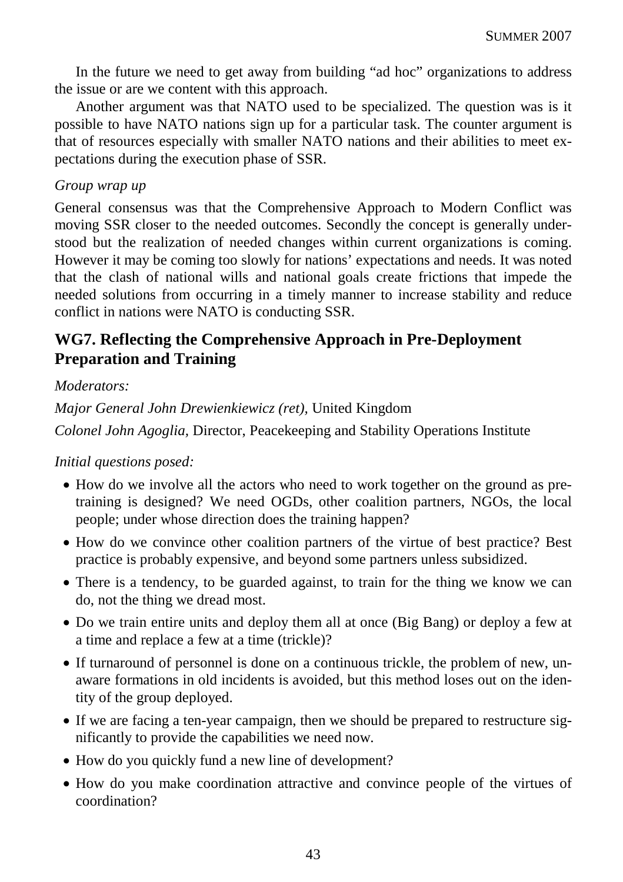In the future we need to get away from building "ad hoc" organizations to address the issue or are we content with this approach.

Another argument was that NATO used to be specialized. The question was is it possible to have NATO nations sign up for a particular task. The counter argument is that of resources especially with smaller NATO nations and their abilities to meet expectations during the execution phase of SSR.

### *Group wrap up*

General consensus was that the Comprehensive Approach to Modern Conflict was moving SSR closer to the needed outcomes. Secondly the concept is generally understood but the realization of needed changes within current organizations is coming. However it may be coming too slowly for nations' expectations and needs. It was noted that the clash of national wills and national goals create frictions that impede the needed solutions from occurring in a timely manner to increase stability and reduce conflict in nations were NATO is conducting SSR.

# **WG7. Reflecting the Comprehensive Approach in Pre-Deployment Preparation and Training**

## *Moderators:*

*Major General John Drewienkiewicz (ret),* United Kingdom

*Colonel John Agoglia,* Director, Peacekeeping and Stability Operations Institute

# *Initial questions posed:*

- How do we involve all the actors who need to work together on the ground as pretraining is designed? We need OGDs, other coalition partners, NGOs, the local people; under whose direction does the training happen?
- How do we convince other coalition partners of the virtue of best practice? Best practice is probably expensive, and beyond some partners unless subsidized.
- There is a tendency, to be guarded against, to train for the thing we know we can do, not the thing we dread most.
- Do we train entire units and deploy them all at once (Big Bang) or deploy a few at a time and replace a few at a time (trickle)?
- If turnaround of personnel is done on a continuous trickle, the problem of new, unaware formations in old incidents is avoided, but this method loses out on the identity of the group deployed.
- If we are facing a ten-year campaign, then we should be prepared to restructure significantly to provide the capabilities we need now.
- How do you quickly fund a new line of development?
- How do you make coordination attractive and convince people of the virtues of coordination?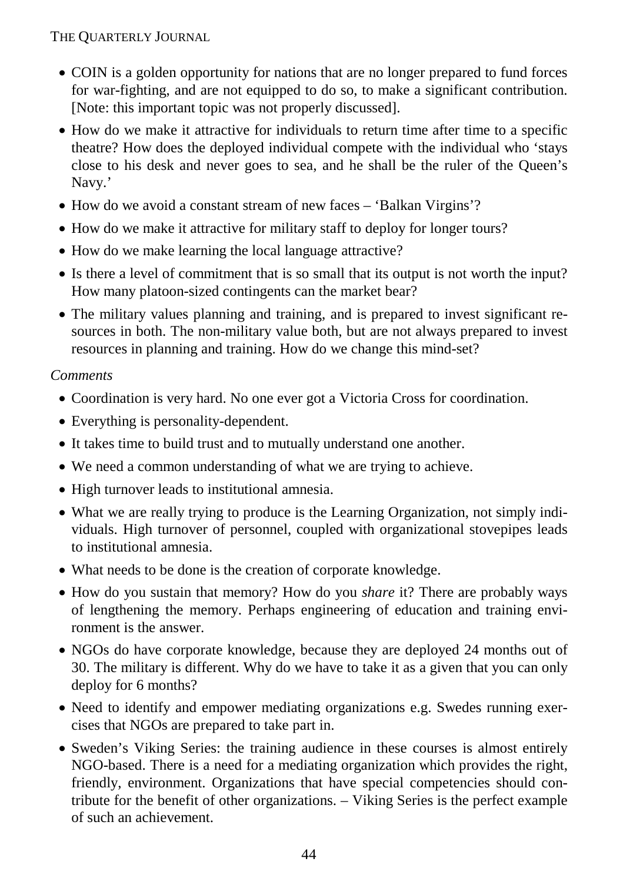- COIN is a golden opportunity for nations that are no longer prepared to fund forces for war-fighting, and are not equipped to do so, to make a significant contribution. [Note: this important topic was not properly discussed].
- How do we make it attractive for individuals to return time after time to a specific theatre? How does the deployed individual compete with the individual who 'stays close to his desk and never goes to sea, and he shall be the ruler of the Queen's Navy.'
- How do we avoid a constant stream of new faces 'Balkan Virgins'?
- How do we make it attractive for military staff to deploy for longer tours?
- How do we make learning the local language attractive?
- Is there a level of commitment that is so small that its output is not worth the input? How many platoon-sized contingents can the market bear?
- The military values planning and training, and is prepared to invest significant resources in both. The non-military value both, but are not always prepared to invest resources in planning and training. How do we change this mind-set?

# *Comments*

- Coordination is very hard. No one ever got a Victoria Cross for coordination.
- Everything is personality-dependent.
- It takes time to build trust and to mutually understand one another.
- We need a common understanding of what we are trying to achieve.
- High turnover leads to institutional amnesia.
- What we are really trying to produce is the Learning Organization, not simply individuals. High turnover of personnel, coupled with organizational stovepipes leads to institutional amnesia.
- What needs to be done is the creation of corporate knowledge.
- How do you sustain that memory? How do you *share* it? There are probably ways of lengthening the memory. Perhaps engineering of education and training environment is the answer.
- NGOs do have corporate knowledge, because they are deployed 24 months out of 30. The military is different. Why do we have to take it as a given that you can only deploy for 6 months?
- Need to identify and empower mediating organizations e.g. Swedes running exercises that NGOs are prepared to take part in.
- Sweden's Viking Series: the training audience in these courses is almost entirely NGO-based. There is a need for a mediating organization which provides the right, friendly, environment. Organizations that have special competencies should contribute for the benefit of other organizations. – Viking Series is the perfect example of such an achievement.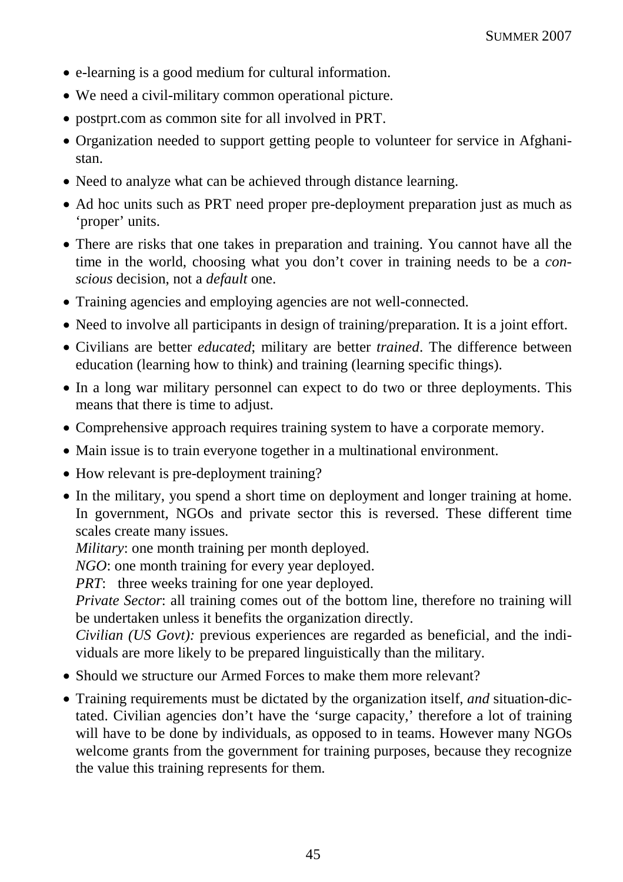- e-learning is a good medium for cultural information.
- We need a civil-military common operational picture.
- postprt.com as common site for all involved in PRT.
- Organization needed to support getting people to volunteer for service in Afghanistan.
- Need to analyze what can be achieved through distance learning.
- Ad hoc units such as PRT need proper pre-deployment preparation just as much as 'proper' units.
- There are risks that one takes in preparation and training. You cannot have all the time in the world, choosing what you don't cover in training needs to be a *conscious* decision, not a *default* one.
- Training agencies and employing agencies are not well-connected.
- Need to involve all participants in design of training/preparation. It is a joint effort.
- Civilians are better *educated*; military are better *trained*. The difference between education (learning how to think) and training (learning specific things).
- In a long war military personnel can expect to do two or three deployments. This means that there is time to adjust.
- Comprehensive approach requires training system to have a corporate memory.
- Main issue is to train everyone together in a multinational environment.
- How relevant is pre-deployment training?
- In the military, you spend a short time on deployment and longer training at home. In government, NGOs and private sector this is reversed. These different time scales create many issues.

*Military*: one month training per month deployed.

*NGO*: one month training for every year deployed.

*PRT*: three weeks training for one year deployed.

*Private Sector*: all training comes out of the bottom line, therefore no training will be undertaken unless it benefits the organization directly.

*Civilian (US Govt):* previous experiences are regarded as beneficial, and the individuals are more likely to be prepared linguistically than the military.

- Should we structure our Armed Forces to make them more relevant?
- Training requirements must be dictated by the organization itself, *and* situation-dictated. Civilian agencies don't have the 'surge capacity,' therefore a lot of training will have to be done by individuals, as opposed to in teams. However many NGOs welcome grants from the government for training purposes, because they recognize the value this training represents for them.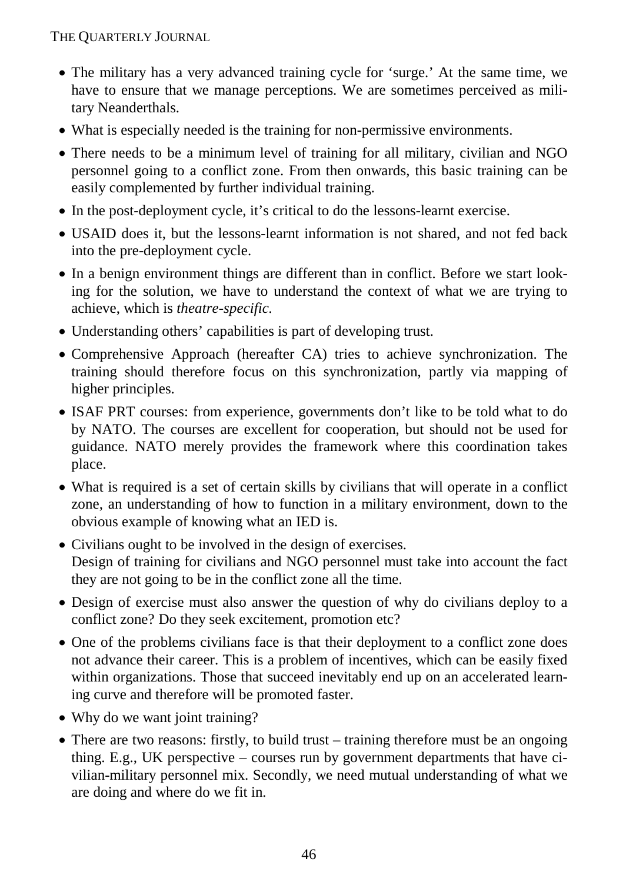- The military has a very advanced training cycle for 'surge.' At the same time, we have to ensure that we manage perceptions. We are sometimes perceived as military Neanderthals.
- What is especially needed is the training for non-permissive environments.
- There needs to be a minimum level of training for all military, civilian and NGO personnel going to a conflict zone. From then onwards, this basic training can be easily complemented by further individual training.
- In the post-deployment cycle, it's critical to do the lessons-learnt exercise.
- USAID does it, but the lessons-learnt information is not shared, and not fed back into the pre-deployment cycle.
- In a benign environment things are different than in conflict. Before we start looking for the solution, we have to understand the context of what we are trying to achieve, which is *theatre-specific.*
- Understanding others' capabilities is part of developing trust.
- Comprehensive Approach (hereafter CA) tries to achieve synchronization. The training should therefore focus on this synchronization, partly via mapping of higher principles.
- ISAF PRT courses: from experience, governments don't like to be told what to do by NATO. The courses are excellent for cooperation, but should not be used for guidance. NATO merely provides the framework where this coordination takes place.
- What is required is a set of certain skills by civilians that will operate in a conflict zone, an understanding of how to function in a military environment, down to the obvious example of knowing what an IED is.
- Civilians ought to be involved in the design of exercises. Design of training for civilians and NGO personnel must take into account the fact they are not going to be in the conflict zone all the time.
- Design of exercise must also answer the question of why do civilians deploy to a conflict zone? Do they seek excitement, promotion etc?
- One of the problems civilians face is that their deployment to a conflict zone does not advance their career. This is a problem of incentives, which can be easily fixed within organizations. Those that succeed inevitably end up on an accelerated learning curve and therefore will be promoted faster.
- Why do we want joint training?
- There are two reasons: firstly, to build trust training therefore must be an ongoing thing. E.g., UK perspective – courses run by government departments that have civilian-military personnel mix. Secondly, we need mutual understanding of what we are doing and where do we fit in.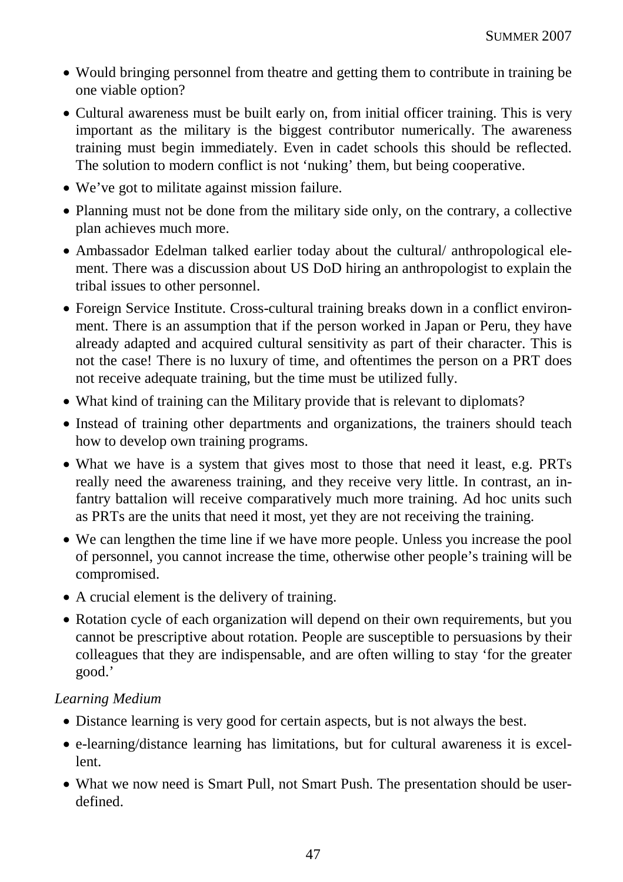- Would bringing personnel from theatre and getting them to contribute in training be one viable option?
- Cultural awareness must be built early on, from initial officer training. This is very important as the military is the biggest contributor numerically. The awareness training must begin immediately. Even in cadet schools this should be reflected. The solution to modern conflict is not 'nuking' them, but being cooperative.
- We've got to militate against mission failure.
- Planning must not be done from the military side only, on the contrary, a collective plan achieves much more.
- Ambassador Edelman talked earlier today about the cultural/ anthropological element. There was a discussion about US DoD hiring an anthropologist to explain the tribal issues to other personnel.
- Foreign Service Institute. Cross-cultural training breaks down in a conflict environment. There is an assumption that if the person worked in Japan or Peru, they have already adapted and acquired cultural sensitivity as part of their character. This is not the case! There is no luxury of time, and oftentimes the person on a PRT does not receive adequate training, but the time must be utilized fully.
- What kind of training can the Military provide that is relevant to diplomats?
- Instead of training other departments and organizations, the trainers should teach how to develop own training programs.
- What we have is a system that gives most to those that need it least, e.g. PRTs really need the awareness training, and they receive very little. In contrast, an infantry battalion will receive comparatively much more training. Ad hoc units such as PRTs are the units that need it most, yet they are not receiving the training.
- We can lengthen the time line if we have more people. Unless you increase the pool of personnel, you cannot increase the time, otherwise other people's training will be compromised.
- A crucial element is the delivery of training.
- Rotation cycle of each organization will depend on their own requirements, but you cannot be prescriptive about rotation. People are susceptible to persuasions by their colleagues that they are indispensable, and are often willing to stay 'for the greater good.'

#### *Learning Medium*

- Distance learning is very good for certain aspects, but is not always the best.
- e-learning/distance learning has limitations, but for cultural awareness it is excellent.
- What we now need is Smart Pull, not Smart Push. The presentation should be userdefined.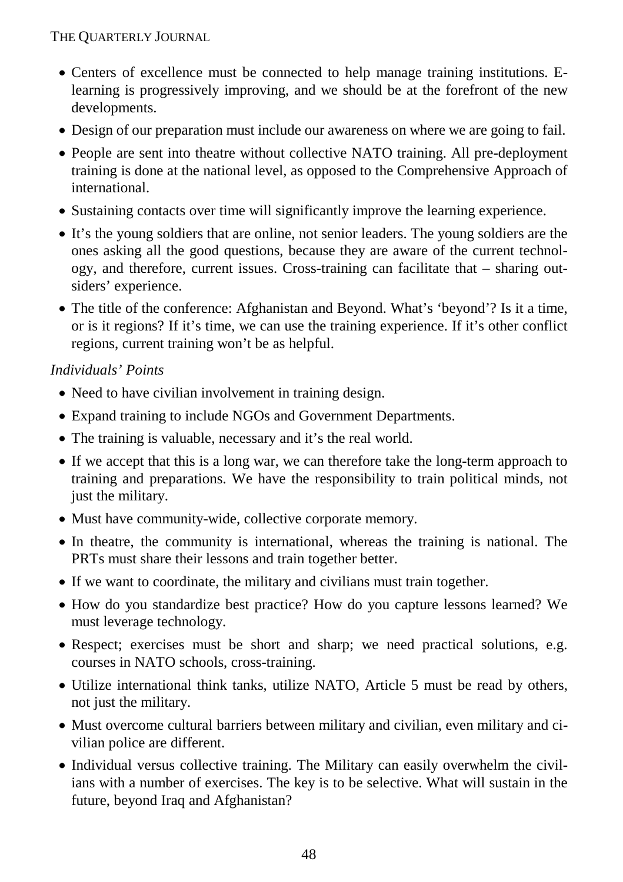- Centers of excellence must be connected to help manage training institutions. Elearning is progressively improving, and we should be at the forefront of the new developments.
- Design of our preparation must include our awareness on where we are going to fail.
- People are sent into theatre without collective NATO training. All pre-deployment training is done at the national level, as opposed to the Comprehensive Approach of international.
- Sustaining contacts over time will significantly improve the learning experience.
- It's the young soldiers that are online, not senior leaders. The young soldiers are the ones asking all the good questions, because they are aware of the current technology, and therefore, current issues. Cross-training can facilitate that – sharing outsiders' experience.
- The title of the conference: Afghanistan and Beyond. What's 'beyond'? Is it a time, or is it regions? If it's time, we can use the training experience. If it's other conflict regions, current training won't be as helpful.

## *Individuals' Points*

- Need to have civilian involvement in training design.
- Expand training to include NGOs and Government Departments.
- The training is valuable, necessary and it's the real world.
- If we accept that this is a long war, we can therefore take the long-term approach to training and preparations. We have the responsibility to train political minds, not just the military.
- Must have community-wide, collective corporate memory.
- In theatre, the community is international, whereas the training is national. The PRTs must share their lessons and train together better.
- If we want to coordinate, the military and civilians must train together.
- How do you standardize best practice? How do you capture lessons learned? We must leverage technology.
- Respect; exercises must be short and sharp; we need practical solutions, e.g. courses in NATO schools, cross-training.
- Utilize international think tanks, utilize NATO, Article 5 must be read by others, not just the military.
- Must overcome cultural barriers between military and civilian, even military and civilian police are different.
- Individual versus collective training. The Military can easily overwhelm the civilians with a number of exercises. The key is to be selective. What will sustain in the future, beyond Iraq and Afghanistan?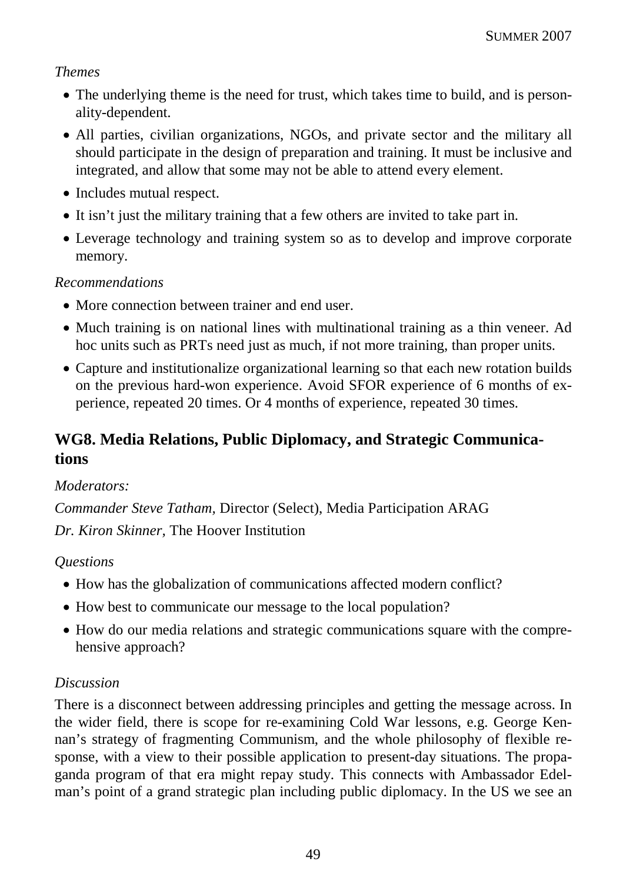## *Themes*

- The underlying theme is the need for trust, which takes time to build, and is personality-dependent.
- All parties, civilian organizations, NGOs, and private sector and the military all should participate in the design of preparation and training. It must be inclusive and integrated, and allow that some may not be able to attend every element.
- Includes mutual respect.
- It isn't just the military training that a few others are invited to take part in.
- Leverage technology and training system so as to develop and improve corporate memory.

# *Recommendations*

- More connection between trainer and end user.
- Much training is on national lines with multinational training as a thin veneer. Ad hoc units such as PRTs need just as much, if not more training, than proper units.
- Capture and institutionalize organizational learning so that each new rotation builds on the previous hard-won experience. Avoid SFOR experience of 6 months of experience, repeated 20 times. Or 4 months of experience, repeated 30 times.

# **WG8. Media Relations, Public Diplomacy, and Strategic Communications**

# *Moderators:*

*Commander Steve Tatham,* Director (Select), Media Participation ARAG *Dr. Kiron Skinner,* The Hoover Institution

# *Questions*

- How has the globalization of communications affected modern conflict?
- How best to communicate our message to the local population?
- How do our media relations and strategic communications square with the comprehensive approach?

# *Discussion*

There is a disconnect between addressing principles and getting the message across. In the wider field, there is scope for re-examining Cold War lessons, e.g. George Kennan's strategy of fragmenting Communism, and the whole philosophy of flexible response, with a view to their possible application to present-day situations. The propaganda program of that era might repay study. This connects with Ambassador Edelman's point of a grand strategic plan including public diplomacy. In the US we see an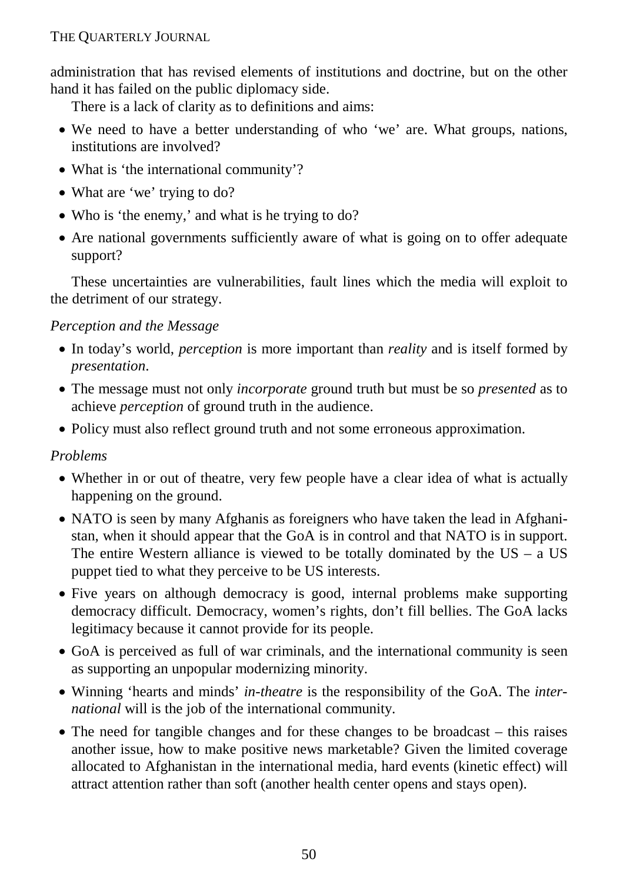administration that has revised elements of institutions and doctrine, but on the other hand it has failed on the public diplomacy side.

There is a lack of clarity as to definitions and aims:

- We need to have a better understanding of who 'we' are. What groups, nations, institutions are involved?
- What is 'the international community'?
- What are 'we' trying to do?
- Who is 'the enemy,' and what is he trying to do?
- Are national governments sufficiently aware of what is going on to offer adequate support?

These uncertainties are vulnerabilities, fault lines which the media will exploit to the detriment of our strategy.

# *Perception and the Message*

- In today's world, *perception* is more important than *reality* and is itself formed by *presentation*.
- The message must not only *incorporate* ground truth but must be so *presented* as to achieve *perception* of ground truth in the audience.
- Policy must also reflect ground truth and not some erroneous approximation.

# *Problems*

- Whether in or out of theatre, very few people have a clear idea of what is actually happening on the ground.
- NATO is seen by many Afghanis as foreigners who have taken the lead in Afghanistan, when it should appear that the GoA is in control and that NATO is in support. The entire Western alliance is viewed to be totally dominated by the  $US - a US$ puppet tied to what they perceive to be US interests.
- Five years on although democracy is good, internal problems make supporting democracy difficult. Democracy, women's rights, don't fill bellies. The GoA lacks legitimacy because it cannot provide for its people.
- GoA is perceived as full of war criminals, and the international community is seen as supporting an unpopular modernizing minority.
- Winning 'hearts and minds' *in-theatre* is the responsibility of the GoA. The *international* will is the job of the international community.
- The need for tangible changes and for these changes to be broadcast this raises another issue, how to make positive news marketable? Given the limited coverage allocated to Afghanistan in the international media, hard events (kinetic effect) will attract attention rather than soft (another health center opens and stays open).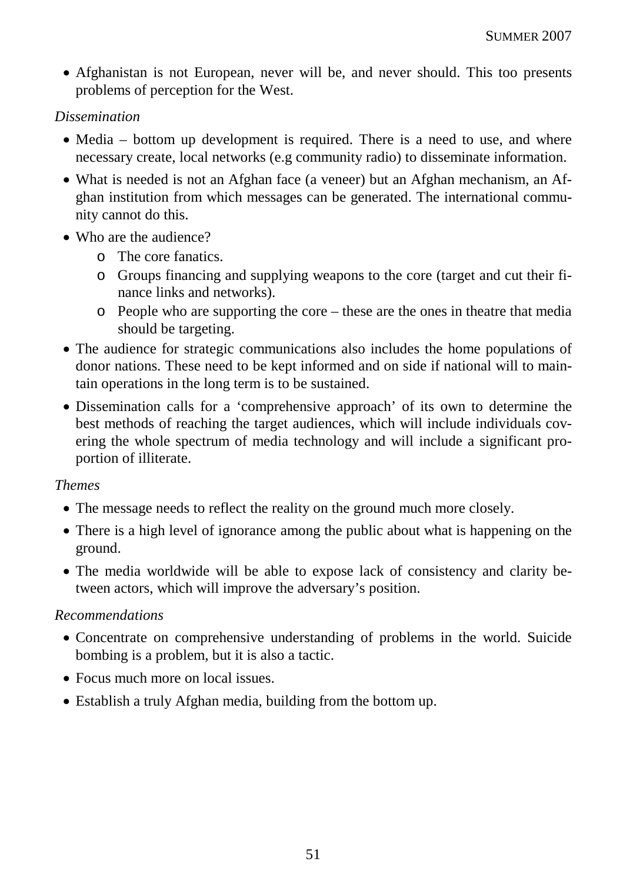• Afghanistan is not European, never will be, and never should. This too presents problems of perception for the West.

#### *Dissemination*

- Media bottom up development is required. There is a need to use, and where necessary create, local networks (e.g community radio) to disseminate information.
- What is needed is not an Afghan face (a veneer) but an Afghan mechanism, an Afghan institution from which messages can be generated. The international community cannot do this.
- Who are the audience?
	- o The core fanatics.
	- o Groups financing and supplying weapons to the core (target and cut their finance links and networks).
	- o People who are supporting the core these are the ones in theatre that media should be targeting.
- The audience for strategic communications also includes the home populations of donor nations. These need to be kept informed and on side if national will to maintain operations in the long term is to be sustained.
- Dissemination calls for a 'comprehensive approach' of its own to determine the best methods of reaching the target audiences, which will include individuals covering the whole spectrum of media technology and will include a significant proportion of illiterate.

#### *Themes*

- The message needs to reflect the reality on the ground much more closely.
- There is a high level of ignorance among the public about what is happening on the ground.
- The media worldwide will be able to expose lack of consistency and clarity between actors, which will improve the adversary's position.

#### *Recommendations*

- Concentrate on comprehensive understanding of problems in the world. Suicide bombing is a problem, but it is also a tactic.
- Focus much more on local issues.
- Establish a truly Afghan media, building from the bottom up.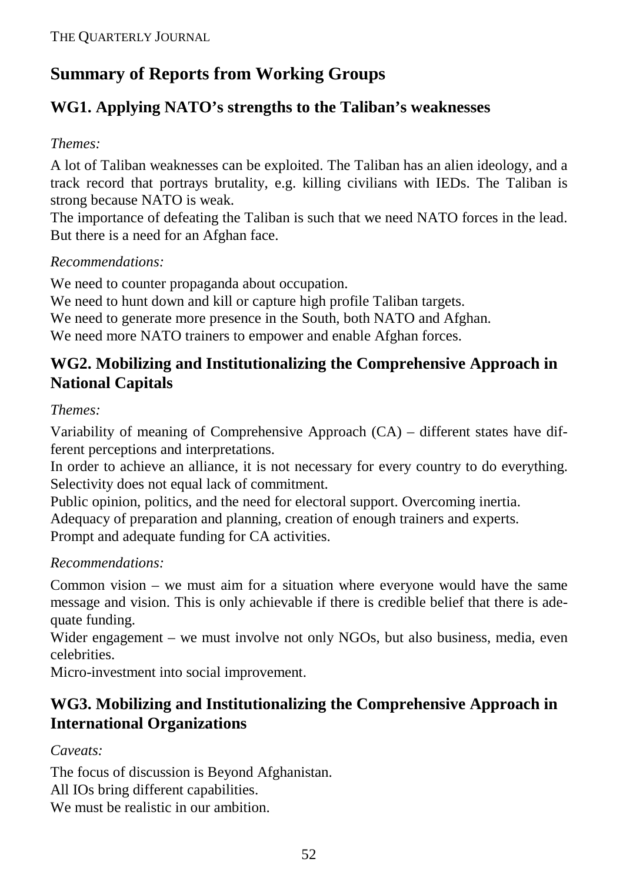# **Summary of Reports from Working Groups**

# **WG1. Applying NATO's strengths to the Taliban's weaknesses**

# *Themes:*

A lot of Taliban weaknesses can be exploited. The Taliban has an alien ideology, and a track record that portrays brutality, e.g. killing civilians with IEDs. The Taliban is strong because NATO is weak.

The importance of defeating the Taliban is such that we need NATO forces in the lead. But there is a need for an Afghan face.

# *Recommendations:*

We need to counter propaganda about occupation.

We need to hunt down and kill or capture high profile Taliban targets.

We need to generate more presence in the South, both NATO and Afghan.

We need more NATO trainers to empower and enable Afghan forces.

# **WG2. Mobilizing and Institutionalizing the Comprehensive Approach in National Capitals**

# *Themes:*

Variability of meaning of Comprehensive Approach (CA) – different states have different perceptions and interpretations.

In order to achieve an alliance, it is not necessary for every country to do everything. Selectivity does not equal lack of commitment.

Public opinion, politics, and the need for electoral support. Overcoming inertia.

Adequacy of preparation and planning, creation of enough trainers and experts.

Prompt and adequate funding for CA activities.

# *Recommendations:*

Common vision – we must aim for a situation where everyone would have the same message and vision. This is only achievable if there is credible belief that there is adequate funding.

Wider engagement – we must involve not only NGOs, but also business, media, even celebrities.

Micro-investment into social improvement.

# **WG3. Mobilizing and Institutionalizing the Comprehensive Approach in International Organizations**

# *Caveats:*

The focus of discussion is Beyond Afghanistan. All IOs bring different capabilities. We must be realistic in our ambition.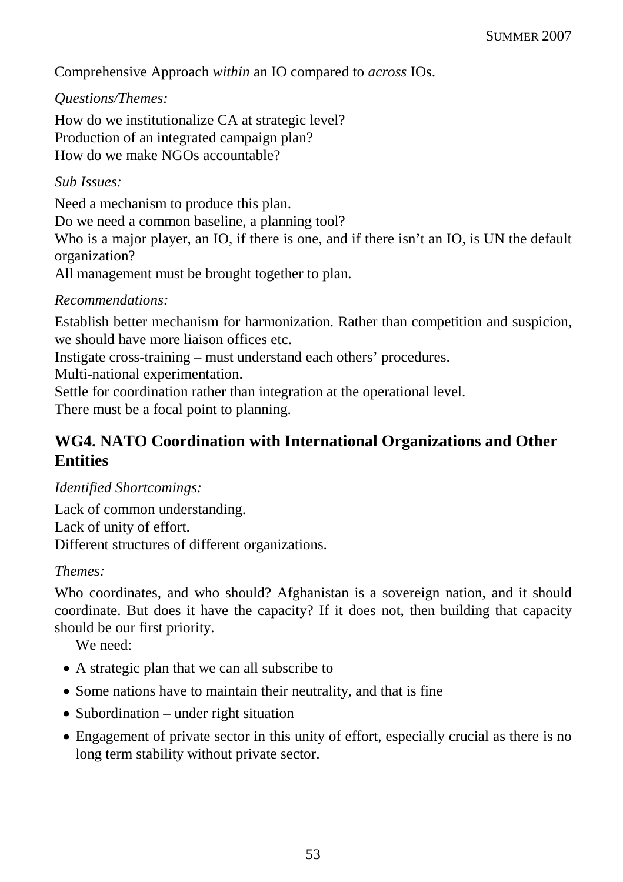Comprehensive Approach *within* an IO compared to *across* IOs.

# *Questions/Themes:*

How do we institutionalize CA at strategic level? Production of an integrated campaign plan? How do we make NGOs accountable?

## *Sub Issues:*

Need a mechanism to produce this plan. Do we need a common baseline, a planning tool? Who is a major player, an IO, if there is one, and if there isn't an IO, is UN the default organization?

All management must be brought together to plan.

## *Recommendations:*

Establish better mechanism for harmonization. Rather than competition and suspicion, we should have more liaison offices etc.

Instigate cross-training – must understand each others' procedures.

Multi-national experimentation.

Settle for coordination rather than integration at the operational level.

There must be a focal point to planning.

# **WG4. NATO Coordination with International Organizations and Other Entities**

# *Identified Shortcomings:*

Lack of common understanding. Lack of unity of effort. Different structures of different organizations.

#### *Themes:*

Who coordinates, and who should? Afghanistan is a sovereign nation, and it should coordinate. But does it have the capacity? If it does not, then building that capacity should be our first priority.

We need:

- A strategic plan that we can all subscribe to
- Some nations have to maintain their neutrality, and that is fine
- Subordination under right situation
- Engagement of private sector in this unity of effort, especially crucial as there is no long term stability without private sector.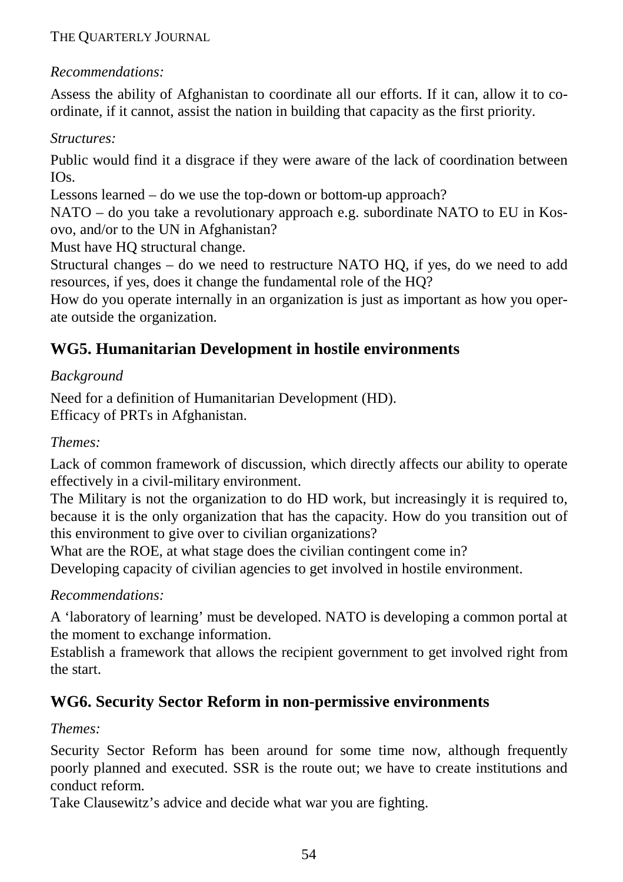# *Recommendations:*

Assess the ability of Afghanistan to coordinate all our efforts. If it can, allow it to coordinate, if it cannot, assist the nation in building that capacity as the first priority.

# *Structures:*

Public would find it a disgrace if they were aware of the lack of coordination between IOs.

Lessons learned – do we use the top-down or bottom-up approach?

NATO – do you take a revolutionary approach e.g. subordinate NATO to EU in Kosovo, and/or to the UN in Afghanistan?

Must have HQ structural change.

Structural changes – do we need to restructure NATO HQ, if yes, do we need to add resources, if yes, does it change the fundamental role of the HQ?

How do you operate internally in an organization is just as important as how you operate outside the organization.

# **WG5. Humanitarian Development in hostile environments**

# *Background*

Need for a definition of Humanitarian Development (HD). Efficacy of PRTs in Afghanistan.

# *Themes:*

Lack of common framework of discussion, which directly affects our ability to operate effectively in a civil-military environment.

The Military is not the organization to do HD work, but increasingly it is required to, because it is the only organization that has the capacity. How do you transition out of this environment to give over to civilian organizations?

What are the ROE, at what stage does the civilian contingent come in? Developing capacity of civilian agencies to get involved in hostile environment.

# *Recommendations:*

A 'laboratory of learning' must be developed. NATO is developing a common portal at the moment to exchange information.

Establish a framework that allows the recipient government to get involved right from the start.

# **WG6. Security Sector Reform in non-permissive environments**

# *Themes:*

Security Sector Reform has been around for some time now, although frequently poorly planned and executed. SSR is the route out; we have to create institutions and conduct reform.

Take Clausewitz's advice and decide what war you are fighting.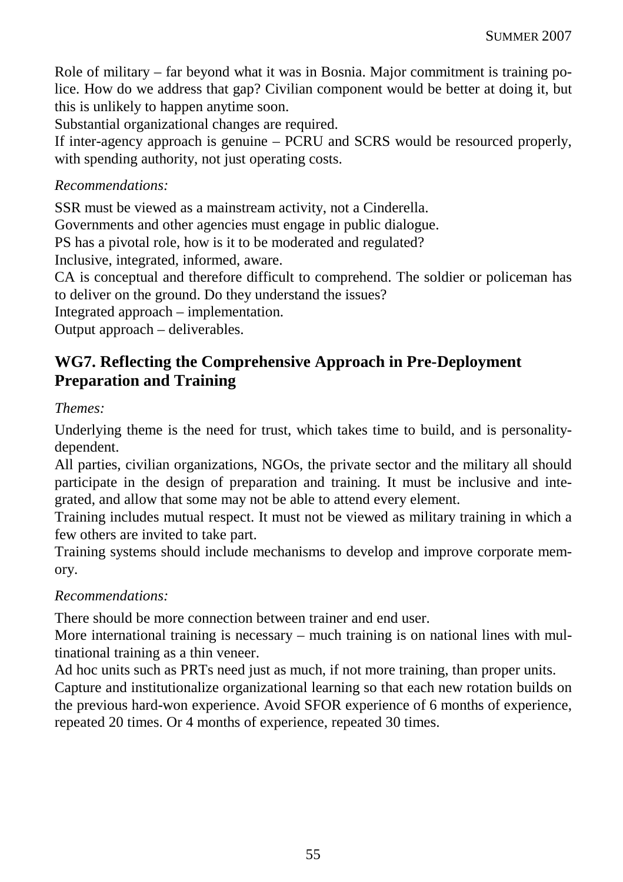Role of military – far beyond what it was in Bosnia. Major commitment is training police. How do we address that gap? Civilian component would be better at doing it, but this is unlikely to happen anytime soon.

Substantial organizational changes are required.

If inter-agency approach is genuine – PCRU and SCRS would be resourced properly, with spending authority, not just operating costs.

### *Recommendations:*

SSR must be viewed as a mainstream activity, not a Cinderella.

Governments and other agencies must engage in public dialogue.

PS has a pivotal role, how is it to be moderated and regulated?

Inclusive, integrated, informed, aware.

CA is conceptual and therefore difficult to comprehend. The soldier or policeman has to deliver on the ground. Do they understand the issues?

Integrated approach – implementation.

Output approach – deliverables.

# **WG7. Reflecting the Comprehensive Approach in Pre-Deployment Preparation and Training**

#### *Themes:*

Underlying theme is the need for trust, which takes time to build, and is personalitydependent.

All parties, civilian organizations, NGOs, the private sector and the military all should participate in the design of preparation and training. It must be inclusive and integrated, and allow that some may not be able to attend every element.

Training includes mutual respect. It must not be viewed as military training in which a few others are invited to take part.

Training systems should include mechanisms to develop and improve corporate memory.

#### *Recommendations:*

There should be more connection between trainer and end user.

More international training is necessary – much training is on national lines with multinational training as a thin veneer.

Ad hoc units such as PRTs need just as much, if not more training, than proper units. Capture and institutionalize organizational learning so that each new rotation builds on the previous hard-won experience. Avoid SFOR experience of 6 months of experience, repeated 20 times. Or 4 months of experience, repeated 30 times.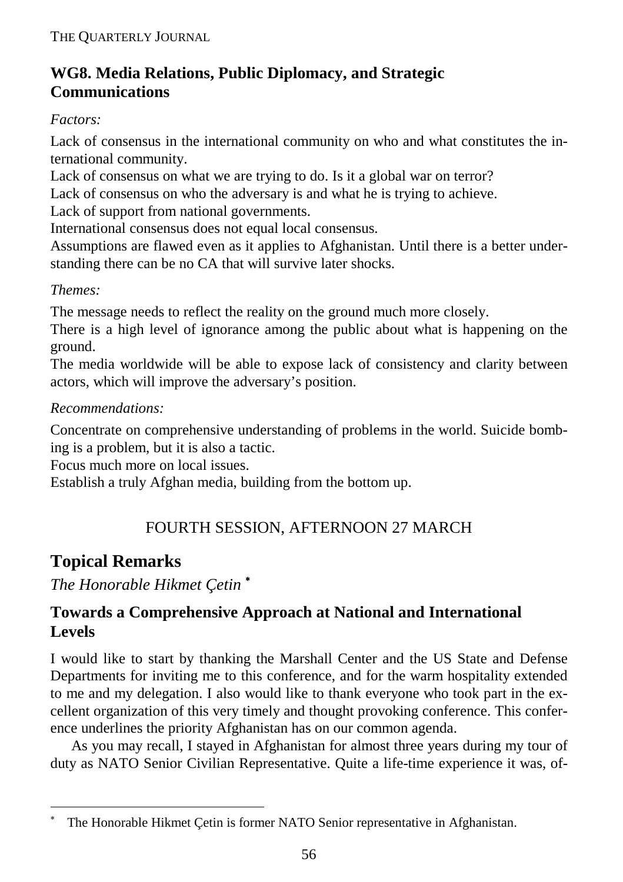# **WG8. Media Relations, Public Diplomacy, and Strategic Communications**

# *Factors:*

Lack of consensus in the international community on who and what constitutes the international community.

Lack of consensus on what we are trying to do. Is it a global war on terror?

Lack of consensus on who the adversary is and what he is trying to achieve.

Lack of support from national governments.

International consensus does not equal local consensus.

Assumptions are flawed even as it applies to Afghanistan. Until there is a better understanding there can be no CA that will survive later shocks.

# *Themes:*

The message needs to reflect the reality on the ground much more closely.

There is a high level of ignorance among the public about what is happening on the ground.

The media worldwide will be able to expose lack of consistency and clarity between actors, which will improve the adversary's position.

# *Recommendations:*

Concentrate on comprehensive understanding of problems in the world. Suicide bombing is a problem, but it is also a tactic.

Focus much more on local issues.

Establish a truly Afghan media, building from the bottom up.

# FOURTH SESSION, AFTERNOON 27 MARCH

# **Topical Remarks**

-

*The Honorable Hikmet Çetin* <sup>∗</sup>

# **Towards a Comprehensive Approach at National and International Levels**

I would like to start by thanking the Marshall Center and the US State and Defense Departments for inviting me to this conference, and for the warm hospitality extended to me and my delegation. I also would like to thank everyone who took part in the excellent organization of this very timely and thought provoking conference. This conference underlines the priority Afghanistan has on our common agenda.

As you may recall, I stayed in Afghanistan for almost three years during my tour of duty as NATO Senior Civilian Representative. Quite a life-time experience it was, of-

<sup>∗</sup> The Honorable Hikmet Çetin is former NATO Senior representative in Afghanistan.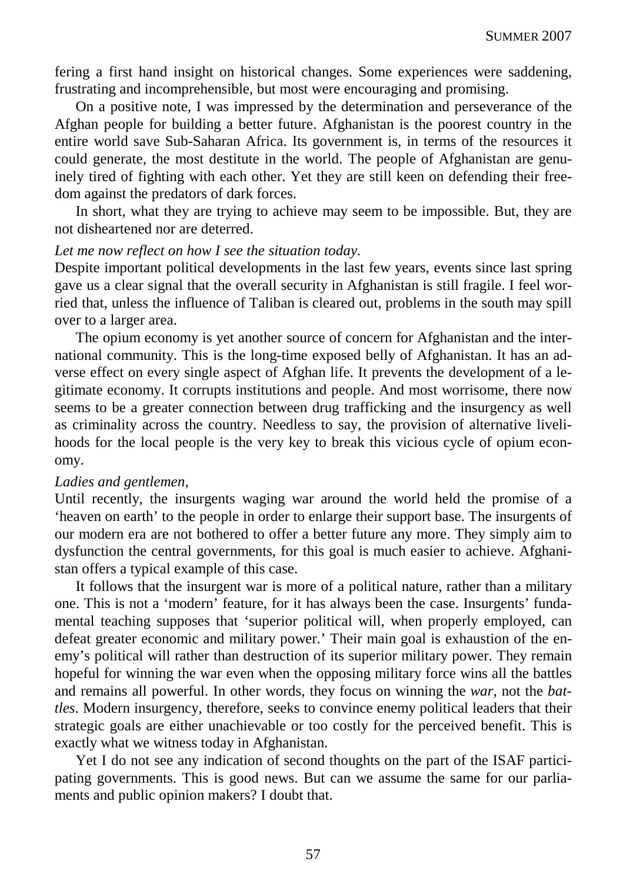fering a first hand insight on historical changes. Some experiences were saddening, frustrating and incomprehensible, but most were encouraging and promising.

On a positive note, I was impressed by the determination and perseverance of the Afghan people for building a better future. Afghanistan is the poorest country in the entire world save Sub-Saharan Africa. Its government is, in terms of the resources it could generate, the most destitute in the world. The people of Afghanistan are genuinely tired of fighting with each other. Yet they are still keen on defending their freedom against the predators of dark forces.

In short, what they are trying to achieve may seem to be impossible. But, they are not disheartened nor are deterred.

#### *Let me now reflect on how I see the situation today.*

Despite important political developments in the last few years, events since last spring gave us a clear signal that the overall security in Afghanistan is still fragile. I feel worried that, unless the influence of Taliban is cleared out, problems in the south may spill over to a larger area.

The opium economy is yet another source of concern for Afghanistan and the international community. This is the long-time exposed belly of Afghanistan. It has an adverse effect on every single aspect of Afghan life. It prevents the development of a legitimate economy. It corrupts institutions and people. And most worrisome, there now seems to be a greater connection between drug trafficking and the insurgency as well as criminality across the country. Needless to say, the provision of alternative livelihoods for the local people is the very key to break this vicious cycle of opium economy.

#### *Ladies and gentlemen,*

Until recently, the insurgents waging war around the world held the promise of a 'heaven on earth' to the people in order to enlarge their support base. The insurgents of our modern era are not bothered to offer a better future any more. They simply aim to dysfunction the central governments, for this goal is much easier to achieve. Afghanistan offers a typical example of this case.

It follows that the insurgent war is more of a political nature, rather than a military one. This is not a 'modern' feature, for it has always been the case. Insurgents' fundamental teaching supposes that 'superior political will, when properly employed, can defeat greater economic and military power.' Their main goal is exhaustion of the enemy's political will rather than destruction of its superior military power. They remain hopeful for winning the war even when the opposing military force wins all the battles and remains all powerful. In other words, they focus on winning the *war*, not the *battles*. Modern insurgency, therefore, seeks to convince enemy political leaders that their strategic goals are either unachievable or too costly for the perceived benefit. This is exactly what we witness today in Afghanistan.

Yet I do not see any indication of second thoughts on the part of the ISAF participating governments. This is good news. But can we assume the same for our parliaments and public opinion makers? I doubt that.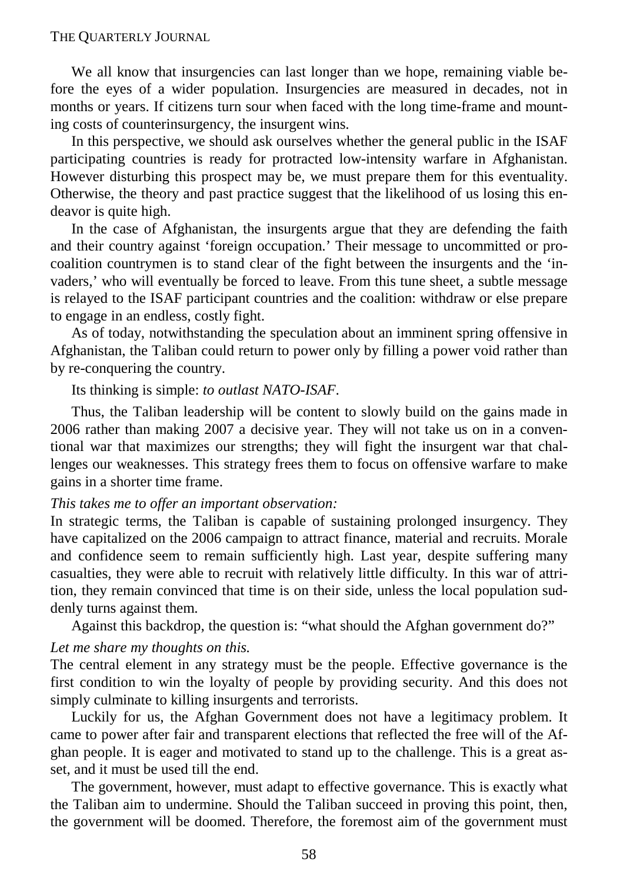We all know that insurgencies can last longer than we hope, remaining viable before the eyes of a wider population. Insurgencies are measured in decades, not in months or years. If citizens turn sour when faced with the long time-frame and mounting costs of counterinsurgency, the insurgent wins.

In this perspective, we should ask ourselves whether the general public in the ISAF participating countries is ready for protracted low-intensity warfare in Afghanistan. However disturbing this prospect may be, we must prepare them for this eventuality. Otherwise, the theory and past practice suggest that the likelihood of us losing this endeavor is quite high.

In the case of Afghanistan, the insurgents argue that they are defending the faith and their country against 'foreign occupation.' Their message to uncommitted or procoalition countrymen is to stand clear of the fight between the insurgents and the 'invaders,' who will eventually be forced to leave. From this tune sheet, a subtle message is relayed to the ISAF participant countries and the coalition: withdraw or else prepare to engage in an endless, costly fight.

As of today, notwithstanding the speculation about an imminent spring offensive in Afghanistan, the Taliban could return to power only by filling a power void rather than by re-conquering the country.

Its thinking is simple: *to outlast NATO-ISAF*.

Thus, the Taliban leadership will be content to slowly build on the gains made in 2006 rather than making 2007 a decisive year. They will not take us on in a conventional war that maximizes our strengths; they will fight the insurgent war that challenges our weaknesses. This strategy frees them to focus on offensive warfare to make gains in a shorter time frame.

#### *This takes me to offer an important observation:*

In strategic terms, the Taliban is capable of sustaining prolonged insurgency. They have capitalized on the 2006 campaign to attract finance, material and recruits. Morale and confidence seem to remain sufficiently high. Last year, despite suffering many casualties, they were able to recruit with relatively little difficulty. In this war of attrition, they remain convinced that time is on their side, unless the local population suddenly turns against them.

Against this backdrop, the question is: "what should the Afghan government do?"

#### *Let me share my thoughts on this.*

The central element in any strategy must be the people. Effective governance is the first condition to win the loyalty of people by providing security. And this does not simply culminate to killing insurgents and terrorists.

Luckily for us, the Afghan Government does not have a legitimacy problem. It came to power after fair and transparent elections that reflected the free will of the Afghan people. It is eager and motivated to stand up to the challenge. This is a great asset, and it must be used till the end.

The government, however, must adapt to effective governance. This is exactly what the Taliban aim to undermine. Should the Taliban succeed in proving this point, then, the government will be doomed. Therefore, the foremost aim of the government must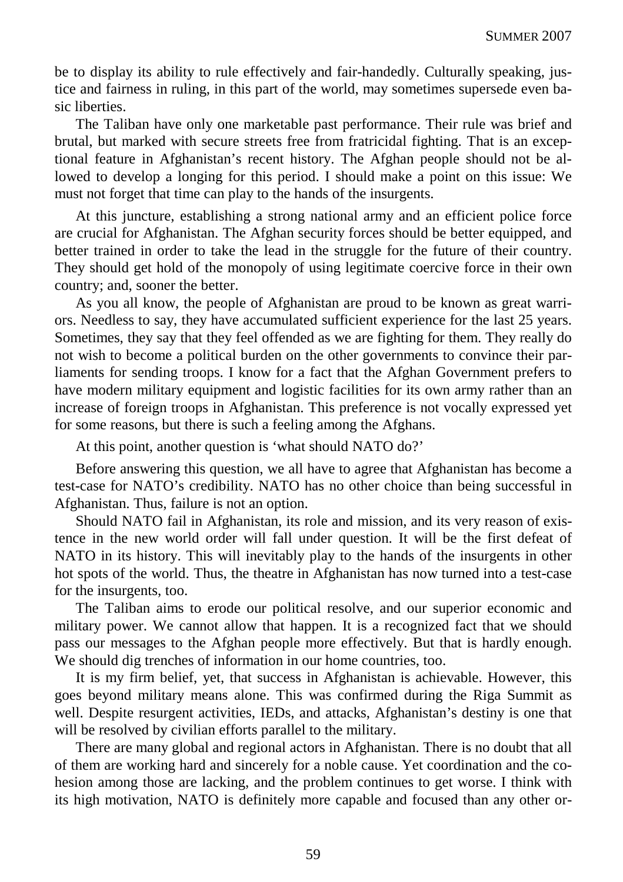be to display its ability to rule effectively and fair-handedly. Culturally speaking, justice and fairness in ruling, in this part of the world, may sometimes supersede even basic liberties.

The Taliban have only one marketable past performance. Their rule was brief and brutal, but marked with secure streets free from fratricidal fighting. That is an exceptional feature in Afghanistan's recent history. The Afghan people should not be allowed to develop a longing for this period. I should make a point on this issue: We must not forget that time can play to the hands of the insurgents.

At this juncture, establishing a strong national army and an efficient police force are crucial for Afghanistan. The Afghan security forces should be better equipped, and better trained in order to take the lead in the struggle for the future of their country. They should get hold of the monopoly of using legitimate coercive force in their own country; and, sooner the better.

As you all know, the people of Afghanistan are proud to be known as great warriors. Needless to say, they have accumulated sufficient experience for the last 25 years. Sometimes, they say that they feel offended as we are fighting for them. They really do not wish to become a political burden on the other governments to convince their parliaments for sending troops. I know for a fact that the Afghan Government prefers to have modern military equipment and logistic facilities for its own army rather than an increase of foreign troops in Afghanistan. This preference is not vocally expressed yet for some reasons, but there is such a feeling among the Afghans.

At this point, another question is 'what should NATO do?'

Before answering this question, we all have to agree that Afghanistan has become a test-case for NATO's credibility. NATO has no other choice than being successful in Afghanistan. Thus, failure is not an option.

Should NATO fail in Afghanistan, its role and mission, and its very reason of existence in the new world order will fall under question. It will be the first defeat of NATO in its history. This will inevitably play to the hands of the insurgents in other hot spots of the world. Thus, the theatre in Afghanistan has now turned into a test-case for the insurgents, too.

The Taliban aims to erode our political resolve, and our superior economic and military power. We cannot allow that happen. It is a recognized fact that we should pass our messages to the Afghan people more effectively. But that is hardly enough. We should dig trenches of information in our home countries, too.

It is my firm belief, yet, that success in Afghanistan is achievable. However, this goes beyond military means alone. This was confirmed during the Riga Summit as well. Despite resurgent activities, IEDs, and attacks, Afghanistan's destiny is one that will be resolved by civilian efforts parallel to the military.

There are many global and regional actors in Afghanistan. There is no doubt that all of them are working hard and sincerely for a noble cause. Yet coordination and the cohesion among those are lacking, and the problem continues to get worse. I think with its high motivation, NATO is definitely more capable and focused than any other or-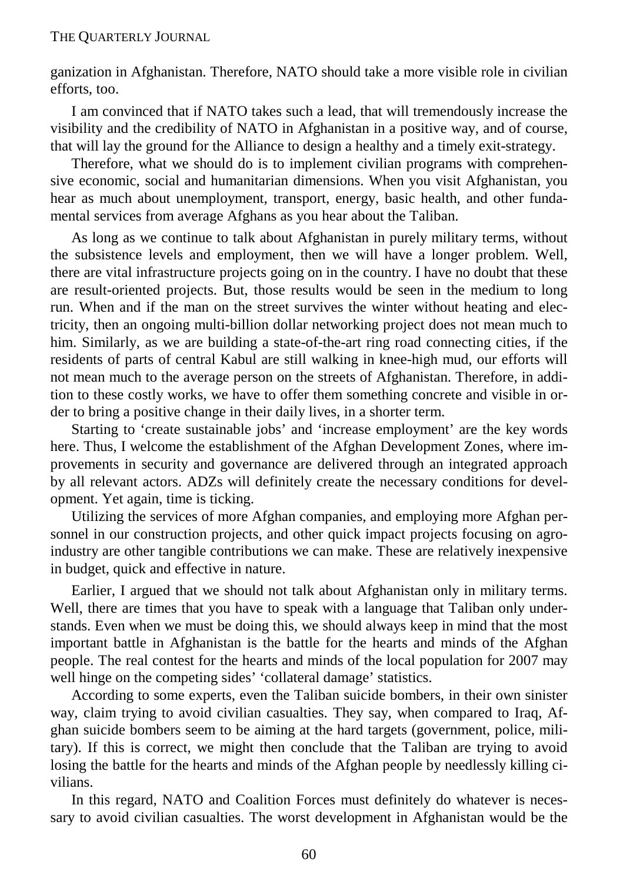ganization in Afghanistan. Therefore, NATO should take a more visible role in civilian efforts, too.

I am convinced that if NATO takes such a lead, that will tremendously increase the visibility and the credibility of NATO in Afghanistan in a positive way, and of course, that will lay the ground for the Alliance to design a healthy and a timely exit-strategy.

Therefore, what we should do is to implement civilian programs with comprehensive economic, social and humanitarian dimensions. When you visit Afghanistan, you hear as much about unemployment, transport, energy, basic health, and other fundamental services from average Afghans as you hear about the Taliban.

As long as we continue to talk about Afghanistan in purely military terms, without the subsistence levels and employment, then we will have a longer problem. Well, there are vital infrastructure projects going on in the country. I have no doubt that these are result-oriented projects. But, those results would be seen in the medium to long run. When and if the man on the street survives the winter without heating and electricity, then an ongoing multi-billion dollar networking project does not mean much to him. Similarly, as we are building a state-of-the-art ring road connecting cities, if the residents of parts of central Kabul are still walking in knee-high mud, our efforts will not mean much to the average person on the streets of Afghanistan. Therefore, in addition to these costly works, we have to offer them something concrete and visible in order to bring a positive change in their daily lives, in a shorter term.

Starting to 'create sustainable jobs' and 'increase employment' are the key words here. Thus, I welcome the establishment of the Afghan Development Zones, where improvements in security and governance are delivered through an integrated approach by all relevant actors. ADZs will definitely create the necessary conditions for development. Yet again, time is ticking.

Utilizing the services of more Afghan companies, and employing more Afghan personnel in our construction projects, and other quick impact projects focusing on agroindustry are other tangible contributions we can make. These are relatively inexpensive in budget, quick and effective in nature.

Earlier, I argued that we should not talk about Afghanistan only in military terms. Well, there are times that you have to speak with a language that Taliban only understands. Even when we must be doing this, we should always keep in mind that the most important battle in Afghanistan is the battle for the hearts and minds of the Afghan people. The real contest for the hearts and minds of the local population for 2007 may well hinge on the competing sides' 'collateral damage' statistics.

According to some experts, even the Taliban suicide bombers, in their own sinister way, claim trying to avoid civilian casualties. They say, when compared to Iraq, Afghan suicide bombers seem to be aiming at the hard targets (government, police, military). If this is correct, we might then conclude that the Taliban are trying to avoid losing the battle for the hearts and minds of the Afghan people by needlessly killing civilians.

In this regard, NATO and Coalition Forces must definitely do whatever is necessary to avoid civilian casualties. The worst development in Afghanistan would be the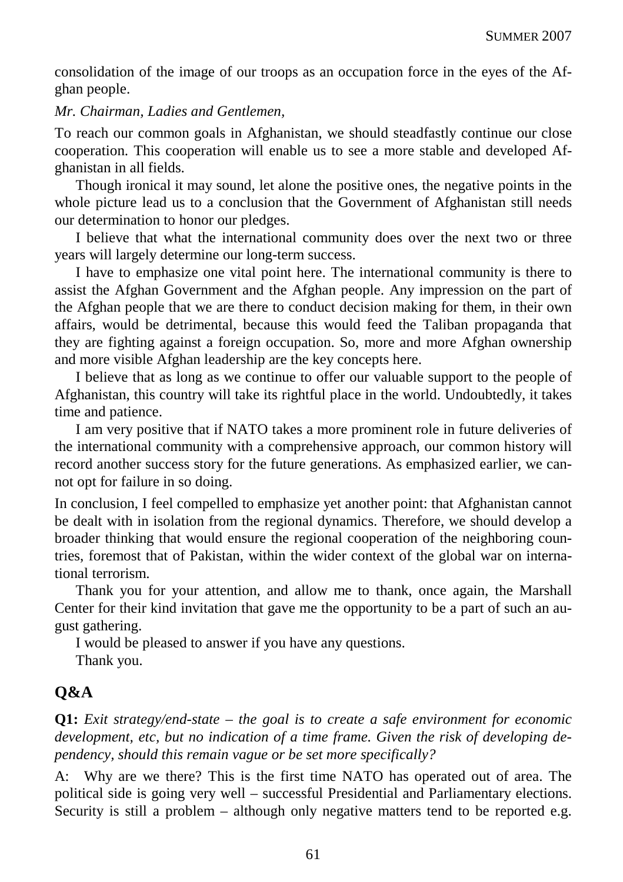consolidation of the image of our troops as an occupation force in the eyes of the Afghan people.

#### *Mr. Chairman, Ladies and Gentlemen,*

To reach our common goals in Afghanistan, we should steadfastly continue our close cooperation. This cooperation will enable us to see a more stable and developed Afghanistan in all fields.

Though ironical it may sound, let alone the positive ones, the negative points in the whole picture lead us to a conclusion that the Government of Afghanistan still needs our determination to honor our pledges.

I believe that what the international community does over the next two or three years will largely determine our long-term success.

I have to emphasize one vital point here. The international community is there to assist the Afghan Government and the Afghan people. Any impression on the part of the Afghan people that we are there to conduct decision making for them, in their own affairs, would be detrimental, because this would feed the Taliban propaganda that they are fighting against a foreign occupation. So, more and more Afghan ownership and more visible Afghan leadership are the key concepts here.

I believe that as long as we continue to offer our valuable support to the people of Afghanistan, this country will take its rightful place in the world. Undoubtedly, it takes time and patience.

I am very positive that if NATO takes a more prominent role in future deliveries of the international community with a comprehensive approach, our common history will record another success story for the future generations. As emphasized earlier, we cannot opt for failure in so doing.

In conclusion, I feel compelled to emphasize yet another point: that Afghanistan cannot be dealt with in isolation from the regional dynamics. Therefore, we should develop a broader thinking that would ensure the regional cooperation of the neighboring countries, foremost that of Pakistan, within the wider context of the global war on international terrorism.

Thank you for your attention, and allow me to thank, once again, the Marshall Center for their kind invitation that gave me the opportunity to be a part of such an august gathering.

I would be pleased to answer if you have any questions.

Thank you.

# **Q&A**

**Q1:** *Exit strategy/end-state – the goal is to create a safe environment for economic development, etc, but no indication of a time frame. Given the risk of developing dependency, should this remain vague or be set more specifically?*

A: Why are we there? This is the first time NATO has operated out of area. The political side is going very well – successful Presidential and Parliamentary elections. Security is still a problem – although only negative matters tend to be reported e.g.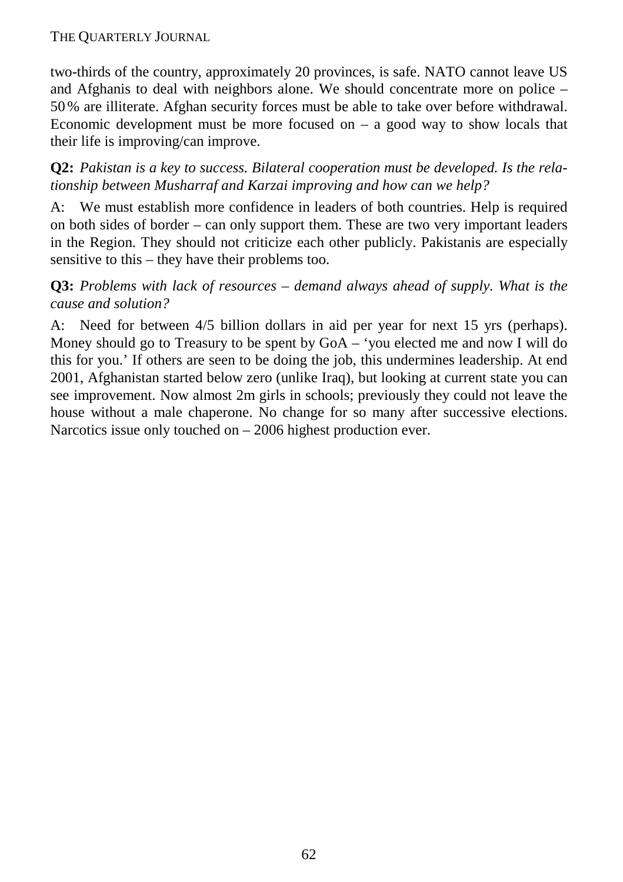two-thirds of the country, approximately 20 provinces, is safe. NATO cannot leave US and Afghanis to deal with neighbors alone. We should concentrate more on police – 50% are illiterate. Afghan security forces must be able to take over before withdrawal. Economic development must be more focused on  $-$  a good way to show locals that their life is improving/can improve.

**Q2:** *Pakistan is a key to success. Bilateral cooperation must be developed. Is the relationship between Musharraf and Karzai improving and how can we help?*

A: We must establish more confidence in leaders of both countries. Help is required on both sides of border – can only support them. These are two very important leaders in the Region. They should not criticize each other publicly. Pakistanis are especially sensitive to this – they have their problems too.

# **Q3:** *Problems with lack of resources – demand always ahead of supply. What is the cause and solution?*

A: Need for between 4/5 billion dollars in aid per year for next 15 yrs (perhaps). Money should go to Treasury to be spent by GoA – 'you elected me and now I will do this for you.' If others are seen to be doing the job, this undermines leadership. At end 2001, Afghanistan started below zero (unlike Iraq), but looking at current state you can see improvement. Now almost 2m girls in schools; previously they could not leave the house without a male chaperone. No change for so many after successive elections. Narcotics issue only touched on – 2006 highest production ever.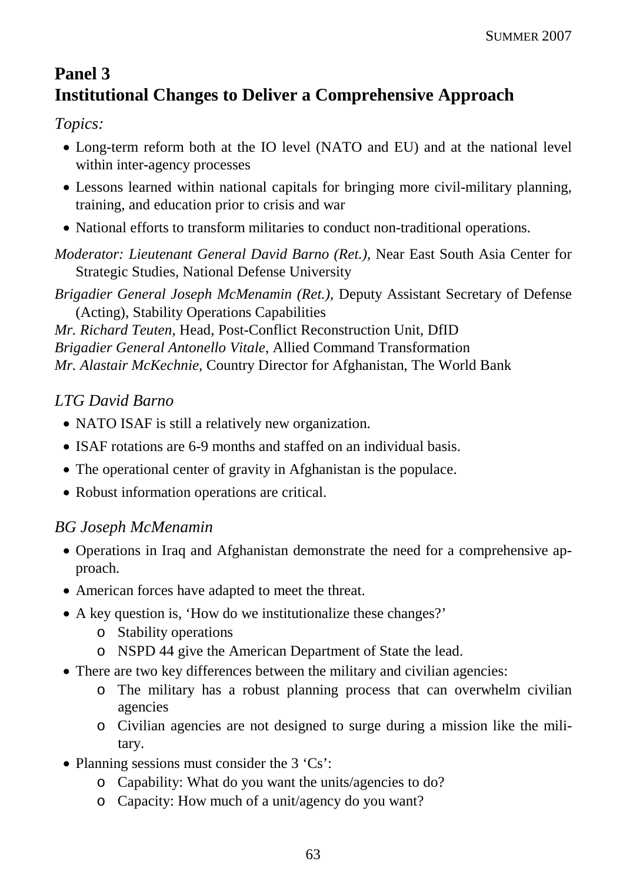# **Panel 3 Institutional Changes to Deliver a Comprehensive Approach**

*Topics:*

- Long-term reform both at the IO level (NATO and EU) and at the national level within inter-agency processes
- Lessons learned within national capitals for bringing more civil-military planning, training, and education prior to crisis and war
- National efforts to transform militaries to conduct non-traditional operations.

*Moderator: Lieutenant General David Barno (Ret.),* Near East South Asia Center for Strategic Studies, National Defense University

*Brigadier General Joseph McMenamin (Ret.),* Deputy Assistant Secretary of Defense (Acting), Stability Operations Capabilities

*Mr. Richard Teuten*, Head, Post-Conflict Reconstruction Unit, DfID *Brigadier General Antonello Vitale*, Allied Command Transformation *Mr. Alastair McKechnie*, Country Director for Afghanistan, The World Bank

# *LTG David Barno*

- NATO ISAF is still a relatively new organization.
- ISAF rotations are 6-9 months and staffed on an individual basis.
- The operational center of gravity in Afghanistan is the populace.
- Robust information operations are critical.

# *BG Joseph McMenamin*

- Operations in Iraq and Afghanistan demonstrate the need for a comprehensive approach.
- American forces have adapted to meet the threat.
- A key question is, 'How do we institutionalize these changes?'
	- o Stability operations
	- o NSPD 44 give the American Department of State the lead.
- There are two key differences between the military and civilian agencies:
	- o The military has a robust planning process that can overwhelm civilian agencies
	- o Civilian agencies are not designed to surge during a mission like the military.
- Planning sessions must consider the 3 'Cs':
	- o Capability: What do you want the units/agencies to do?
	- o Capacity: How much of a unit/agency do you want?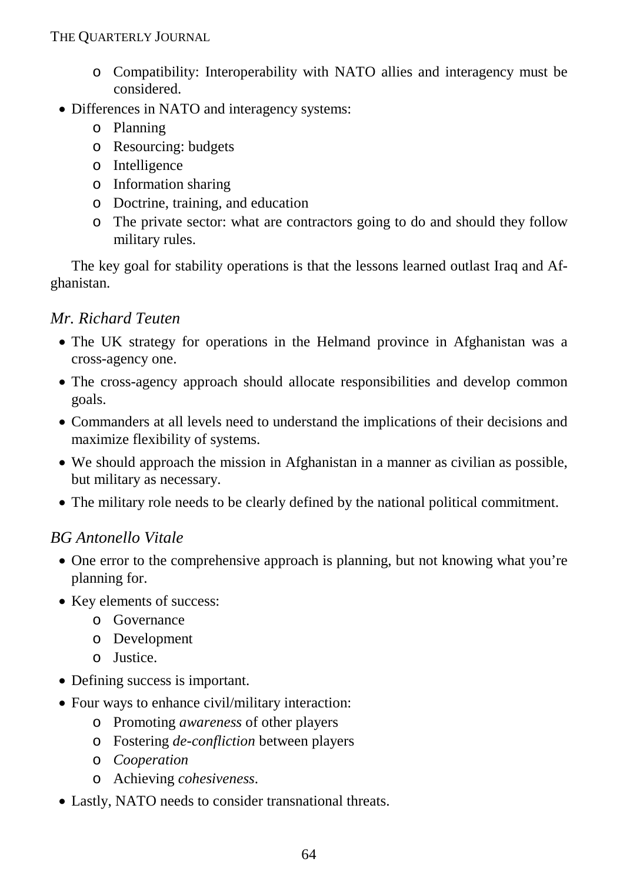- o Compatibility: Interoperability with NATO allies and interagency must be considered.
- Differences in NATO and interagency systems:
	- o Planning
	- o Resourcing: budgets
	- o Intelligence
	- o Information sharing
	- o Doctrine, training, and education
	- o The private sector: what are contractors going to do and should they follow military rules.

The key goal for stability operations is that the lessons learned outlast Iraq and Afghanistan.

# *Mr. Richard Teuten*

- The UK strategy for operations in the Helmand province in Afghanistan was a cross-agency one.
- The cross-agency approach should allocate responsibilities and develop common goals.
- Commanders at all levels need to understand the implications of their decisions and maximize flexibility of systems.
- We should approach the mission in Afghanistan in a manner as civilian as possible, but military as necessary.
- The military role needs to be clearly defined by the national political commitment.

# *BG Antonello Vitale*

- One error to the comprehensive approach is planning, but not knowing what you're planning for.
- Key elements of success:
	- o Governance
	- o Development
	- o Justice.
- Defining success is important.
- Four ways to enhance civil/military interaction:
	- o Promoting *awareness* of other players
	- o Fostering *de-confliction* between players
	- o *Cooperation*
	- o Achieving *cohesiveness*.
- Lastly, NATO needs to consider transnational threats.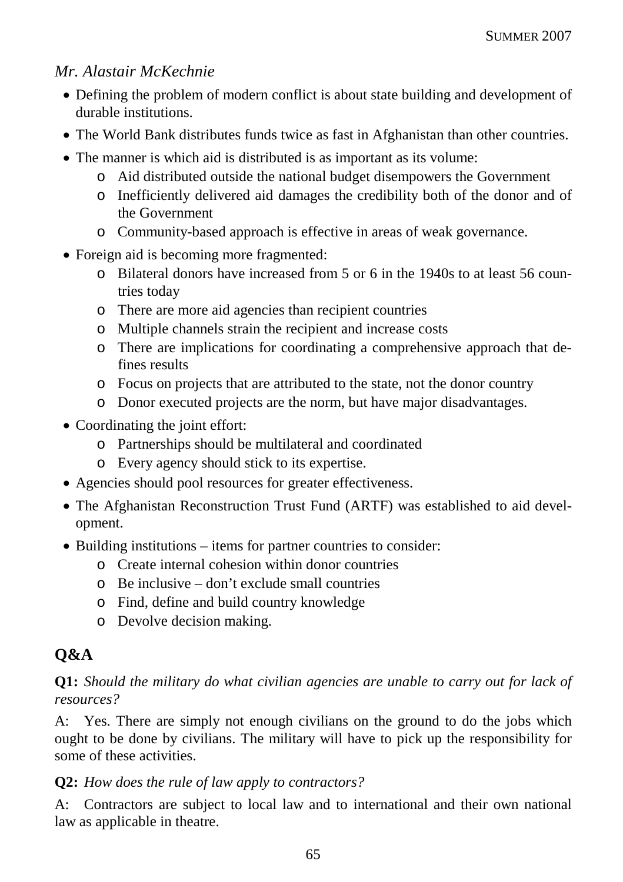# *Mr. Alastair McKechnie*

- Defining the problem of modern conflict is about state building and development of durable institutions.
- The World Bank distributes funds twice as fast in Afghanistan than other countries.
- The manner is which aid is distributed is as important as its volume:
	- o Aid distributed outside the national budget disempowers the Government
	- o Inefficiently delivered aid damages the credibility both of the donor and of the Government
	- o Community-based approach is effective in areas of weak governance.
- Foreign aid is becoming more fragmented:
	- o Bilateral donors have increased from 5 or 6 in the 1940s to at least 56 countries today
	- o There are more aid agencies than recipient countries
	- o Multiple channels strain the recipient and increase costs
	- o There are implications for coordinating a comprehensive approach that defines results
	- o Focus on projects that are attributed to the state, not the donor country
	- o Donor executed projects are the norm, but have major disadvantages.
- Coordinating the joint effort:
	- o Partnerships should be multilateral and coordinated
	- o Every agency should stick to its expertise.
- Agencies should pool resources for greater effectiveness.
- The Afghanistan Reconstruction Trust Fund (ARTF) was established to aid development.
- Building institutions items for partner countries to consider:
	- o Create internal cohesion within donor countries
	- $\circ$  Be inclusive don't exclude small countries
	- o Find, define and build country knowledge
	- o Devolve decision making.

# **Q&A**

# **Q1:** *Should the military do what civilian agencies are unable to carry out for lack of resources?*

A: Yes. There are simply not enough civilians on the ground to do the jobs which ought to be done by civilians. The military will have to pick up the responsibility for some of these activities.

# **Q2:** *How does the rule of law apply to contractors?*

A: Contractors are subject to local law and to international and their own national law as applicable in theatre.